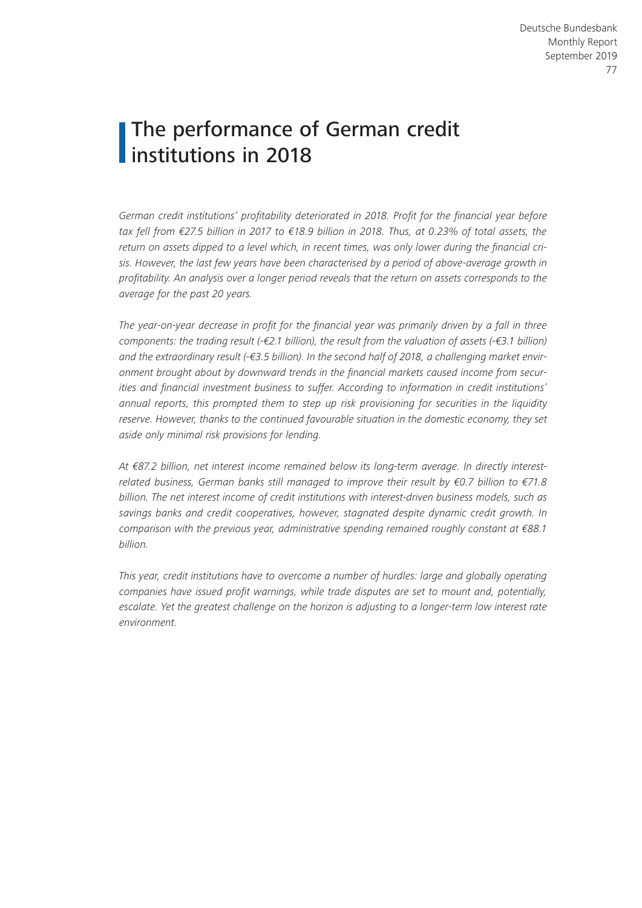# The performance of German credit institutions in 2018

*German credit institutions' profitability deteriorated in 2018. Profit for the financial year before tax fell from €27.5 billion in 2017 to €18.9 billion in 2018. Thus, at 0.23% of total assets, the return on assets dipped to a level which, in recent times, was only lower during the financial crisis. However, the last few years have been characterised by a period of above-average growth in profitability. An analysis over a longer period reveals that the return on assets corresponds to the average for the past 20 years.*

*The year-on-year decrease in profit for the financial year was primarily driven by a fall in three components: the trading result (-€2.1 billion), the result from the valuation of assets (-€3.1 billion) and the extraordinary result (-€3.5 billion). In the second half of 2018, a challenging market environment brought about by downward trends in the financial markets caused income from securities and financial investment business to suffer. According to information in credit institutions' annual reports, this prompted them to step up risk provisioning for securities in the liquidity reserve. However, thanks to the continued favourable situation in the domestic economy, they set aside only minimal risk provisions for lending.*

*At €87.2 billion, net interest income remained below its long-term average. In directly interestrelated business, German banks still managed to improve their result by €0.7 billion to €71.8 billion. The net interest income of credit institutions with interest-driven business models, such as savings banks and credit cooperatives, however, stagnated despite dynamic credit growth. In comparison with the previous year, administrative spending remained roughly constant at €88.1 billion.*

*This year, credit institutions have to overcome a number of hurdles: large and globally operating companies have issued profit warnings, while trade disputes are set to mount and, potentially, escalate. Yet the greatest challenge on the horizon is adjusting to a longer-term low interest rate environment.*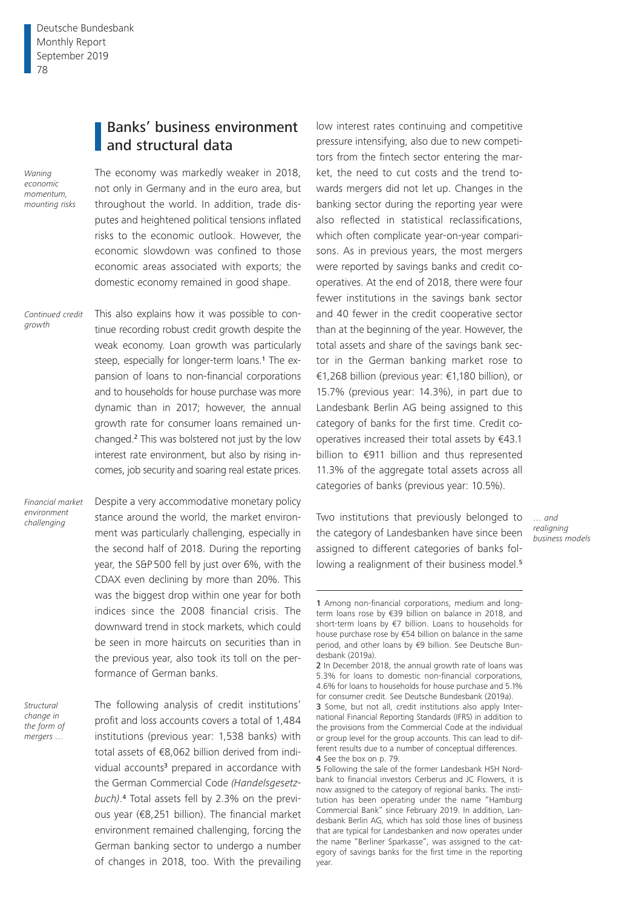# Banks' business environment and structural data

*Waning economic momentum, mounting risks*

*growth*

The economy was markedly weaker in 2018, not only in Germany and in the euro area, but throughout the world. In addition, trade disputes and heightened political tensions inflated risks to the economic outlook. However, the economic slowdown was confined to those economic areas associated with exports; the domestic economy remained in good shape.

This also explains how it was possible to continue recording robust credit growth despite the weak economy. Loan growth was particularly steep, especially for longer-term loans.<sup>1</sup> The expansion of loans to non-financial corporations and to households for house purchase was more dynamic than in 2017; however, the annual growth rate for consumer loans remained unchanged.2 This was bolstered not just by the low interest rate environment, but also by rising incomes, job security and soaring real estate prices. *Continued credit* 

*Financial market environment challenging*

Despite a very accommodative monetary policy stance around the world, the market environment was particularly challenging, especially in the second half of 2018. During the reporting year, the S&P500 fell by just over 6%, with the CDAX even declining by more than 20%. This was the biggest drop within one year for both indices since the 2008 financial crisis. The downward trend in stock markets, which could be seen in more haircuts on securities than in the previous year, also took its toll on the performance of German banks.

*Structural change in the form of mergers …*

The following analysis of credit institutions' profit and loss accounts covers a total of 1,484 institutions (previous year: 1,538 banks) with total assets of €8,062 billion derived from individual accounts<sup>3</sup> prepared in accordance with the German Commercial Code *(Handelsgesetzbuch)*. 4 Total assets fell by 2.3% on the previous year (€8,251 billion). The financial market environment remained challenging, forcing the German banking sector to undergo a number of changes in 2018, too. With the prevailing

low interest rates continuing and competitive pressure intensifying, also due to new competitors from the fintech sector entering the market, the need to cut costs and the trend towards mergers did not let up. Changes in the banking sector during the reporting year were also reflected in statistical reclassifications, which often complicate year-on-year comparisons. As in previous years, the most mergers were reported by savings banks and credit cooperatives. At the end of 2018, there were four fewer institutions in the savings bank sector and 40 fewer in the credit cooperative sector than at the beginning of the year. However, the total assets and share of the savings bank sector in the German banking market rose to €1,268 billion (previous year: €1,180 billion), or 15.7% (previous year: 14.3%), in part due to Landesbank Berlin AG being assigned to this category of banks for the first time. Credit cooperatives increased their total assets by €43.1 billion to €911 billion and thus represented 11.3% of the aggregate total assets across all categories of banks (previous year: 10.5%).

Two institutions that previously belonged to the category of Landesbanken have since been assigned to different categories of banks following a realignment of their business model.<sup>5</sup>

*<sup>…</sup> and realigning business models*

<sup>1</sup> Among non-financial corporations, medium and longterm loans rose by €39 billion on balance in 2018, and short-term loans by €7 billion. Loans to households for house purchase rose by €54 billion on balance in the same period, and other loans by €9 billion. See Deutsche Bundesbank (2019a).

<sup>2</sup> In December 2018, the annual growth rate of loans was 5.3% for loans to domestic non-financial corporations, 4.6% for loans to households for house purchase and 5.1% for consumer credit. See Deutsche Bundesbank (2019a).

<sup>3</sup> Some, but not all, credit institutions also apply International Financial Reporting Standards (IFRS) in addition to the provisions from the Commercial Code at the individual or group level for the group accounts. This can lead to different results due to a number of conceptual differences. 4 See the box on p. 79.

<sup>5</sup> Following the sale of the former Landesbank HSH Nordbank to financial investors Cerberus and JC Flowers, it is now assigned to the category of regional banks. The institution has been operating under the name "Hamburg Commercial Bank" since February 2019. In addition, Landesbank Berlin AG, which has sold those lines of business that are typical for Landesbanken and now operates under the name "Berliner Sparkasse", was assigned to the category of savings banks for the first time in the reporting year.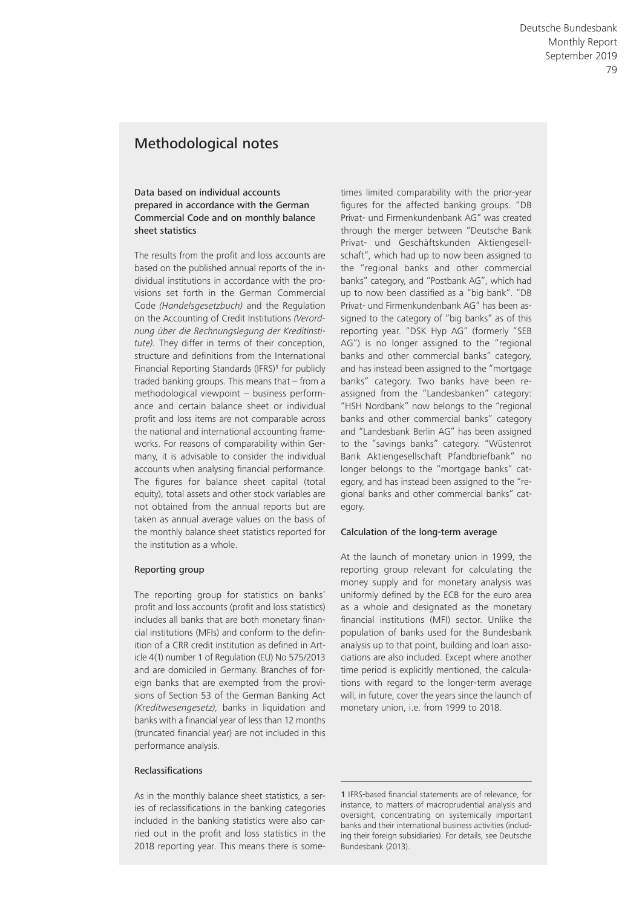# Methodological notes

### Data based on individual accounts prepared in accordance with the German Commercial Code and on monthly balance sheet statistics

The results from the profit and loss accounts are based on the published annual reports of the individual institutions in accordance with the provisions set forth in the German Commercial Code *(Handelsgesetzbuch)* and the Regulation on the Accounting of Credit Institutions *(Verordnung über die Rechnungslegung der Kreditinstitute).* They differ in terms of their conception, structure and definitions from the International Financial Reporting Standards (IFRS)1 for publicly traded banking groups. This means that – from a methodological viewpoint – business performance and certain balance sheet or individual profit and loss items are not comparable across the national and international accounting frameworks. For reasons of comparability within Germany, it is advisable to consider the individual accounts when analysing financial performance. The figures for balance sheet capital (total equity), total assets and other stock variables are not obtained from the annual reports but are taken as annual average values on the basis of the monthly balance sheet statistics reported for the institution as a whole.

### Reporting group

The reporting group for statistics on banks' profit and loss accounts (profit and loss statistics) includes all banks that are both monetary financial institutions (MFIs) and conform to the definition of a CRR credit institution as defined in Article 4(1) number 1 of Regulation (EU) No 575/2013 and are domiciled in Germany. Branches of foreign banks that are exempted from the provisions of Section 53 of the German Banking Act *(Kreditwesengesetz),* banks in liquidation and banks with a financial year of less than 12 months (truncated financial year) are not included in this performance analysis.

### **Reclassifications**

As in the monthly balance sheet statistics, a series of reclassifications in the banking categories included in the banking statistics were also carried out in the profit and loss statistics in the 2018 reporting year. This means there is sometimes limited comparability with the prior-year figures for the affected banking groups. "DB Privat- und Firmenkundenbank AG" was created through the merger between "Deutsche Bank Privat- und Geschäftskunden Aktiengesellschaft", which had up to now been assigned to the "regional banks and other commercial banks" category, and "Postbank AG", which had up to now been classified as a "big bank". "DB Privat- und Firmenkundenbank AG" has been assigned to the category of "big banks" as of this reporting year. "DSK Hyp AG" (formerly "SEB AG") is no longer assigned to the "regional banks and other commercial banks" category, and has instead been assigned to the "mortgage banks" category. Two banks have been reassigned from the "Landesbanken" category: "HSH Nordbank" now belongs to the "regional banks and other commercial banks" category and "Landesbank Berlin AG" has been assigned to the "savings banks" category. "Wüstenrot Bank Aktiengesellschaft Pfandbriefbank" no longer belongs to the "mortgage banks" category, and has instead been assigned to the "regional banks and other commercial banks" category.

### Calculation of the long-term average

At the launch of monetary union in 1999, the reporting group relevant for calculating the money supply and for monetary analysis was uniformly defined by the ECB for the euro area as a whole and designated as the monetary financial institutions (MFI) sector. Unlike the population of banks used for the Bundesbank analysis up to that point, building and loan associations are also included. Except where another time period is explicitly mentioned, the calculations with regard to the longer-term average will, in future, cover the years since the launch of monetary union, i.e. from 1999 to 2018.

<sup>1</sup> IFRS-based financial statements are of relevance, for instance, to matters of macroprudential analysis and oversight, concentrating on systemically important banks and their international business activities (including their foreign subsidiaries). For details, see Deutsche Bundesbank (2013).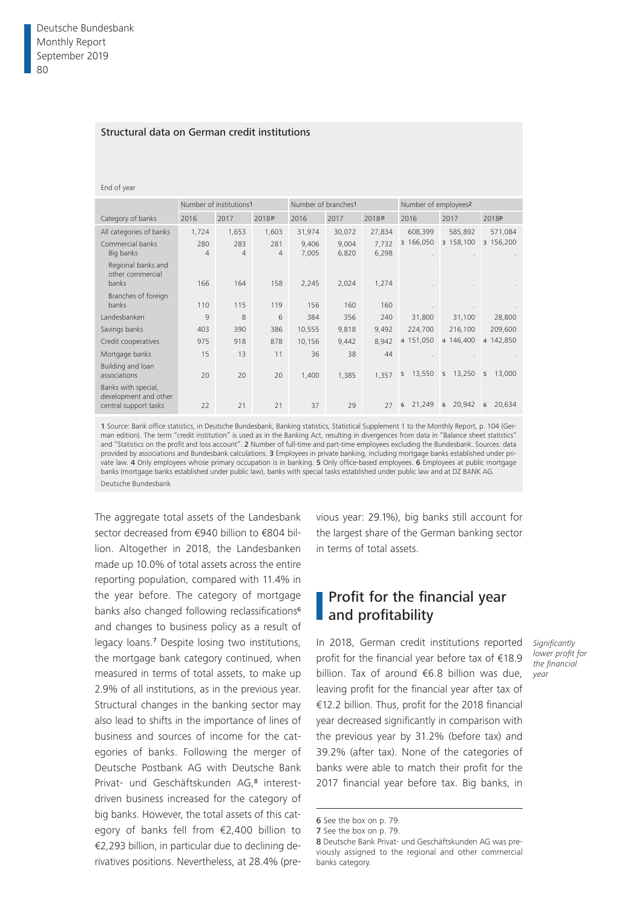### Structural data on German credit institutions

### End of year

|                                                                       |                       | Number of institutions <sup>1</sup> |                       | Number of branches <sup>1</sup> |                |                | Number of employees <sup>2</sup> |             |             |
|-----------------------------------------------------------------------|-----------------------|-------------------------------------|-----------------------|---------------------------------|----------------|----------------|----------------------------------|-------------|-------------|
| Category of banks                                                     | 2016                  | 2017                                | 2018P                 | 2016                            | 2017           | 2018P          | 2016                             | 2017        | 2018P       |
| All categories of banks                                               | 1,724                 | 1,653                               | 1,603                 | 31,974                          | 30,072         | 27,834         | 608,399                          | 585,892     | 571,084     |
| Commercial banks<br>Big banks                                         | 280<br>$\overline{4}$ | 283<br>4                            | 281<br>$\overline{4}$ | 9,406<br>7,005                  | 9,004<br>6,820 | 7,732<br>6,298 | 3 166,050                        | 3 158,100   | 3 156,200   |
| Regional banks and<br>other commercial<br>banks                       | 166                   | 164                                 | 158                   | 2,245                           | 2,024          | 1,274          |                                  |             |             |
| Branches of foreign<br>banks                                          | 110                   | 115                                 | 119                   | 156                             | 160            | 160            |                                  |             |             |
| Landesbanken                                                          | 9                     | 8                                   | 6                     | 384                             | 356            | 240            | 31,800                           | 31,100      | 28,800      |
| Savings banks                                                         | 403                   | 390                                 | 386                   | 10,555                          | 9,818          | 9,492          | 224,700                          | 216,100     | 209,600     |
| Credit cooperatives                                                   | 975                   | 918                                 | 878                   | 10,156                          | 9,442          | 8,942          | 4 151,050                        | 4 146,400   | 4 142,850   |
| Mortgage banks                                                        | 15                    | 13                                  | 11                    | 36                              | 38             | 44             |                                  |             |             |
| Building and loan<br>associations                                     | 20                    | 20                                  | 20                    | 1,400                           | 1,385          | 1,357          | 13,550<br>5                      | 13,250<br>5 | 13,000<br>5 |
| Banks with special,<br>development and other<br>central support tasks | 22                    | 21                                  | 21                    | 37                              | 29             | 27             | 21,249<br>6                      | 20,942<br>6 | 20,634<br>6 |

1 Source: Bank office statistics, in Deutsche Bundesbank, Banking statistics, Statistical Supplement 1 to the Monthly Report, p. 104 (German edition). The term "credit institution" is used as in the Banking Act, resulting in divergences from data in "Balance sheet statistics" and "Statistics on the profit and loss account". 2 Number of full-time and part-time employees excluding the Bundesbank. Sources: data provided by associations and Bundesbank calculations. 3 Employees in private banking, including mortgage banks established under private law. 4 Only employees whose primary occupation is in banking. 5 Only office-based employees. 6 Employees at public mortgage banks (mortgage banks established under public law), banks with special tasks established under public law and at DZ BANK AG. Deutsche Bundesbank

The aggregate total assets of the Landesbank sector decreased from €940 billion to €804 billion. Altogether in 2018, the Landesbanken made up 10.0% of total assets across the entire reporting population, compared with 11.4% in the year before. The category of mortgage banks also changed following reclassifications<sup>6</sup> and changes to business policy as a result of legacy loans.7 Despite losing two institutions, the mortgage bank category continued, when measured in terms of total assets, to make up 2.9% of all institutions, as in the previous year. Structural changes in the banking sector may also lead to shifts in the importance of lines of business and sources of income for the categories of banks. Following the merger of Deutsche Postbank AG with Deutsche Bank Privat- und Geschäftskunden AG,8 interestdriven business increased for the category of big banks. However, the total assets of this category of banks fell from €2,400 billion to €2,293 billion, in particular due to declining derivatives positions. Nevertheless, at 28.4% (previous year: 29.1%), big banks still account for the largest share of the German banking sector in terms of total assets.

# Profit for the financial year and profitability

In 2018, German credit institutions reported profit for the financial year before tax of €18.9 billion. Tax of around €6.8 billion was due, leaving profit for the financial year after tax of €12.2 billion. Thus, profit for the 2018 financial year decreased significantly in comparison with the previous year by 31.2% (before tax) and 39.2% (after tax). None of the categories of banks were able to match their profit for the 2017 financial year before tax. Big banks, in

*Significantly lower profit for the financial year*

<sup>6</sup> See the box on p. 79.

<sup>7</sup> See the box on p. 79.

<sup>8</sup> Deutsche Bank Privat- und Geschäftskunden AG was previously assigned to the regional and other commercial banks category.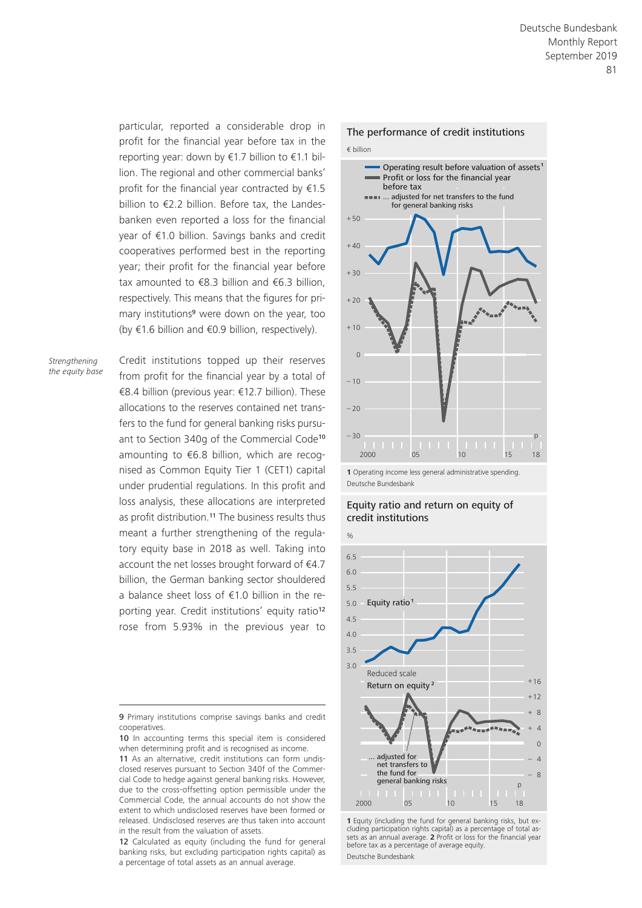particular, reported a considerable drop in profit for the financial year before tax in the reporting year: down by €1.7 billion to €1.1 billion. The regional and other commercial banks' profit for the financial year contracted by €1.5 billion to €2.2 billion. Before tax, the Landesbanken even reported a loss for the financial year of €1.0 billion. Savings banks and credit cooperatives performed best in the reporting year; their profit for the financial year before tax amounted to  $€8.3$  billion and  $€6.3$  billion, respectively. This means that the figures for primary institutions<sup>9</sup> were down on the year, too (by €1.6 billion and €0.9 billion, respectively).

*Strengthening the equity base* Credit institutions topped up their reserves from profit for the financial year by a total of €8.4 billion (previous year: €12.7 billion). These allocations to the reserves contained net transfers to the fund for general banking risks pursuant to Section 340g of the Commercial Code<sup>10</sup> amounting to €6.8 billion, which are recognised as Common Equity Tier 1 (CET1) capital under prudential regulations. In this profit and loss analysis, these allocations are interpreted as profit distribution.<sup>11</sup> The business results thus meant a further strengthening of the regulatory equity base in 2018 as well. Taking into account the net losses brought forward of €4.7 billion, the German banking sector shouldered a balance sheet loss of €1.0 billion in the reporting year. Credit institutions' equity ratio<sup>12</sup> rose from 5.93% in the previous year to

9 Primary institutions comprise savings banks and credit cooperatives.



**1** Operating income less general administrative spending. Deutsche Bundesbank





**<sup>1</sup>** Equity (including the fund for general banking risks, but excluding participation rights capital) as a percentage of total assets as an annual average. **2** Profit or loss for the financial year before tax as a percentage of average equity. Deutsche Bundesbank

<sup>10</sup> In accounting terms this special item is considered when determining profit and is recognised as income.

<sup>11</sup> As an alternative, credit institutions can form undisclosed reserves pursuant to Section 340f of the Commercial Code to hedge against general banking risks. However, due to the cross-offsetting option permissible under the Commercial Code, the annual accounts do not show the extent to which undisclosed reserves have been formed or released. Undisclosed reserves are thus taken into account in the result from the valuation of assets.

<sup>12</sup> Calculated as equity (including the fund for general banking risks, but excluding participation rights capital) as a percentage of total assets as an annual average.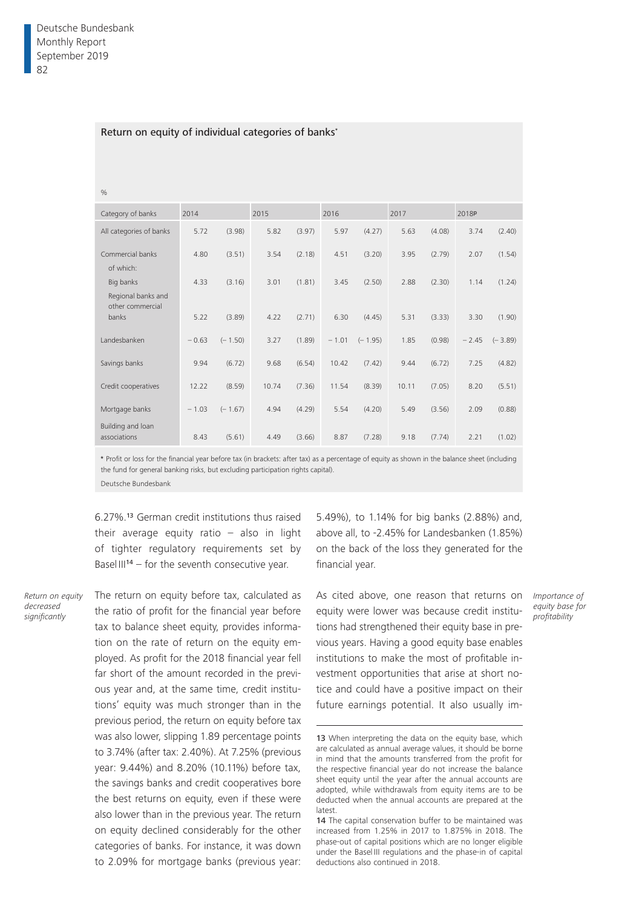|  | Return on equity of individual categories of banks* |  |
|--|-----------------------------------------------------|--|
|--|-----------------------------------------------------|--|

| Category of banks                                   | 2014    |           | 2015  |        | 2016    |           | 2017  |        | 2018P   |           |
|-----------------------------------------------------|---------|-----------|-------|--------|---------|-----------|-------|--------|---------|-----------|
| All categories of banks                             | 5.72    | (3.98)    | 5.82  | (3.97) | 5.97    | (4.27)    | 5.63  | (4.08) | 3.74    | (2.40)    |
| Commercial banks<br>of which:                       | 4.80    | (3.51)    | 3.54  | (2.18) | 4.51    | (3.20)    | 3.95  | (2.79) | 2.07    | (1.54)    |
| Big banks<br>Regional banks and<br>other commercial | 4.33    | (3.16)    | 3.01  | (1.81) | 3.45    | (2.50)    | 2.88  | (2.30) | 1.14    | (1.24)    |
| banks                                               | 5.22    | (3.89)    | 4.22  | (2.71) | 6.30    | (4.45)    | 5.31  | (3.33) | 3.30    | (1.90)    |
| Landesbanken                                        | $-0.63$ | $(-1.50)$ | 3.27  | (1.89) | $-1.01$ | $(-1.95)$ | 1.85  | (0.98) | $-2.45$ | $(-3.89)$ |
| Savings banks                                       | 9.94    | (6.72)    | 9.68  | (6.54) | 10.42   | (7.42)    | 9.44  | (6.72) | 7.25    | (4.82)    |
| Credit cooperatives                                 | 12.22   | (8.59)    | 10.74 | (7.36) | 11.54   | (8.39)    | 10.11 | (7.05) | 8.20    | (5.51)    |
| Mortgage banks                                      | $-1.03$ | $(-1.67)$ | 4.94  | (4.29) | 5.54    | (4.20)    | 5.49  | (3.56) | 2.09    | (0.88)    |
| Building and loan<br>associations                   | 8.43    | (5.61)    | 4.49  | (3.66) | 8.87    | (7.28)    | 9.18  | (7.74) | 2.21    | (1.02)    |

the fund for general banking risks, but excluding participation rights capital).

Deutsche Bundesbank

6.27%.13 German credit institutions thus raised their average equity ratio – also in light of tighter regulatory requirements set by Basel III<sup>14</sup> – for the seventh consecutive year.

*Return on equity decreased significantly*

The return on equity before tax, calculated as the ratio of profit for the financial year before tax to balance sheet equity, provides information on the rate of return on the equity employed. As profit for the 2018 financial year fell far short of the amount recorded in the previous year and, at the same time, credit institutions' equity was much stronger than in the previous period, the return on equity before tax was also lower, slipping 1.89 percentage points to 3.74% (after tax: 2.40%). At 7.25% (previous year: 9.44%) and 8.20% (10.11%) before tax, the savings banks and credit cooperatives bore the best returns on equity, even if these were also lower than in the previous year. The return on equity declined considerably for the other categories of banks. For instance, it was down to 2.09% for mortgage banks (previous year: 5.49%), to 1.14% for big banks (2.88%) and, above all, to -2.45% for Landesbanken (1.85%) on the back of the loss they generated for the financial year.

As cited above, one reason that returns on equity were lower was because credit institutions had strengthened their equity base in previous years. Having a good equity base enables institutions to make the most of profitable investment opportunities that arise at short notice and could have a positive impact on their future earnings potential. It also usually im-

<sup>13</sup> When interpreting the data on the equity base, which are calculated as annual average values, it should be borne in mind that the amounts transferred from the profit for the respective financial year do not increase the balance sheet equity until the year after the annual accounts are adopted, while withdrawals from equity items are to be deducted when the annual accounts are prepared at the latest.

<sup>14</sup> The capital conservation buffer to be maintained was increased from 1.25% in 2017 to 1.875% in 2018. The phase-out of capital positions which are no longer eligible under the Basel III regulations and the phase-in of capital deductions also continued in 2018.

*Importance of equity base for profitability*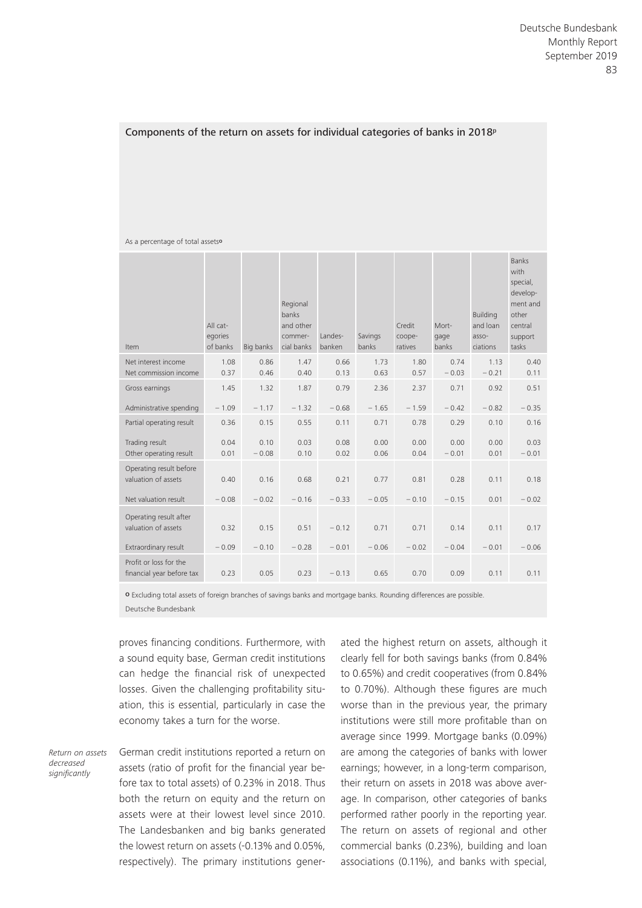### Components of the return on assets for individual categories of banks in 2018<sup>p</sup>

### As a percentage of total assets<sup>o</sup>

| Item                                                | All cat-<br>egories<br>of banks | Big banks       | Regional<br>banks<br>and other<br>commer-<br>cial banks | Landes-<br>banken | Savings<br>banks | Credit<br>coope-<br>ratives | Mort-<br>gage<br>banks | <b>Building</b><br>and loan<br>asso-<br>ciations | <b>Banks</b><br>with<br>special,<br>develop-<br>ment and<br>other<br>central<br>support<br>tasks |
|-----------------------------------------------------|---------------------------------|-----------------|---------------------------------------------------------|-------------------|------------------|-----------------------------|------------------------|--------------------------------------------------|--------------------------------------------------------------------------------------------------|
| Net interest income<br>Net commission income        | 1.08<br>0.37                    | 0.86<br>0.46    | 1.47<br>0.40                                            | 0.66<br>0.13      | 1.73<br>0.63     | 1.80<br>0.57                | 0.74<br>$-0.03$        | 1.13<br>$-0.21$                                  | 0.40<br>0.11                                                                                     |
| Gross earnings                                      | 1.45                            | 1.32            | 1.87                                                    | 0.79              | 2.36             | 2.37                        | 0.71                   | 0.92                                             | 0.51                                                                                             |
| Administrative spending                             | $-1.09$                         | $-1.17$         | $-1.32$                                                 | $-0.68$           | $-1.65$          | $-1.59$                     | $-0.42$                | $-0.82$                                          | $-0.35$                                                                                          |
| Partial operating result                            | 0.36                            | 0.15            | 0.55                                                    | 0.11              | 0.71             | 0.78                        | 0.29                   | 0.10                                             | 0.16                                                                                             |
| Trading result<br>Other operating result            | 0.04<br>0.01                    | 0.10<br>$-0.08$ | 0.03<br>0.10                                            | 0.08<br>0.02      | 0.00<br>0.06     | 0.00<br>0.04                | 0.00<br>$-0.01$        | 0.00<br>0.01                                     | 0.03<br>$-0.01$                                                                                  |
| Operating result before<br>valuation of assets      | 0.40                            | 0.16            | 0.68                                                    | 0.21              | 0.77             | 0.81                        | 0.28                   | 0.11                                             | 0.18                                                                                             |
| Net valuation result                                | $-0.08$                         | $-0.02$         | $-0.16$                                                 | $-0.33$           | $-0.05$          | $-0.10$                     | $-0.15$                | 0.01                                             | $-0.02$                                                                                          |
| Operating result after<br>valuation of assets       | 0.32                            | 0.15            | 0.51                                                    | $-0.12$           | 0.71             | 0.71                        | 0.14                   | 0.11                                             | 0.17                                                                                             |
| Extraordinary result                                | $-0.09$                         | $-0.10$         | $-0.28$                                                 | $-0.01$           | $-0.06$          | $-0.02$                     | $-0.04$                | $-0.01$                                          | $-0.06$                                                                                          |
| Profit or loss for the<br>financial year before tax | 0.23                            | 0.05            | 0.23                                                    | $-0.13$           | 0.65             | 0.70                        | 0.09                   | 0.11                                             | 0.11                                                                                             |

o Excluding total assets of foreign branches of savings banks and mortgage banks. Rounding differences are possible. Deutsche Bundesbank

proves financing conditions. Furthermore, with a sound equity base, German credit institutions can hedge the financial risk of unexpected losses. Given the challenging profitability situation, this is essential, particularly in case the economy takes a turn for the worse.

*Return on assets decreased significantly*

German credit institutions reported a return on assets (ratio of profit for the financial year before tax to total assets) of 0.23% in 2018. Thus both the return on equity and the return on assets were at their lowest level since 2010. The Landesbanken and big banks generated the lowest return on assets (-0.13% and 0.05%, respectively). The primary institutions generated the highest return on assets, although it clearly fell for both savings banks (from 0.84% to 0.65%) and credit cooperatives (from 0.84% to 0.70%). Although these figures are much worse than in the previous year, the primary institutions were still more profitable than on average since 1999. Mortgage banks (0.09%) are among the categories of banks with lower earnings; however, in a long-term comparison, their return on assets in 2018 was above average. In comparison, other categories of banks performed rather poorly in the reporting year. The return on assets of regional and other commercial banks (0.23%), building and loan associations (0.11%), and banks with special,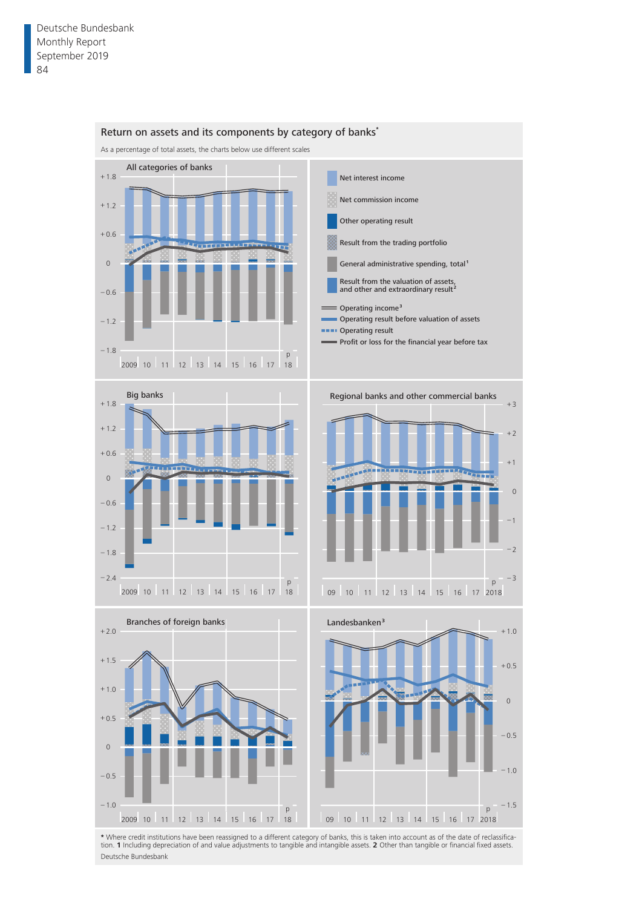

\* Where credit institutions have been reassigned to a different category of banks, this is taken into account as of the date of reclassifica-<br>tion. 1 Including depreciation of and value adjustments to tangible and intangib Deutsche Bundesbank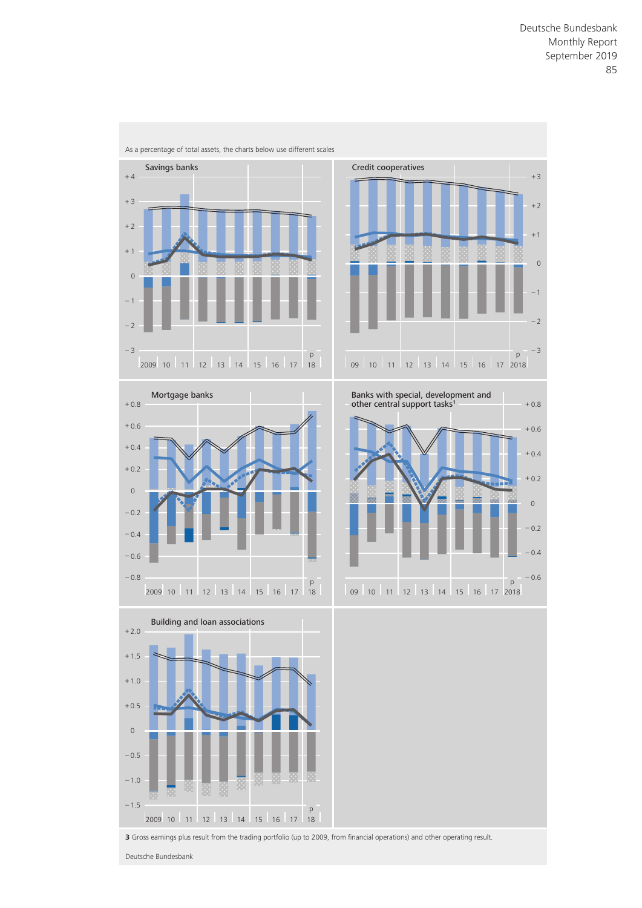

**3** Gross earnings plus result from the trading portfolio (up to 2009, from financial operations) and other operating result.

Deutsche Bundesbank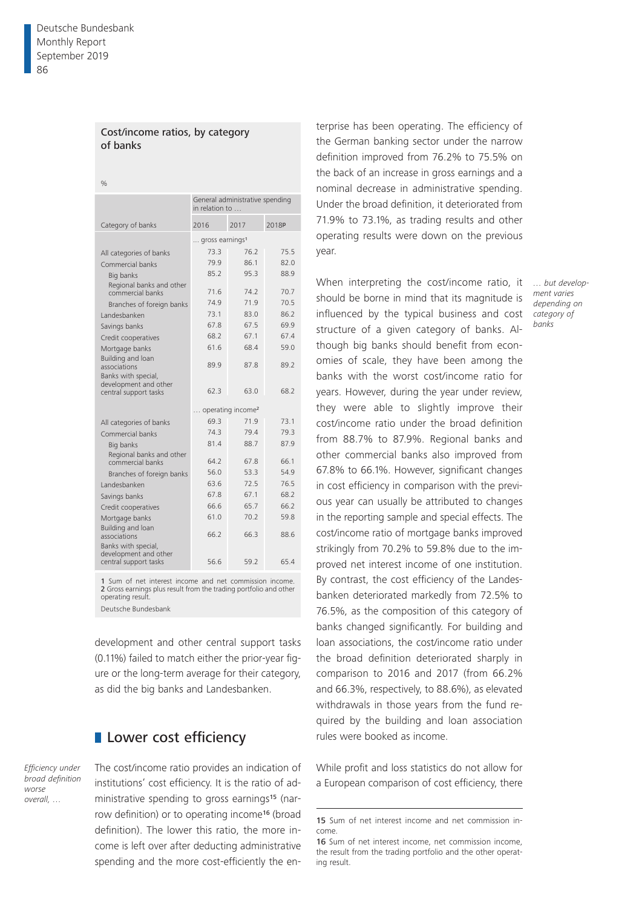### Cost/income ratios, by category of banks

 $0/2$ 

|                                                          | in relation to                | General administrative spending |       |
|----------------------------------------------------------|-------------------------------|---------------------------------|-------|
| Category of banks                                        | 2016                          | 2017                            | 2018P |
|                                                          | gross earnings <sup>1</sup>   |                                 |       |
| All categories of banks                                  | 73.3                          | 76.2                            | 75.5  |
| Commercial banks                                         | 79.9                          | 861                             | 82.0  |
| Big banks                                                | 85.2                          | 95.3                            | 88.9  |
| Regional banks and other<br>commercial banks             | 71.6                          | 747                             | 70.7  |
| Branches of foreign banks                                | 74.9                          | 71.9                            | 70.5  |
| Landesbanken                                             | 73.1                          | 83.0                            | 86.2  |
| Savings banks                                            | 678                           | 67.5                            | 69.9  |
| Credit cooperatives                                      | 68.2                          | 67.1                            | 674   |
| Mortgage banks                                           | 61.6                          | 68.4                            | 59.0  |
| Building and loan<br>associations<br>Banks with special, | 89.9                          | 87.8                            | 89.2  |
| development and other<br>central support tasks           | 62.3                          | 63.0                            | 68.2  |
|                                                          | operating income <sup>2</sup> |                                 |       |
| All categories of banks                                  | 69.3                          | 71.9                            | 73.1  |
| Commercial banks                                         | 743                           | 794                             | 79.3  |
| Big banks                                                | 81.4                          | 88.7                            | 87.9  |
| Regional banks and other<br>commercial banks             | 64.2                          | 67.8                            | 66.1  |
| Branches of foreign banks                                | 56.0                          | 53.3                            | 54.9  |
| I andesbanken                                            | 63.6                          | 72.5                            | 76.5  |
| Savings banks                                            | 678                           | 671                             | 68.2  |
| Credit cooperatives                                      | 66.6                          | 65.7                            | 66.2  |
| Mortgage banks                                           | 61.0                          | 70.2                            | 59.8  |
| Building and loan<br>associations<br>Banks with special, | 662                           | 66.3                            | 88.6  |
| development and other<br>central support tasks           | 56.6                          | 59.2                            | 65.4  |

1 Sum of net interest income and net commission income. 2 Gross earnings plus result from the trading portfolio and other operating result. Deutsche Bundesbank

development and other central support tasks (0.11%) failed to match either the prior-year figure or the long-term average for their category, as did the big banks and Landesbanken.

# **Lower cost efficiency**

*Efficiency under broad definition worse overall, …*

The cost/income ratio provides an indication of institutions' cost efficiency. It is the ratio of administrative spending to gross earnings<sup>15</sup> (narrow definition) or to operating income16 (broad definition). The lower this ratio, the more income is left over after deducting administrative spending and the more cost-efficiently the en-

terprise has been operating. The efficiency of the German banking sector under the narrow definition improved from 76.2% to 75.5% on the back of an increase in gross earnings and a nominal decrease in administrative spending. Under the broad definition, it deteriorated from 71.9% to 73.1%, as trading results and other operating results were down on the previous year.

When interpreting the cost/income ratio, it should be borne in mind that its magnitude is influenced by the typical business and cost structure of a given category of banks. Although big banks should benefit from economies of scale, they have been among the banks with the worst cost/income ratio for years. However, during the year under review, they were able to slightly improve their cost/income ratio under the broad definition from 88.7% to 87.9%. Regional banks and other commercial banks also improved from 67.8% to 66.1%. However, significant changes in cost efficiency in comparison with the previous year can usually be attributed to changes in the reporting sample and special effects. The cost/income ratio of mortgage banks improved strikingly from 70.2% to 59.8% due to the improved net interest income of one institution. By contrast, the cost efficiency of the Landesbanken deteriorated markedly from 72.5% to 76.5%, as the composition of this category of banks changed significantly. For building and loan associations, the cost/income ratio under the broad definition deteriorated sharply in comparison to 2016 and 2017 (from 66.2% and 66.3%, respectively, to 88.6%), as elevated withdrawals in those years from the fund required by the building and loan association rules were booked as income.

While profit and loss statistics do not allow for a European comparison of cost efficiency, there *… but development varies depending on category of banks*

<sup>15</sup> Sum of net interest income and net commission income.

<sup>16</sup> Sum of net interest income, net commission income, the result from the trading portfolio and the other operating result.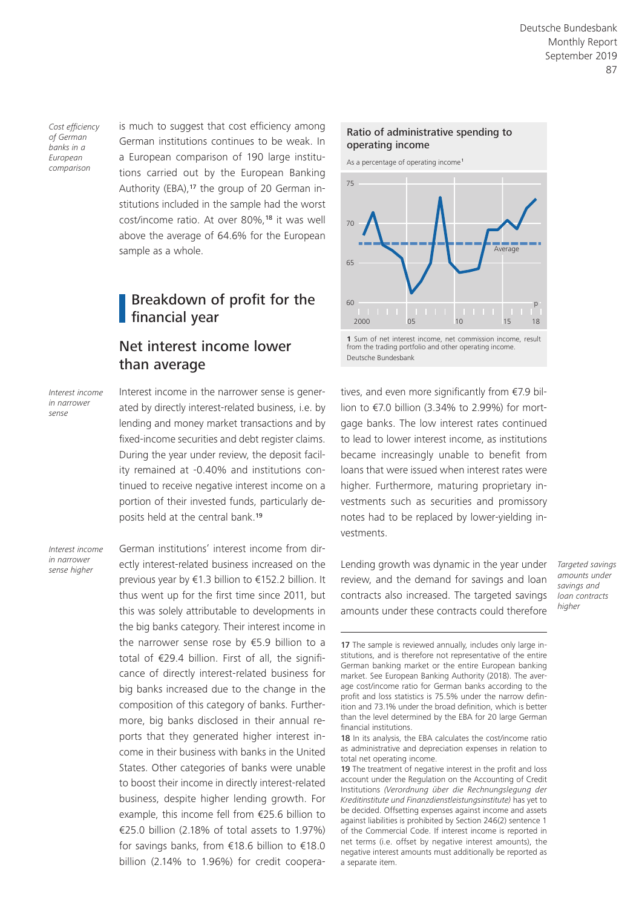*Cost efficiency of German banks in a European comparison*

is much to suggest that cost efficiency among German institutions continues to be weak. In a European comparison of 190 large institutions carried out by the European Banking Authority (EBA),17 the group of 20 German institutions included in the sample had the worst cost/income ratio. At over 80%,<sup>18</sup> it was well above the average of 64.6% for the European sample as a whole.

# Breakdown of profit for the financial year

# Net interest income lower than average

*Interest income in narrower sense*

Interest income in the narrower sense is generated by directly interest-related business, i.e. by lending and money market transactions and by fixed-income securities and debt register claims. During the year under review, the deposit facility remained at -0.40% and institutions continued to receive negative interest income on a portion of their invested funds, particularly deposits held at the central bank.<sup>19</sup>

*Interest income in narrower* 

German institutions' interest income from directly interest-related business increased on the previous year by €1.3 billion to €152.2 billion. It thus went up for the first time since 2011, but this was solely attributable to developments in the big banks category. Their interest income in the narrower sense rose by €5.9 billion to a total of €29.4 billion. First of all, the significance of directly interest-related business for big banks increased due to the change in the composition of this category of banks. Furthermore, big banks disclosed in their annual reports that they generated higher interest income in their business with banks in the United States. Other categories of banks were unable to boost their income in directly interest-related business, despite higher lending growth. For example, this income fell from €25.6 billion to €25.0 billion (2.18% of total assets to 1.97%) for savings banks, from €18.6 billion to €18.0 billion (2.14% to 1.96%) for credit coopera-Lending growth was dynamic in the year under *sense higher Targeted savings* 



As a percentage of operating income<sup>1</sup>



from the trading portfolio and other operating income. Deutsche Bundesbank

tives, and even more significantly from €7.9 billion to €7.0 billion (3.34% to 2.99%) for mortgage banks. The low interest rates continued to lead to lower interest income, as institutions became increasingly unable to benefit from loans that were issued when interest rates were higher. Furthermore, maturing proprietary investments such as securities and promissory notes had to be replaced by lower-yielding investments.

review, and the demand for savings and loan contracts also increased. The targeted savings amounts under these contracts could therefore

*amounts under savings and loan contracts higher*

<sup>17</sup> The sample is reviewed annually, includes only large institutions, and is therefore not representative of the entire German banking market or the entire European banking market. See European Banking Authority (2018). The average cost/income ratio for German banks according to the profit and loss statistics is 75.5% under the narrow definition and 73.1% under the broad definition, which is better than the level determined by the EBA for 20 large German financial institutions.

<sup>18</sup> In its analysis, the EBA calculates the cost/income ratio as administrative and depreciation expenses in relation to total net operating income.

<sup>19</sup> The treatment of negative interest in the profit and loss account under the Regulation on the Accounting of Credit Institutions *(Verordnung über die Rechnungslegung der Kreditinstitute und Finanzdienstleistungsinstitute)* has yet to be decided. Offsetting expenses against income and assets against liabilities is prohibited by Section 246(2) sentence 1 of the Commercial Code. If interest income is reported in net terms (i.e. offset by negative interest amounts), the negative interest amounts must additionally be reported as a separate item.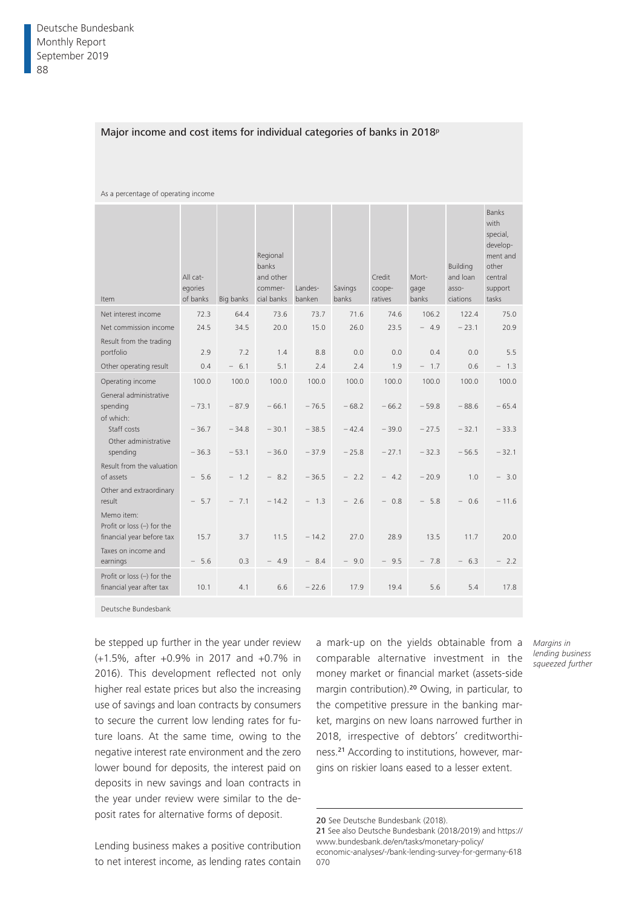### Major income and cost items for individual categories of banks in 2018<sup>p</sup>

| Item                                                                    | All cat-<br>egories<br>of banks | Big banks | Regional<br>banks<br>and other<br>commer-<br>cial banks | Landes-<br>banken | Savings<br>banks | Credit<br>coope-<br>ratives | Mort-<br>gage<br>banks | Building<br>and loan<br>asso-<br>ciations | <b>Banks</b><br>with<br>special,<br>develop-<br>ment and<br>other<br>central<br>support<br>tasks |
|-------------------------------------------------------------------------|---------------------------------|-----------|---------------------------------------------------------|-------------------|------------------|-----------------------------|------------------------|-------------------------------------------|--------------------------------------------------------------------------------------------------|
| Net interest income                                                     | 72.3                            | 64.4      | 73.6                                                    | 73.7              | 71.6             | 74.6                        | 106.2                  | 122.4                                     | 75.0                                                                                             |
| Net commission income                                                   | 24.5                            | 34.5      | 20.0                                                    | 15.0              | 26.0             | 23.5                        | $-4.9$                 | $-23.1$                                   | 20.9                                                                                             |
| Result from the trading                                                 |                                 |           |                                                         |                   |                  |                             |                        |                                           |                                                                                                  |
| portfolio                                                               | 2.9                             | 7.2       | 1.4                                                     | 8.8               | 0.0              | 0.0                         | 0.4                    | 0.0                                       | 5.5                                                                                              |
| Other operating result                                                  | 0.4                             | $-6.1$    | 5.1                                                     | 2.4               | 2.4              | 1.9                         | $-1.7$                 | 0.6                                       | $-1.3$                                                                                           |
| Operating income                                                        | 100.0                           | 100.0     | 100.0                                                   | 100.0             | 100.0            | 100.0                       | 100.0                  | 100.0                                     | 100.0                                                                                            |
| General administrative<br>spending<br>of which:                         | $-73.1$                         | $-87.9$   | $-66.1$                                                 | $-76.5$           | $-68.2$          | $-66.2$                     | $-59.8$                | $-88.6$                                   | $-65.4$                                                                                          |
| Staff costs<br>Other administrative                                     | $-36.7$                         | $-34.8$   | $-30.1$                                                 | $-38.5$           | $-42.4$          | $-39.0$                     | $-27.5$                | $-32.1$                                   | $-33.3$                                                                                          |
| spending                                                                | $-36.3$                         | $-53.1$   | $-36.0$                                                 | $-37.9$           | $-25.8$          | $-27.1$                     | $-32.3$                | $-56.5$                                   | $-32.1$                                                                                          |
| Result from the valuation<br>of assets                                  | $-5.6$                          | $-1.2$    | $-8.2$                                                  | $-36.5$           | $-2.2$           | $-4.2$                      | $-20.9$                | 1.0                                       | $-3.0$                                                                                           |
| Other and extraordinary<br>result                                       | $-5.7$                          | $-7.1$    | $-14.2$                                                 | $-1.3$            | $-2.6$           | $-0.8$                      | $-5.8$                 | $-0.6$                                    | $-11.6$                                                                                          |
| Memo item:<br>Profit or loss $(-)$ for the<br>financial year before tax | 15.7                            | 3.7       | 11.5                                                    | $-14.2$           | 27.0             | 28.9                        | 13.5                   | 11.7                                      | 20.0                                                                                             |
| Taxes on income and<br>earnings                                         | $-5.6$                          | 0.3       | 4.9                                                     | $-8.4$            | $-9.0$           | $-9.5$                      | $-7.8$                 | $-6.3$                                    | $-2.2$                                                                                           |
| Profit or loss $(-)$ for the<br>financial year after tax                | 10.1                            | 4.1       | 6.6                                                     | $-22.6$           | 17.9             | 19.4                        | 5.6                    | 5.4                                       | 17.8                                                                                             |

As a percentage of operating income

Deutsche Bundesbank

be stepped up further in the year under review (+1.5%, after +0.9% in 2017 and +0.7% in 2016). This development reflected not only higher real estate prices but also the increasing use of savings and loan contracts by consumers to secure the current low lending rates for future loans. At the same time, owing to the negative interest rate environment and the zero lower bound for deposits, the interest paid on deposits in new savings and loan contracts in the year under review were similar to the deposit rates for alternative forms of deposit.

a mark-up on the yields obtainable from a comparable alternative investment in the money market or financial market (assets-side margin contribution).20 Owing, in particular, to the competitive pressure in the banking market, margins on new loans narrowed further in 2018, irrespective of debtors' creditworthiness.21 According to institutions, however, margins on riskier loans eased to a lesser extent.

*Margins in lending business squeezed further*

21 See also Deutsche Bundesbank (2018/2019) and https:// www.bundesbank.de/en/tasks/monetary-policy/ [economic-analyses/-/bank-lending-survey-for-germany-618](https://www.bundesbank.de/en/tasks/monetary-policy/economic-analyses/-/bank-lending-survey-for-germany-618070) 070

Lending business makes a positive contribution to net interest income, as lending rates contain

<sup>20</sup> See Deutsche Bundesbank (2018).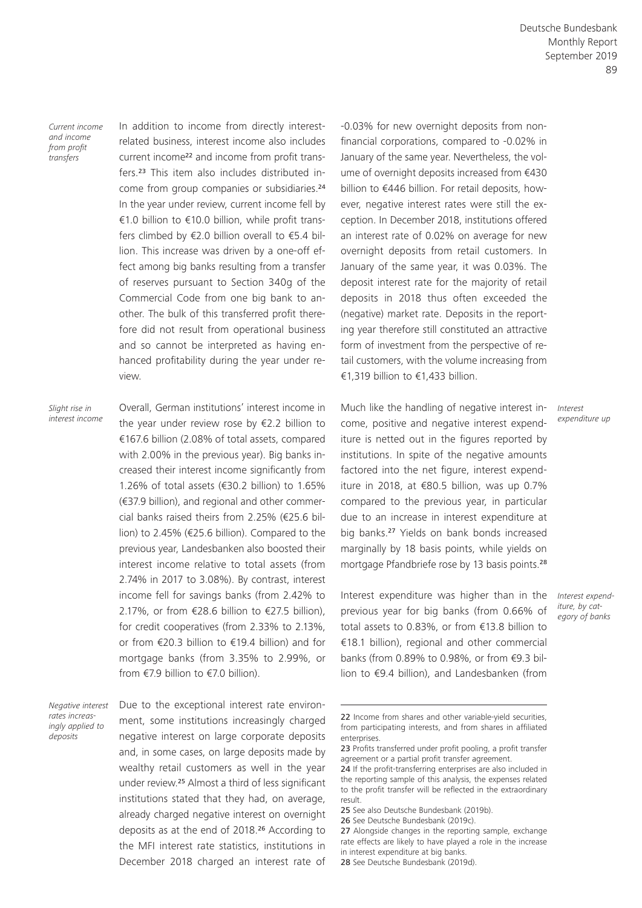*Current income and income from profit transfers*

In addition to income from directly interestrelated business, interest income also includes current income22 and income from profit transfers.23 This item also includes distributed income from group companies or subsidiaries.<sup>24</sup> In the year under review, current income fell by €1.0 billion to €10.0 billion, while profit transfers climbed by €2.0 billion overall to €5.4 billion. This increase was driven by a one-off effect among big banks resulting from a transfer of reserves pursuant to Section 340g of the Commercial Code from one big bank to another. The bulk of this transferred profit therefore did not result from operational business and so cannot be interpreted as having enhanced profitability during the year under review.

*Slight rise in interest income*

Overall, German institutions' interest income in the year under review rose by  $E$ 2.2 billion to €167.6 billion (2.08% of total assets, compared with 2.00% in the previous year). Big banks increased their interest income significantly from 1.26% of total assets (€30.2 billion) to 1.65% (€37.9 billion), and regional and other commercial banks raised theirs from 2.25% (€25.6 billion) to 2.45% (€25.6 billion). Compared to the previous year, Landesbanken also boosted their interest income relative to total assets (from 2.74% in 2017 to 3.08%). By contrast, interest income fell for savings banks (from 2.42% to 2.17%, or from €28.6 billion to €27.5 billion). for credit cooperatives (from 2.33% to 2.13%, or from €20.3 billion to €19.4 billion) and for mortgage banks (from 3.35% to 2.99%, or from €7.9 billion to €7.0 billion).

*Negative interest rates increasingly applied to deposits*

Due to the exceptional interest rate environment, some institutions increasingly charged negative interest on large corporate deposits and, in some cases, on large deposits made by wealthy retail customers as well in the year under review.25 Almost a third of less significant institutions stated that they had, on average, already charged negative interest on overnight deposits as at the end of 2018.26 According to the MFI interest rate statistics, institutions in December 2018 charged an interest rate of -0.03% for new overnight deposits from nonfinancial corporations, compared to -0.02% in January of the same year. Nevertheless, the volume of overnight deposits increased from €430 billion to €446 billion. For retail deposits, however, negative interest rates were still the exception. In December 2018, institutions offered an interest rate of 0.02% on average for new overnight deposits from retail customers. In January of the same year, it was 0.03%. The deposit interest rate for the majority of retail deposits in 2018 thus often exceeded the (negative) market rate. Deposits in the reporting year therefore still constituted an attractive form of investment from the perspective of retail customers, with the volume increasing from €1,319 billion to €1,433 billion.

Much like the handling of negative interest income, positive and negative interest expenditure is netted out in the figures reported by institutions. In spite of the negative amounts factored into the net figure, interest expenditure in 2018, at €80.5 billion, was up 0.7% compared to the previous year, in particular due to an increase in interest expenditure at big banks.27 Yields on bank bonds increased marginally by 18 basis points, while yields on mortgage Pfandbriefe rose by 13 basis points.<sup>28</sup>

Interest expenditure was higher than in the previous year for big banks (from 0.66% of total assets to 0.83%, or from €13.8 billion to €18.1 billion), regional and other commercial banks (from 0.89% to 0.98%, or from €9.3 billion to €9.4 billion), and Landesbanken [\(from](https://www.bundesbank.de/en/tasks/monetary-policy/economic-analyses/-/bank-lending-survey-for-germany-618070)

*Interest expenditure up*

*Interest expenditure, by category of banks*

<sup>22</sup> Income from shares and other variable-yield securities, from participating interests, and from shares in affiliated enterprises.

<sup>23</sup> Profits transferred under profit pooling, a profit transfer agreement or a partial profit transfer agreement.

<sup>24</sup> If the profit-transferring enterprises are also included in the reporting sample of this analysis, the expenses related to the profit transfer will be reflected in the extraordinary result.

<sup>25</sup> See also Deutsche Bundesbank (2019b).

<sup>26</sup> See Deutsche Bundesbank (2019c).

<sup>27</sup> Alongside changes in the reporting sample, exchange rate effects are likely to have played a role in the increase in interest expenditure at big banks.

<sup>28</sup> See Deutsche Bundesbank (2019d).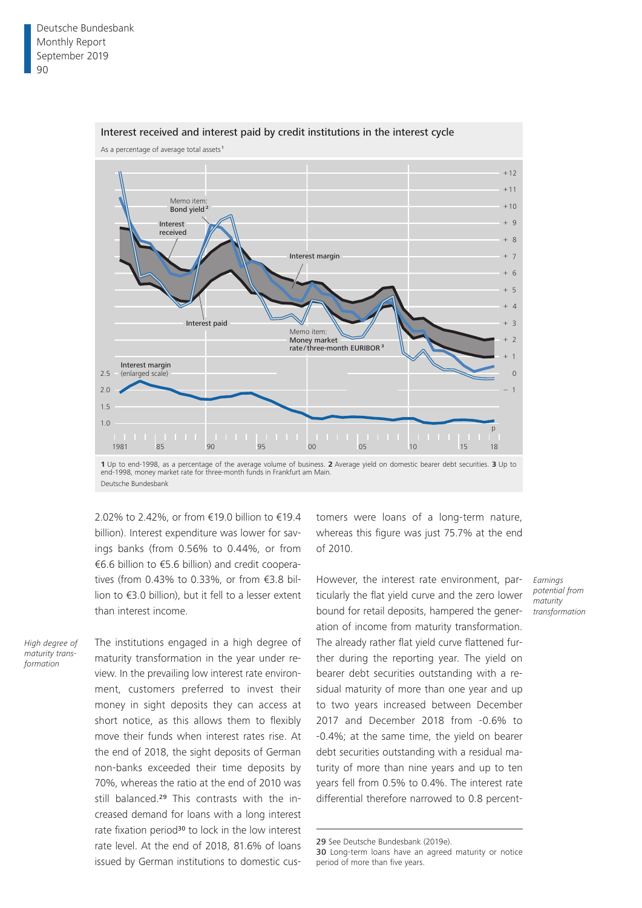

### Interest received and interest paid by credit institutions in the interest cycle

Deutsche Bundesbank

2.02% to 2.42%, or from €19.0 billion to €19.4 billion). Interest expenditure was lower for savings banks (from 0.56% to 0.44%, or from €6.6 billion to €5.6 billion) and credit cooperatives (from 0.43% to 0.33%, or from €3.8 billion to €3.0 billion), but it fell to a lesser extent than interest income.

*High degree of maturity transformation*

The institutions engaged in a high degree of maturity transformation in the year under review. In the prevailing low interest rate environment, customers preferred to invest their money in sight deposits they can access at short notice, as this allows them to flexibly move their funds when interest rates rise. At the end of 2018, the sight deposits of German non-banks exceeded their time deposits by 70%, whereas the ratio at the end of 2010 was still balanced.<sup>29</sup> This contrasts with the increased demand for loans with a long interest rate fixation period<sup>30</sup> to lock in the low interest rate level. At the end of 2018, 81.6% of loans issued by German institutions to domestic customers were loans of a long-term nature, whereas this figure was just 75.7% at the end of 2010.

However, the interest rate environment, particularly the flat yield curve and the zero lower bound for retail deposits, hampered the generation of income from maturity transformation. The already rather flat yield curve flattened further during the reporting year. The yield on bearer debt securities outstanding with a residual maturity of more than one year and up to two years increased between December 2017 and December 2018 from -0.6% to -0.4%; at the same time, the yield on bearer debt securities outstanding with a residual maturity of more than nine years and up to ten years fell from 0.5% to 0.4%. The interest rate differential therefore narrowed to 0.8 percent-

29 See Deutsche Bundesbank (2019e).

*Earnings potential from maturity transformation*

<sup>30</sup> Long-term loans have an agreed maturity or notice period of more than five years.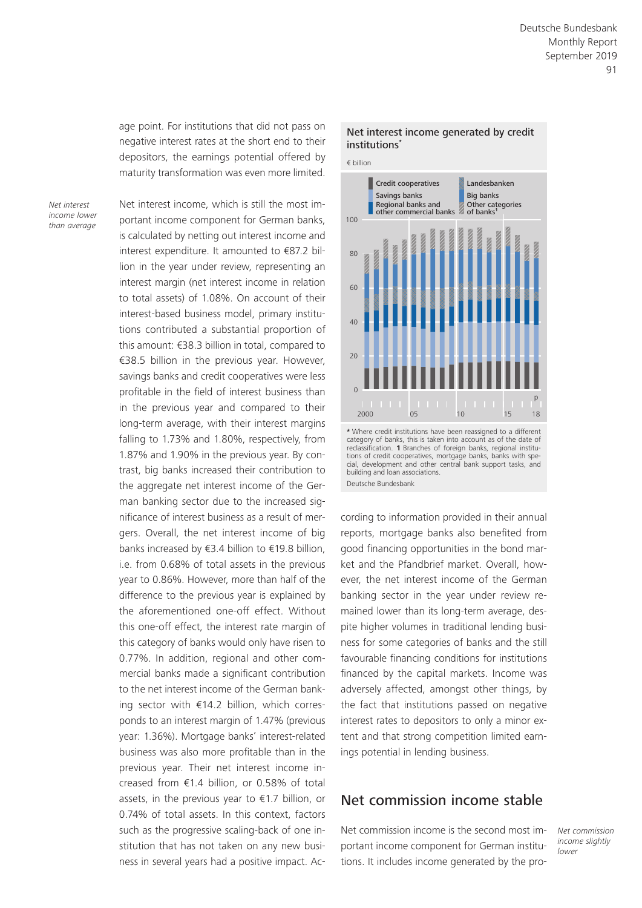age point. For institutions that did not pass on negative interest rates at the short end to their depositors, the earnings potential offered by maturity transformation was even more limited.

*Net interest income lower than average*

Net interest income, which is still the most important income component for German banks, is calculated by netting out interest income and interest expenditure. It amounted to €87.2 billion in the year under review, representing an interest margin (net interest income in relation to total assets) of 1.08%. On account of their interest-based business model, primary institutions contributed a substantial proportion of this amount: €38.3 billion in total, compared to €38.5 billion in the previous year. However, savings banks and credit cooperatives were less profitable in the field of interest business than in the previous year and compared to their long-term average, with their interest margins falling to 1.73% and 1.80%, respectively, from 1.87% and 1.90% in the previous year. By contrast, big banks increased their contribution to the aggregate net interest income of the German banking sector due to the increased significance of interest business as a result of mergers. Overall, the net interest income of big banks increased by €3.4 billion to €19.8 billion, i.e. from 0.68% of total assets in the previous year to 0.86%. However, more than half of the difference to the previous year is explained by the aforementioned one-off effect. Without this one-off effect, the interest rate margin of this category of banks would only have risen to 0.77%. In addition, regional and other commercial banks made a significant contribution to the net interest income of the German banking sector with €14.2 billion, which corresponds to an interest margin of 1.47% (previous year: 1.36%). Mortgage banks' interest-related business was also more profitable than in the previous year. Their net interest income increased from €1.4 billion, or 0.58% of total assets, in the previous year to €1.7 billion, or 0.74% of total assets. In this context, factors such as the progressive scaling-back of one institution that has not taken on any new business in several years had a positive impact. Ac-





**<sup>\*</sup>** Where credit institutions have been reassigned to a different category of banks, this is taken into account as of the date of reclassification. **1** Branches of foreign banks, regional institutions of credit cooperatives, mortgage banks, banks with spe-cial, development and other central bank support tasks, and building and loan associations. Deutsche Bundesbank

cording to information provided in their annual reports, mortgage banks also benefited from good financing opportunities in the bond market and the Pfandbrief market. Overall, however, the net interest income of the German banking sector in the year under review remained lower than its long-term average, despite higher volumes in traditional lending business for some categories of banks and the still favourable financing conditions for institutions financed by the capital markets. Income was adversely affected, amongst other things, by the fact that institutions passed on negative interest rates to depositors to only a minor extent and that strong competition limited earnings potential in lending business.

# Net commission income stable

Net commission income is the second most important income component for German institutions. It includes income generated by the pro*Net commission income slightly lower*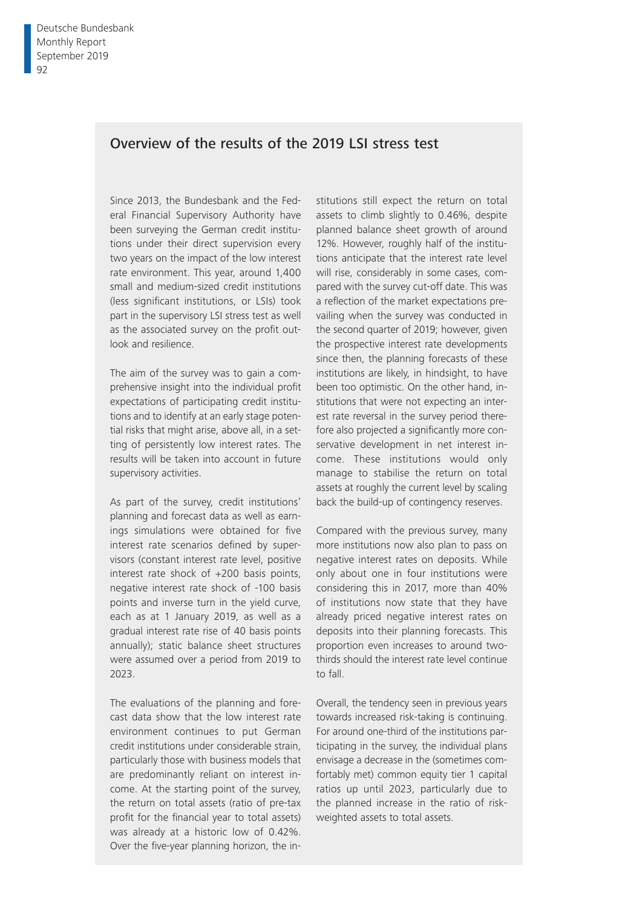# Overview of the results of the 2019 LSI stress test

Since 2013, the Bundesbank and the Federal Financial Supervisory Authority have been surveying the German credit institutions under their direct supervision every two years on the impact of the low interest rate environment. This year, around 1,400 small and medium-sized credit institutions (less significant institutions, or LSIs) took part in the supervisory LSI stress test as well as the associated survey on the profit outlook and resilience.

The aim of the survey was to gain a comprehensive insight into the individual profit expectations of participating credit institutions and to identify at an early stage potential risks that might arise, above all, in a setting of persistently low interest rates. The results will be taken into account in future supervisory activities.

As part of the survey, credit institutions' planning and forecast data as well as earnings simulations were obtained for five interest rate scenarios defined by supervisors (constant interest rate level, positive interest rate shock of +200 basis points, negative interest rate shock of -100 basis points and inverse turn in the yield curve, each as at 1 January 2019, as well as a gradual interest rate rise of 40 basis points annually); static balance sheet structures were assumed over a period from 2019 to 2023.

The evaluations of the planning and forecast data show that the low interest rate environment continues to put German credit institutions under considerable strain, particularly those with business models that are predominantly reliant on interest income. At the starting point of the survey, the return on total assets (ratio of pre-tax profit for the financial year to total assets) was already at a historic low of 0.42%. Over the five-year planning horizon, the institutions still expect the return on total assets to climb slightly to 0.46%, despite planned balance sheet growth of around 12%. However, roughly half of the institutions anticipate that the interest rate level will rise, considerably in some cases, compared with the survey cut-off date. This was a reflection of the market expectations prevailing when the survey was conducted in the second quarter of 2019; however, given the prospective interest rate developments since then, the planning forecasts of these institutions are likely, in hindsight, to have been too optimistic. On the other hand, institutions that were not expecting an interest rate reversal in the survey period therefore also projected a significantly more conservative development in net interest income. These institutions would only manage to stabilise the return on total assets at roughly the current level by scaling back the build-up of contingency reserves.

Compared with the previous survey, many more institutions now also plan to pass on negative interest rates on deposits. While only about one in four institutions were considering this in 2017, more than 40% of institutions now state that they have already priced negative interest rates on deposits into their planning forecasts. This proportion even increases to around twothirds should the interest rate level continue to fall.

Overall, the tendency seen in previous years towards increased risk-taking is continuing. For around one-third of the institutions participating in the survey, the individual plans envisage a decrease in the (sometimes comfortably met) common equity tier 1 capital ratios up until 2023, particularly due to the planned increase in the ratio of riskweighted assets to total assets.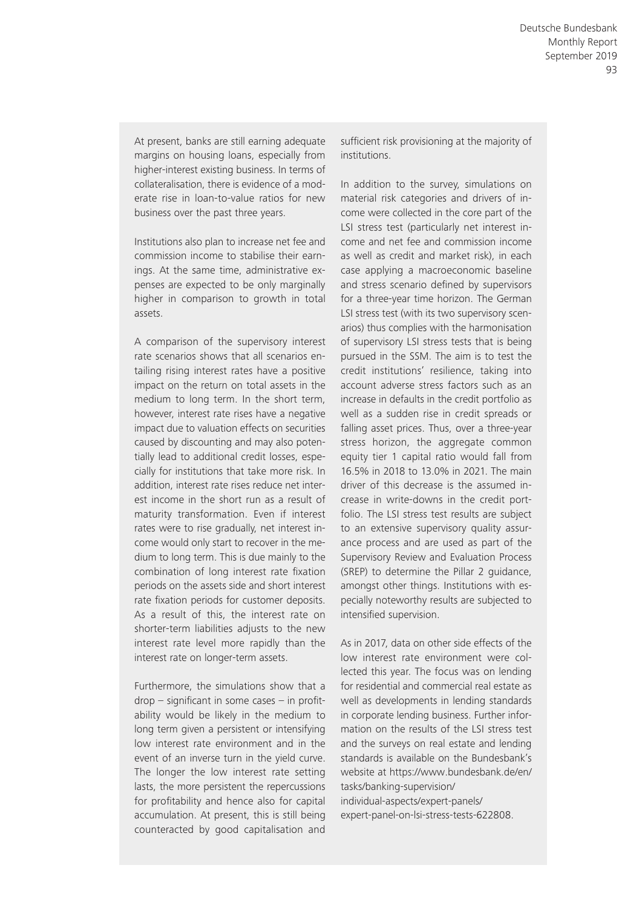At present, banks are still earning adequate margins on housing loans, especially from higher-interest existing business. In terms of collateralisation, there is evidence of a moderate rise in loan-to-value ratios for new business over the past three years.

Institutions also plan to increase net fee and commission income to stabilise their earnings. At the same time, administrative expenses are expected to be only marginally higher in comparison to growth in total assets.

A comparison of the supervisory interest rate scenarios shows that all scenarios entailing rising interest rates have a positive impact on the return on total assets in the medium to long term. In the short term, however, interest rate rises have a negative impact due to valuation effects on securities caused by discounting and may also potentially lead to additional credit losses, especially for institutions that take more risk. In addition, interest rate rises reduce net interest income in the short run as a result of maturity transformation. Even if interest rates were to rise gradually, net interest income would only start to recover in the medium to long term. This is due mainly to the combination of long interest rate fixation periods on the assets side and short interest rate fixation periods for customer deposits. As a result of this, the interest rate on shorter-term liabilities adjusts to the new interest rate level more rapidly than the interest rate on longer-term assets.

Furthermore, the simulations show that a  $drop - significant in some cases - in profit$ ability would be likely in the medium to long term given a persistent or intensifying low interest rate environment and in the event of an inverse turn in the yield curve. The longer the low interest rate setting lasts, the more persistent the repercussions for profitability and hence also for capital accumulation. At present, this is still being counteracted by good capitalisation and

sufficient risk provisioning at the majority of institutions.

In addition to the survey, simulations on material risk categories and drivers of income were collected in the core part of the LSI stress test (particularly net interest income and net fee and commission income as well as credit and market risk), in each case applying a macroeconomic baseline and stress scenario defined by supervisors for a three-year time horizon. The German LSI stress test (with its two supervisory scenarios) thus complies with the harmonisation of supervisory LSI stress tests that is being pursued in the SSM. The aim is to test the credit institutions' resilience, taking into account adverse stress factors such as an increase in defaults in the credit portfolio as well as a sudden rise in credit spreads or falling asset prices. Thus, over a three-year stress horizon, the aggregate common equity tier 1 capital ratio would fall from 16.5% in 2018 to 13.0% in 2021. The main driver of this decrease is the assumed increase in write-downs in the credit portfolio. The LSI stress test results are subject to an extensive supervisory quality assurance process and are used as part of the Supervisory Review and Evaluation Process (SREP) to determine the Pillar 2 guidance, amongst other things. Institutions with especially noteworthy results are subjected to intensified supervision.

As in 2017, data on other side effects of the low interest rate environment were collected this year. The focus was on lending for residential and commercial real estate as well as developments in lending standards in corporate lending business. Further information on the results of the LSI stress test and the surveys on real estate and lending standards is available on the Bundesbank's [website at https://www.bundesbank.de/en/](https://www.bundesbank.de/en/tasks/banking-supervision/individual-aspects/expert-panels/expert-panel-on-lsi-stress-tests-622808) tasks/banking-supervision/

individual-aspects/expert-panels/ expert-panel-on-lsi-stress-tests-622808.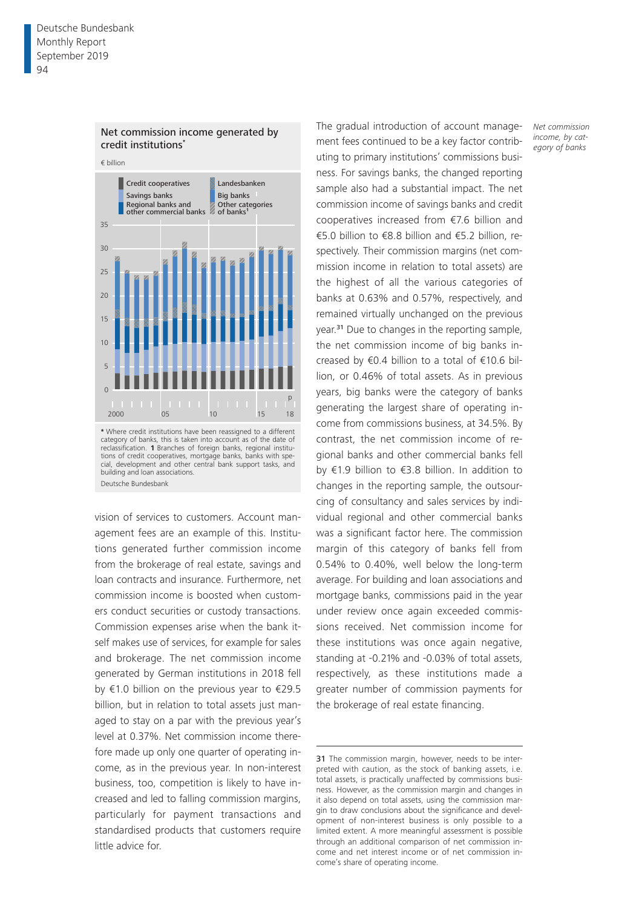

### Net commission income generated by credit institutions**\***

vision of services to customers. Account management fees are an example of this. Institutions generated further commission income from the brokerage of real estate, savings and loan contracts and insurance. Furthermore, net commission income is boosted when customers conduct securities or custody transactions. building and loan associations. Deutsche Bundesbank

Commission expenses arise when the bank itself makes use of services, for example for sales and brokerage. The net commission income generated by German institutions in 2018 fell by €1.0 billion on the previous year to €29.5 billion, but in relation to total assets just managed to stay on a par with the previous year's level at 0.37%. Net commission income therefore made up only one quarter of operating income, as in the previous year. In non-interest business, too, competition is likely to have increased and led to falling commission margins, particularly for payment transactions and standardised products that customers require little advice for.

The gradual introduction of account management fees continued to be a key factor contributing to primary institutions' commissions business. For savings banks, the changed reporting sample also had a substantial impact. The net commission income of savings banks and credit cooperatives increased from €7.6 billion and €5.0 billion to €8.8 billion and €5.2 billion, respectively. Their commission margins (net commission income in relation to total assets) are the highest of all the various categories of banks at 0.63% and 0.57%, respectively, and remained virtually unchanged on the previous year.31 Due to changes in the reporting sample, the net commission income of big banks increased by €0.4 billion to a total of €10.6 billion, or 0.46% of total assets. As in previous years, big banks were the category of banks generating the largest share of operating income from commissions business, at 34.5%. By contrast, the net commission income of regional banks and other commercial banks fell by €1.9 billion to €3.8 billion. In addition to changes in the reporting sample, the outsourcing of consultancy and sales services by individual regional and other commercial banks was a significant factor here. The commission margin of this category of banks fell from 0.54% to 0.40%, well below the long-term average. For building and loan associations and mortgage banks, commissions paid in the year under review once again exceeded commissions received. Net commission income for these institutions was once again negative, standing at -0.21% and -0.03% of total assets, respectively, as these institutions made a greater number of commission payments for the brokerage of real estate financing.

*Net commission income, by category of banks*

<sup>31</sup> The commission margin, however, needs to be interpreted with caution, as the stock of banking assets, i.e. total assets, is practically unaffected by commissions business. However, as the commission margin and changes in it also depend on total assets, using the commission margin to draw conclusions about the significance and development of non-interest business is only possible to a limited extent. A more meaningful assessment is possible through an additional comparison of net commission income and net interest income or of net commission income's share of operating income.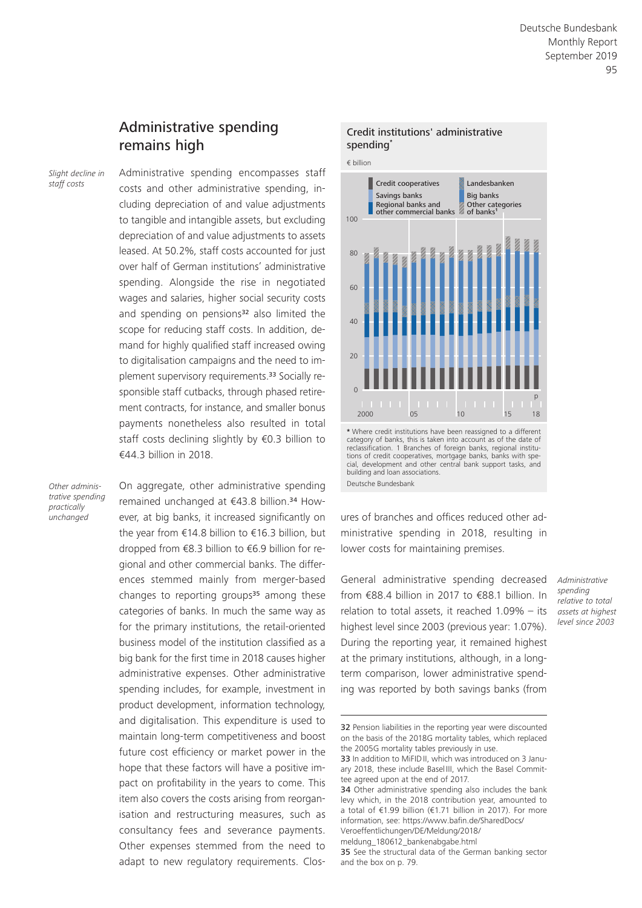# Administrative spending remains high

*Slight decline in staff costs*

Administrative spending encompasses staff costs and other administrative spending, including depreciation of and value adjustments to tangible and intangible assets, but excluding depreciation of and value adjustments to assets leased. At 50.2%, staff costs accounted for just over half of German institutions' administrative spending. Alongside the rise in negotiated wages and salaries, higher social security costs and spending on pensions<sup>32</sup> also limited the scope for reducing staff costs. In addition, demand for highly qualified staff increased owing to digitalisation campaigns and the need to implement supervisory requirements.33 Socially responsible staff cutbacks, through phased retirement contracts, for instance, and smaller bonus payments nonetheless also resulted in total staff costs declining slightly by €0.3 billion to €44.3 billion in 2018.

*Other administrative spending practically unchanged*

On aggregate, other administrative spending remained unchanged at €43.8 billion.34 However, at big banks, it increased significantly on the year from €14.8 billion to €16.3 billion, but dropped from €8.3 billion to €6.9 billion for regional and other commercial banks. The differences stemmed mainly from merger-based changes to reporting groups $35$  among these categories of banks. In much the same way as for the primary institutions, the retail-oriented business model of the institution classified as a big bank for the first time in 2018 causes higher administrative expenses. Other administrative spending includes, for example, investment in product development, information technology, and digitalisation. This expenditure is used to maintain long-term competitiveness and boost future cost efficiency or market power in the hope that these factors will have a positive impact on profitability in the years to come. This item also covers the costs arising from reorganisation and restructuring measures, such as consultancy fees and severance payments. Other expenses stemmed from the need to adapt to new regulatory requirements. Clos-



Credit institutions' administrative

ures of branches and offices reduced other administrative spending in 2018, resulting in lower costs for maintaining premises.

General administrative spending decreased from €88.4 billion in 2017 to €88.1 billion. In relation to total assets, it reached 1.09% – its highest level since 2003 (previous year: 1.07%). During the reporting year, it remained highest at the primary institutions, although, in a longterm comparison, lower administrative spending was reported by both savings banks (from

*Administrative spending relative to total assets at highest level since 2003*

[meldung\\_180612\\_bankenabgabe.html](https://www.bafin.de/SharedDocs/Veroeffentlichungen/DE/Meldung/2018/meldung_180612_bankenabgabe.html)

category of banks, this is taken into account as of the date of reclassification. 1 Branches of foreign banks, regional institutions of credit cooperatives, mortgage banks, banks with special, development and other central bank support tasks, and building and loan associations. Deutsche Bundesbank

<sup>32</sup> Pension liabilities in the reporting year were discounted on the basis of the 2018G mortality tables, which replaced the 2005G mortality tables previously in use.

<sup>33</sup> In addition to MiFIDII, which was introduced on 3 January 2018, these include Basel III, which the Basel Committee agreed upon at the end of 2017.

<sup>34</sup> Other administrative spending also includes the bank levy which, in the 2018 contribution year, amounted to a total of €1.99 billion (€1.71 billion in 2017). For more information, see: [https://www.bafin.de/SharedDocs/](https://www.bafin.de/SharedDocs/Veroeffentlichungen/DE/Meldung/2018/meldung_180612_bankenabgabe.html) [Veroeffentlichungen/DE/Meldung/2018/](https://www.bafin.de/SharedDocs/Veroeffentlichungen/DE/Meldung/2018/meldung_180612_bankenabgabe.html)

<sup>35</sup> See the structural data of the German banking sector and the box on p. 79.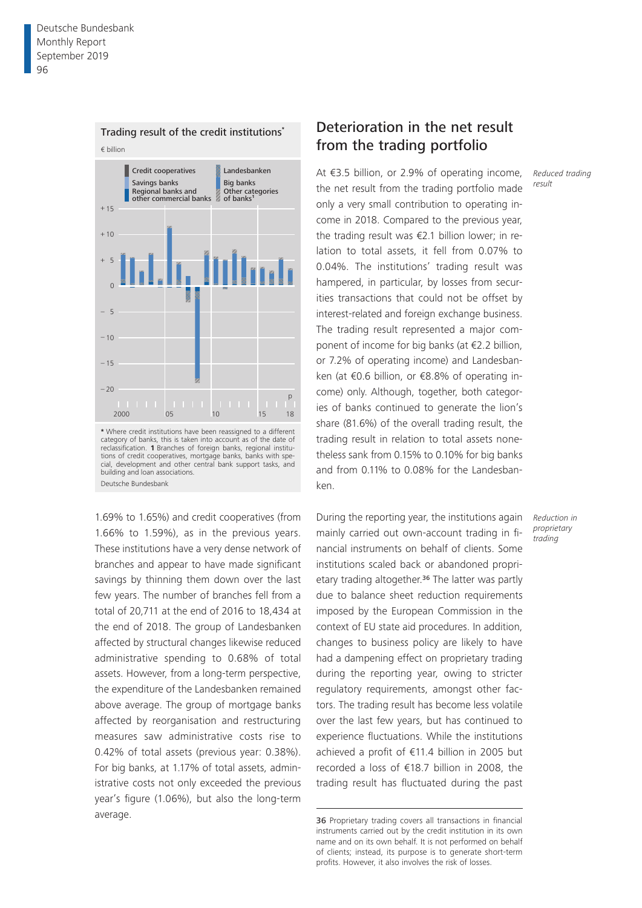

tions of credit cooperatives, mortgage banks, banks with special, development and other central bank support tasks, and

building and loan associations. Deutsche Bundesbank

# Deterioration in the net result from the trading portfolio

At €3.5 billion, or 2.9% of operating income, the net result from the trading portfolio made only a very small contribution to operating income in 2018. Compared to the previous year, the trading result was €2.1 billion lower; in relation to total assets, it fell from 0.07% to 0.04%. The institutions' trading result was hampered, in particular, by losses from securities transactions that could not be offset by interest-related and foreign exchange business. The trading result represented a major component of income for big banks (at €2.2 billion, or 7.2% of operating income) and Landesbanken (at €0.6 billion, or €8.8% of operating income) only. Although, together, both categories of banks continued to generate the lion's share (81.6%) of the overall trading result, the trading result in relation to total assets nonetheless sank from 0.15% to 0.10% for big banks and from 0.11% to 0.08% for the Landesbanken.

1.69% to 1.65%) and credit cooperatives (from 1.66% to 1.59%), as in the previous years. These institutions have a very dense network of branches and appear to have made significant savings by thinning them down over the last few years. The number of branches fell from a total of 20,711 at the end of 2016 to 18,434 at the end of 2018. The group of Landesbanken affected by structural changes likewise reduced administrative spending to 0.68% of total assets. However, from a long-term perspective, the expenditure of the Landesbanken remained above average. The group of mortgage banks affected by reorganisation and restructuring measures saw administrative costs rise to 0.42% of total assets (previous year: 0.38%). For big banks, at 1.17% of total assets, administrative costs not only exceeded the previous year's figure (1.06%), but also the long-term average.

During the reporting year, the institutions again mainly carried out own-account trading in financial instruments on behalf of clients. Some institutions scaled back or abandoned proprietary trading altogether.<sup>36</sup> The latter was partly due to balance sheet reduction requirements imposed by the European Commission in the context of EU state aid procedures. In addition, changes to business policy are likely to have had a dampening effect on proprietary trading during the reporting year, owing to stricter regulatory requirements, amongst other factors. The trading result has become less volatile over the last few years, but has continued to experience fluctuations. While the institutions achieved a profit of €11.4 billion in 2005 but recorded a loss of €18.7 billion in 2008, the trading result has fluctuated during the past *Reduced trading result*

*Reduction in proprietary trading*

<sup>36</sup> Proprietary trading covers all transactions in financial instruments carried out by the credit institution in its own name and on its own behalf. It is not performed on behalf of clients; instead, its purpose is to generate short-term profits. However, it also involves the risk of losses.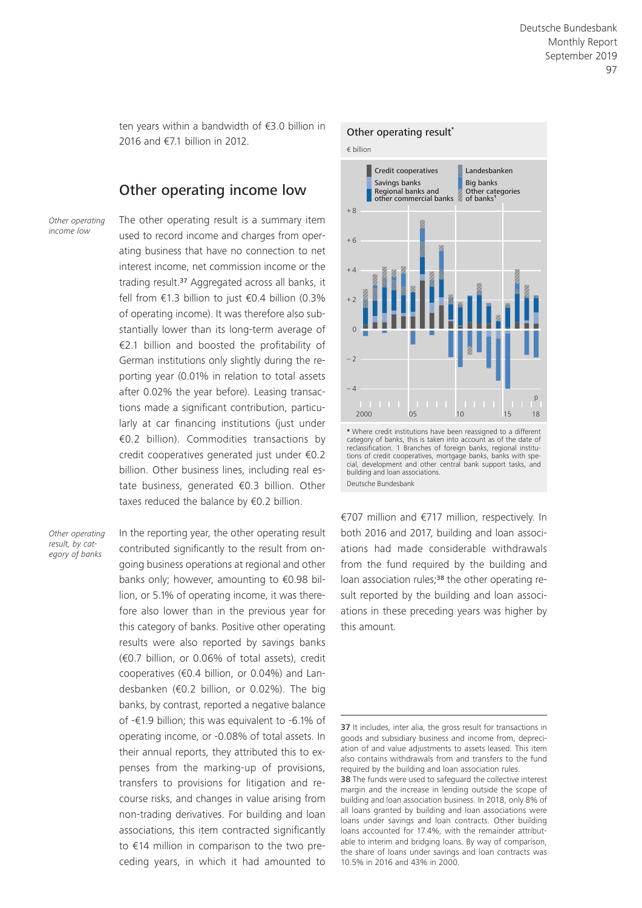ten years within a bandwidth of €3.0 billion in 2016 and €7.1 billion in 2012.

# Other operating income low

*Other operating income low*

The other operating result is a summary item used to record income and charges from operating business that have no connection to net interest income, net commission income or the trading result.<sup>37</sup> Aggregated across all banks, it fell from €1.3 billion to just  $€0.4$  billion (0.3% of operating income). It was therefore also substantially lower than its long-term average of €2.1 billion and boosted the profitability of German institutions only slightly during the reporting year (0.01% in relation to total assets after 0.02% the year before). Leasing transactions made a significant contribution, particularly at car financing institutions (just under €0.2 billion). Commodities transactions by credit cooperatives generated just under €0.2 billion. Other business lines, including real estate business, generated €0.3 billion. Other taxes reduced the balance by €0.2 billion.

*Other operating result, by category of banks*

In the reporting year, the other operating result contributed significantly to the result from ongoing business operations at regional and other banks only; however, amounting to €0.98 billion, or 5.1% of operating income, it was therefore also lower than in the previous year for this category of banks. Positive other operating results were also reported by savings banks (€0.7 billion, or 0.06% of total assets), credit cooperatives (€0.4 billion, or 0.04%) and Landesbanken (€0.2 billion, or 0.02%). The big banks, by contrast, reported a negative balance of -€1.9 billion; this was equivalent to -6.1% of operating income, or -0.08% of total assets. In their annual reports, they attributed this to expenses from the marking-up of provisions, transfers to provisions for litigation and recourse risks, and changes in value arising from non-trading derivatives. For building and loan associations, this item contracted significantly to €14 million in comparison to the two preceding years, in which it had amounted to



€707 million and €717 million, respectively. In both 2016 and 2017, building and loan associations had made considerable withdrawals from the fund required by the building and loan association rules;<sup>38</sup> the other operating result reported by the building and loan associations in these preceding years was higher by this amount.

Deutsche Bundesbank

<sup>37</sup> It includes, inter alia, the gross result for transactions in goods and subsidiary business and income from, depreciation of and value adjustments to assets leased. This item also contains withdrawals from and transfers to the fund required by the building and loan association rules.

<sup>38</sup> The funds were used to safeguard the collective interest margin and the increase in lending outside the scope of building and loan association business. In 2018, only 8% of all loans granted by building and loan associations were loans under savings and loan contracts. Other building loans accounted for 17.4%, with the remainder attributable to interim and bridging loans. By way of comparison, the share of loans under savings and loan contracts was 10.5% in 2016 and 43% in 2000.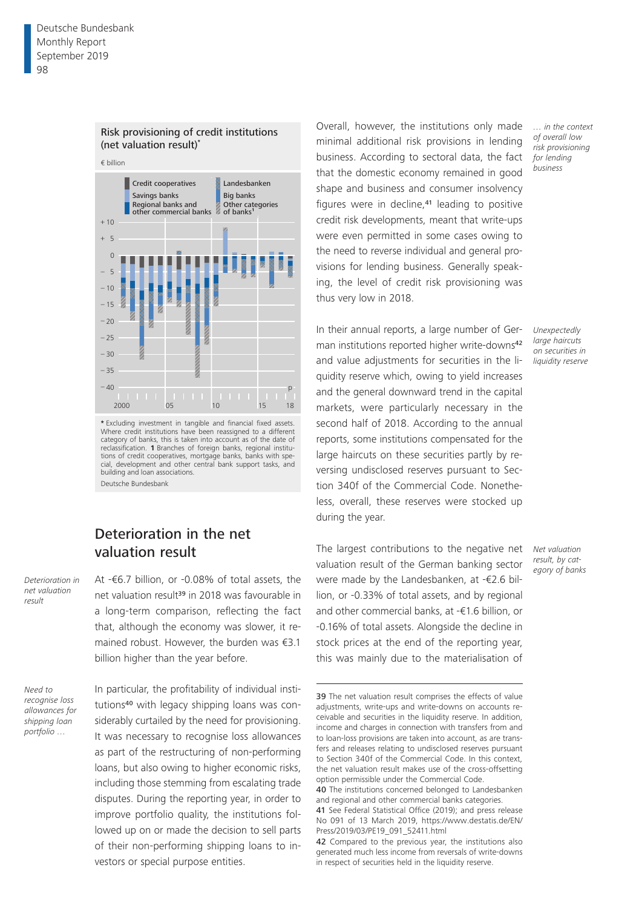

Risk provisioning of credit institutions

**\*** Excluding investment in tangible and financial fixed assets. Where credit institutions have been reassigned to a different category of banks, this is taken into account as of the date of reclassification. **1** Branches of foreign banks, regional institutions of credit cooperatives, mortgage banks, banks with special, development and other central bank support tasks, and building and loan associations. Deutsche Bundesbank

# Deterioration in the net valuation result

At -€6.7 billion, or -0.08% of total assets, the net valuation result<sup>39</sup> in 2018 was favourable in a long-term comparison, reflecting the fact that, although the economy was slower, it remained robust. However, the burden was €3.1 billion higher than the year before.

*Need to recognise loss allowances for shipping loan portfolio …*

*Deterioration in net valuation result*

> In particular, the profitability of individual institutions40 with legacy shipping loans was considerably curtailed by the need for provisioning. It was necessary to recognise loss allowances as part of the restructuring of non-performing loans, but also owing to higher economic risks, including those stemming from escalating trade disputes. During the reporting year, in order to improve portfolio quality, the institutions followed up on or made the decision to sell parts of their non-performing shipping loans to investors or special purpose entities.

Overall, however, the institutions only made minimal additional risk provisions in lending business. According to sectoral data, the fact that the domestic economy remained in good shape and business and consumer insolvency figures were in decline,<sup>41</sup> leading to positive credit risk developments, meant that write-ups were even permitted in some cases owing to the need to reverse individual and general provisions for lending business. Generally speaking, the level of credit risk provisioning was thus very low in 2018.

In their annual reports, a large number of German institutions reported higher write-downs<sup>42</sup> and value adjustments for securities in the liquidity reserve which, owing to yield increases and the general downward trend in the capital markets, were particularly necessary in the second half of 2018. According to the annual reports, some institutions compensated for the large haircuts on these securities partly by reversing undisclosed reserves pursuant to Section 340f of the Commercial Code. Nonetheless, overall, these reserves were stocked up during the year.

The largest contributions to the negative net valuation result of the German banking sector were made by the Landesbanken, at -€2.6 billion, or -0.33% of total assets, and by regional and other commercial banks, at -€1.6 billion, or -0.16% of total assets. Alongside the decline in stock prices at the end of the reporting year, this was mainly due to the materialisation of

*… in the context of overall low risk provisioning for lending business*

*Unexpectedly large haircuts on securities in liquidity reserve*

<sup>39</sup> The net valuation result comprises the effects of value adjustments, write-ups and write-downs on accounts receivable and securities in the liquidity reserve. In addition, income and charges in connection with transfers from and to loan-loss provisions are taken into account, as are transfers and releases relating to undisclosed reserves pursuant to Section 340f of the Commercial Code. In this context, the net valuation result makes use of the cross-offsetting option permissible under the Commercial Code.

<sup>40</sup> The institutions concerned belonged to Landesbanken and regional and other commercial banks categories.

<sup>41</sup> See Federal Statistical Office (2019); and press release No 091 of 13 March 2019, [https://www.destatis.de/EN/](https://www.destatis.de/EN/Press/2019/03/PE19_091_52411.html) [Press/2019/03/PE19\\_091\\_52411.html](https://www.destatis.de/EN/Press/2019/03/PE19_091_52411.html)

<sup>42</sup> Compared to the previous year, the institutions also generated much less income from reversals of write-downs in respect of securities held in the liquidity reserve.

*Net valuation result, by category of banks*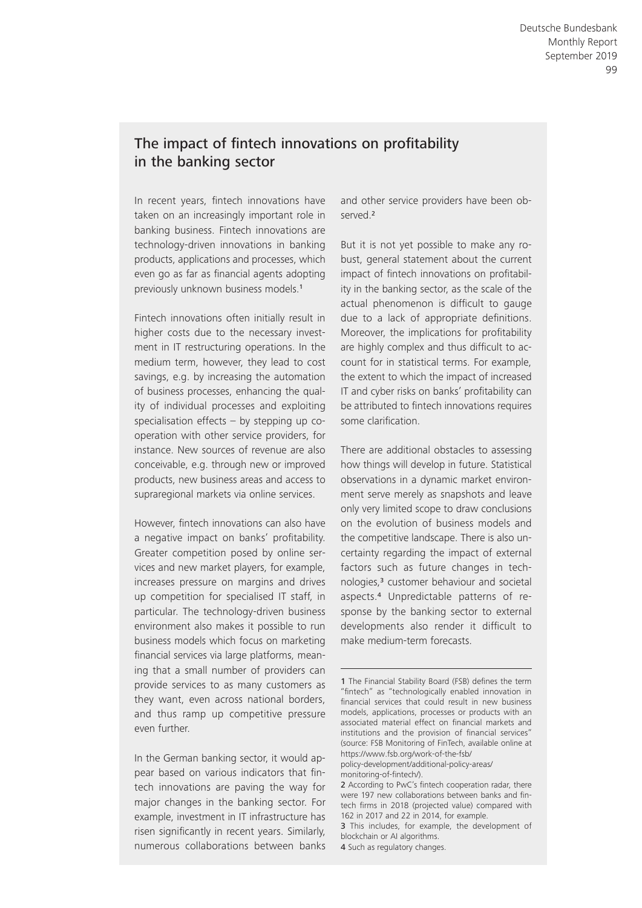# The impact of fintech innovations on profitability in the banking sector

In recent years, fintech innovations have taken on an increasingly important role in banking business. Fintech innovations are technology-driven innovations in banking products, applications and processes, which even go as far as financial agents adopting previously unknown business models.<sup>1</sup>

Fintech innovations often initially result in higher costs due to the necessary investment in IT restructuring operations. In the medium term, however, they lead to cost savings, e.g. by increasing the automation of business processes, enhancing the quality of individual processes and exploiting specialisation effects – by stepping up cooperation with other service providers, for instance. New sources of revenue are also conceivable, e.g. through new or improved products, new business areas and access to supraregional markets via online services.

However, fintech innovations can also have a negative impact on banks' profitability. Greater competition posed by online services and new market players, for example, increases pressure on margins and drives up competition for specialised IT staff, in particular. The technology-driven business environ ment also makes it possible to run business models which focus on marketing financial services via large platforms, meaning that a small number of providers can provide services to as many customers as they want, even across national borders, and thus ramp up competitive pressure even further.

In the German banking sector, it would appear based on various indicators that fintech innovations are paving the way for major changes in the banking sector. For example, investment in IT infrastructure has risen significantly in recent years. Similarly, numerous collaborations between banks

and other service providers have been observed.<sup>2</sup>

But it is not yet possible to make any robust, general statement about the current impact of fintech innovations on profitability in the banking sector, as the scale of the actual phenomenon is difficult to gauge due to a lack of appropriate definitions. Moreover, the implications for profitability are highly complex and thus difficult to account for in statistical terms. For example, the extent to which the impact of increased IT and cyber risks on banks' profitability can be attributed to fintech innovations requires some clarification.

There are additional obstacles to assessing how things will develop in future. Statistical observations in a dynamic market environment serve merely as snapshots and leave only very limited scope to draw conclusions on the evolution of business models and the competitive landscape. There is also uncertainty regarding the impact of external factors such as future changes in technologies,3 customer behaviour and societal aspects .4 Unpredictable patterns of response by the banking sector to external developments also render it difficult to make medium-term forecasts.

[policy-development/additional-policy-areas/](https://www.fsb.org/work-of-the-fsb/policy-development/additional-policy-areas/monitoring-of-fintech) monitoring-of-fintech/).

2 According to PwC's fintech cooperation radar, there were 197 new collaborations between banks and fin-

4 Such as regulatory changes.

<sup>1</sup> The Financial Stability Board (FSB) defines the term "fintech" as "technologically enabled innovation in financial services that could result in new business models, applications, processes or products with an associated material effect on financial markets and institutions and the provision of financial services" (source: FSB Monitoring of FinTech, available online at https://www.fsb.org/work-of-the-fsb/

tech firms in 2018 (projected value) compared with 162 in 2017 and 22 in 2014, for example. 3 This includes, for example, the development of

blockchain or AI algorithms.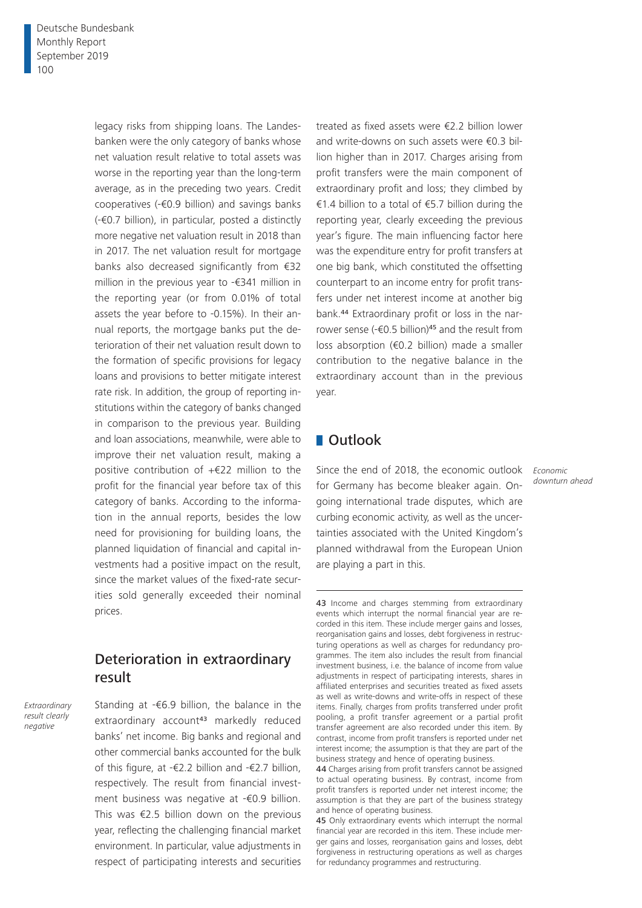legacy risks from shipping loans. The Landesbanken were the only category of banks whose net valuation result relative to total assets was worse in the reporting year than the long-term average, as in the preceding two years. Credit cooperatives (-€0.9 billion) and savings banks (-€0.7 billion), in particular, posted a distinctly more negative net valuation result in 2018 than in 2017. The net valuation result for mortgage banks also decreased significantly from €32 million in the previous year to -€341 million in the reporting year (or from 0.01% of total assets the year before to -0.15%). In their annual reports, the mortgage banks put the deterioration of their net valuation result down to the formation of specific provisions for legacy loans and provisions to better mitigate interest rate risk. In addition, the group of reporting institutions within the category of banks changed in comparison to the previous year. Building and loan associations, meanwhile, were able to improve their net valuation result, making a positive contribution of +€22 million to the profit for the financial year before tax of this category of banks. According to the information in the annual reports, besides the low need for provisioning for building loans, the planned liquidation of financial and capital investments had a positive impact on the result, since the market values of the fixed-rate securities sold generally exceeded their nominal prices.

# Deterioration in extraordinary result

*Extraordinary result clearly negative*

Standing at -€6.9 billion, the balance in the extraordinary account<sup>43</sup> markedly reduced banks' net income. Big banks and regional and other commercial banks accounted for the bulk of this figure, at -€2.2 billion and -€2.7 billion, respectively. The result from financial investment business was negative at -€0.9 billion. This was €2.5 billion down on the previous year, reflecting the challenging financial market environment. In particular, value adjustments in respect of participating interests and securities treated as fixed assets were €2.2 billion lower and write-downs on such assets were €0.3 billion higher than in 2017. Charges arising from profit transfers were the main component of extraordinary profit and loss; they climbed by €1.4 billion to a total of €5.7 billion during the reporting year, clearly exceeding the previous year's figure. The main influencing factor here was the expenditure entry for profit transfers at one big bank, which constituted the offsetting counterpart to an income entry for profit transfers under net interest income at another big bank.44 Extraordinary profit or loss in the narrower sense (- $\epsilon$ 0.5 billion)<sup>45</sup> and the result from loss absorption (€0.2 billion) made a smaller contribution to the negative balance in the extraordinary account than in the previous year.

# ■ Outlook

Since the end of 2018, the economic outlook *Economic*  for Germany has become bleaker again. Ongoing international trade disputes, which are curbing economic activity, as well as the uncertainties associated with the United Kingdom's planned withdrawal from the European Union are playing a part in this.

*downturn ahead*

<sup>43</sup> Income and charges stemming from extraordinary events which interrupt the normal financial year are recorded in this item. These include merger gains and losses, reorganisation gains and losses, debt forgiveness in restructuring operations as well as charges for redundancy programmes. The item also includes the result from financial investment business, i.e. the balance of income from value adjustments in respect of participating interests, shares in affiliated enterprises and securities treated as fixed assets as well as write-downs and write-offs in respect of these items. Finally, charges from profits transferred under profit pooling, a profit transfer agreement or a partial profit transfer agreement are also recorded under this item. By contrast, income from profit transfers is reported under net interest income; the assumption is that they are part of the business strategy and hence of operating business.

<sup>44</sup> Charges arising from profit transfers cannot be assigned to actual operating business. By contrast, income from profit transfers is reported under net interest income; the assumption is that they are part of the business strategy and hence of operating business.

<sup>45</sup> Only extraordinary events which interrupt the normal financial year are recorded in this item. These include merger gains and losses, reorganisation gains and losses, debt forgiveness in restructuring operations as well as charges for redundancy programmes and restructuring.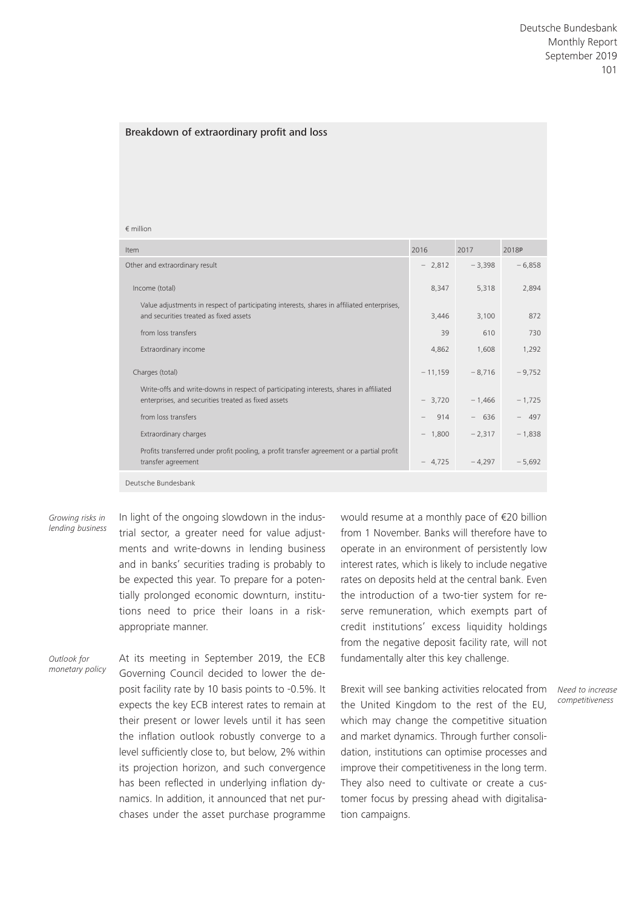### Breakdown of extraordinary profit and loss

### € million

| Item                                                                                                                                          | 2016      | 2017     | 2018P    |
|-----------------------------------------------------------------------------------------------------------------------------------------------|-----------|----------|----------|
| Other and extraordinary result                                                                                                                | $-2,812$  | $-3,398$ | $-6,858$ |
| Income (total)                                                                                                                                | 8,347     | 5,318    | 2,894    |
| Value adjustments in respect of participating interests, shares in affiliated enterprises,<br>and securities treated as fixed assets          | 3,446     | 3,100    | 872      |
| from loss transfers                                                                                                                           | 39        | 610      | 730      |
| Extraordinary income                                                                                                                          | 4,862     | 1,608    | 1,292    |
| Charges (total)                                                                                                                               | $-11,159$ | $-8,716$ | $-9,752$ |
| Write-offs and write-downs in respect of participating interests, shares in affiliated<br>enterprises, and securities treated as fixed assets | $-3,720$  | $-1,466$ | $-1,725$ |
| from loss transfers                                                                                                                           | 914       | $-636$   | $-497$   |
| Extraordinary charges                                                                                                                         | $-1,800$  | $-2,317$ | $-1,838$ |
| Profits transferred under profit pooling, a profit transfer agreement or a partial profit<br>transfer agreement                               | $-4,725$  | $-4.297$ | $-5,692$ |
| Deutsche Bundesbank                                                                                                                           |           |          |          |

*Growing risks in lending business* In light of the ongoing slowdown in the industrial sector, a greater need for value adjustments and write-downs in lending business and in banks' securities trading is probably to be expected this year. To prepare for a potentially prolonged economic downturn, institutions need to price their loans in a riskappropriate manner.

*Outlook for monetary policy* At its meeting in September 2019, the ECB Governing Council decided to lower the deposit facility rate by 10 basis points to -0.5%. It expects the key ECB interest rates to remain at their present or lower levels until it has seen the inflation outlook robustly converge to a level sufficiently close to, but below, 2% within its projection horizon, and such convergence has been reflected in underlying inflation dynamics. In addition, it announced that net purchases under the asset purchase programme

would resume at a monthly pace of €20 billion from 1 November. Banks will therefore have to operate in an environment of persistently low interest rates, which is likely to include negative rates on deposits held at the central bank. Even the introduction of a two-tier system for reserve remuneration, which exempts part of credit institutions' excess liquidity holdings from the negative deposit facility rate, will not fundamentally alter this key challenge.

Brexit will see banking activities relocated from the United Kingdom to the rest of the EU, which may change the competitive situation and market dynamics. Through further consolidation, institutions can optimise processes and improve their competitiveness in the long term. They also need to cultivate or create a customer focus by pressing ahead with digitalisation campaigns.

*Need to increase competitiveness*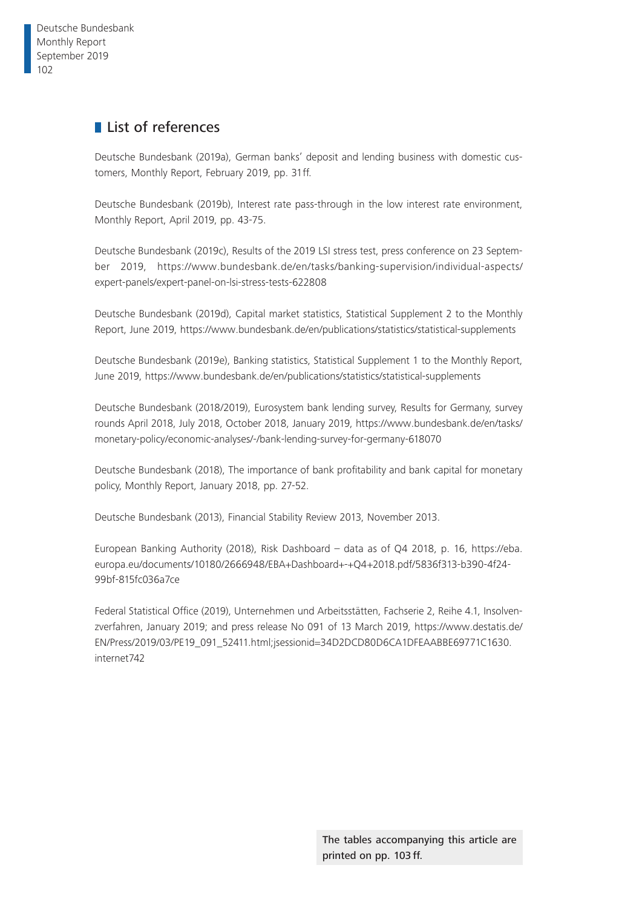# **List of references**

Deutsche Bundesbank (2019a), German banks' deposit and lending business with domestic customers, Monthly Report, February 2019, pp. 31ff.

Deutsche Bundesbank (2019b), Interest rate pass-through in the low interest rate environment, Monthly Report, April 2019, pp. 43-75.

Deutsche Bundesbank (2019c), Results of the 2019 LSI stress test, press conference on 23 September 2019, [https://www.bundesbank.de/en/tasks/banking-supervision/individual-aspects/](https://www.bundesbank.de/en/tasks/banking-supervision/individual-aspects/expert-panels/expert-panel-on-lsi-stress-tests-622808) [expert-panels/expert-panel-on-lsi-stress-tests-622808](https://www.bundesbank.de/en/tasks/banking-supervision/individual-aspects/expert-panels/expert-panel-on-lsi-stress-tests-622808)

Deutsche Bundesbank (2019d), Capital market statistics, Statistical Supplement 2 to the Monthly Report, June 2019, <https://www.bundesbank.de/en/publications/statistics/statistical-supplements>

Deutsche Bundesbank (2019e), Banking statistics, Statistical Supplement 1 to the Monthly Report, June 2019, <https://www.bundesbank.de/en/publications/statistics/statistical-supplements>

Deutsche Bundesbank (2018/2019), Eurosystem bank lending survey, Results for Germany, survey rounds April 2018, July 2018, October 2018, January 2019, [https://www.bundesbank.de/en/tasks/](https://www.bundesbank.de/en/tasks/monetary-policy/economic-analyses/-/bank-lending-survey-for-germany-618070) [monetary-policy/economic-analyses/-/bank-lending-survey-for-germany-618070](https://www.bundesbank.de/en/tasks/monetary-policy/economic-analyses/-/bank-lending-survey-for-germany-618070)

Deutsche Bundesbank (2018), The importance of bank profitability and bank capital for monetary policy, Monthly Report, January 2018, pp. 27-52.

Deutsche Bundesbank (2013), Financial Stability Review 2013, November 2013.

European Banking Authority (2018), Risk Dashboard – data as of Q4 2018, p. 16, [https://eba.](https://eba.europa.eu/documents/10180/2666948/EBA+Dashboard+-+Q4+2018.pdf/5836f313-b390-4f24-99bf-815fc036a7ce) [europa.eu/documents/10180/2666948/EBA+Dashboard+-+Q4+2018.pdf/5836f313-b390-4f24-](https://eba.europa.eu/documents/10180/2666948/EBA+Dashboard+-+Q4+2018.pdf/5836f313-b390-4f24-99bf-815fc036a7ce) [99bf-815fc036a7ce](https://eba.europa.eu/documents/10180/2666948/EBA+Dashboard+-+Q4+2018.pdf/5836f313-b390-4f24-99bf-815fc036a7ce)

Federal Statistical Office (2019), Unternehmen und Arbeitsstätten, Fachserie 2, Reihe 4.1, Insolvenzverfahren, January 2019; and press release No 091 of 13 March 2019, [https://www.destatis.de/](https://www.destatis.de/EN/Press/2019/03/PE19_091_52411.html;jsessionid=34D2DCD80D6CA1DFEAABBE69771C1630.internet742) [EN/Press/2019/03/PE19\\_091\\_52411.html;jsessionid=34D2DCD80D6CA1DFEAABBE69771C1630.](https://www.destatis.de/EN/Press/2019/03/PE19_091_52411.html;jsessionid=34D2DCD80D6CA1DFEAABBE69771C1630.internet742) [internet742](https://www.destatis.de/EN/Press/2019/03/PE19_091_52411.html;jsessionid=34D2DCD80D6CA1DFEAABBE69771C1630.internet742)

> The tables accompanying this article are printed on pp. 103 ff.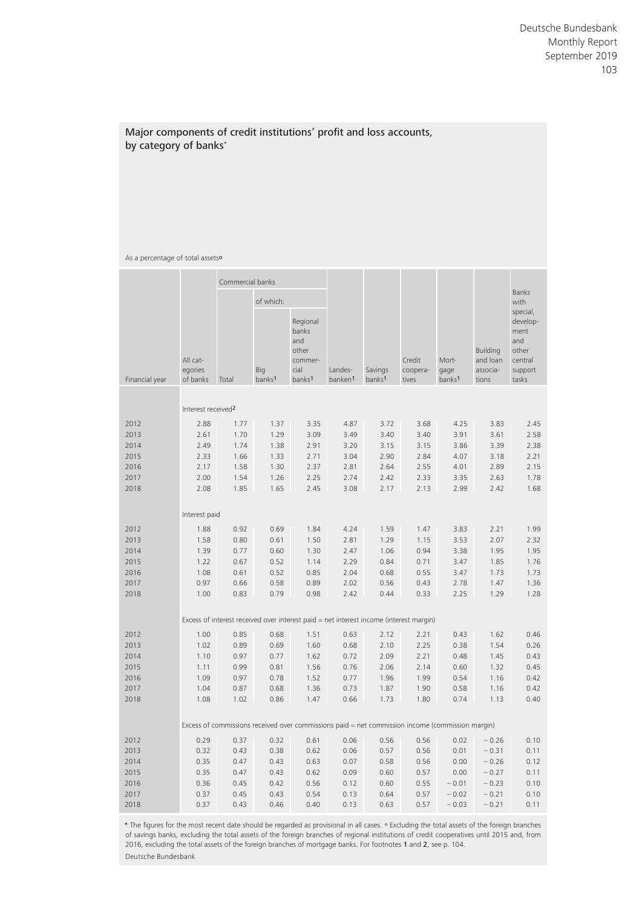### Major components of credit institutions' profit and loss accounts, by category of banks\*

### As a percentage of total assets<sup>o</sup>

|                |                                 | Commercial banks |                           |                                                                            |                                |                               |                                                                                                  |                                     |                                           |                                                                             |
|----------------|---------------------------------|------------------|---------------------------|----------------------------------------------------------------------------|--------------------------------|-------------------------------|--------------------------------------------------------------------------------------------------|-------------------------------------|-------------------------------------------|-----------------------------------------------------------------------------|
|                |                                 |                  | of which:                 |                                                                            |                                |                               |                                                                                                  |                                     |                                           | <b>Banks</b><br>with                                                        |
| Financial year | All cat-<br>egories<br>of banks | Total            | Big<br>banks <sup>1</sup> | Regional<br>banks<br>and<br>other<br>commer-<br>cial<br>banks <sup>1</sup> | Landes-<br>banken <sup>1</sup> | Savings<br>banks <sup>1</sup> | Credit<br>coopera-<br>tives                                                                      | Mort-<br>gage<br>banks <sup>1</sup> | Building<br>and loan<br>associa-<br>tions | special,<br>develop-<br>ment<br>and<br>other<br>central<br>support<br>tasks |
|                | Interest received <sup>2</sup>  |                  |                           |                                                                            |                                |                               |                                                                                                  |                                     |                                           |                                                                             |
| 2012           | 2.88                            | 1.77             | 1.37                      | 3.35                                                                       | 4.87                           | 3.72                          | 3.68                                                                                             | 4.25                                | 3.83                                      | 2.45                                                                        |
| 2013           | 2.61                            | 1.70             | 1.29                      | 3.09                                                                       | 3.49                           | 3.40                          | 3.40                                                                                             | 3.91                                | 3.61                                      | 2.58                                                                        |
| 2014           | 2.49                            | 1.74             | 1.38                      | 2.91                                                                       | 3.20                           | 3.15                          | 3.15                                                                                             | 3.86                                | 3.39                                      | 2.38                                                                        |
| 2015           | 2.33                            | 1.66             | 1.33                      | 2.71                                                                       | 3.04                           | 2.90                          | 2.84                                                                                             | 4.07                                | 3.18                                      | 2.21                                                                        |
| 2016           | 2.17                            | 1.58             | 1.30                      | 2.37                                                                       | 2.81                           | 2.64                          | 2.55                                                                                             | 4.01                                | 2.89                                      | 2.15                                                                        |
| 2017           | 2.00                            | 1.54             | 1.26                      | 2.25                                                                       | 2.74                           | 2.42                          | 2.33                                                                                             | 3.35                                | 2.63                                      | 1.78                                                                        |
| 2018           | 2.08                            | 1.85             | 1.65                      | 2.45                                                                       | 3.08                           | 2.17                          | 2.13                                                                                             | 2.99                                | 2.42                                      | 1.68                                                                        |
|                |                                 |                  |                           |                                                                            |                                |                               |                                                                                                  |                                     |                                           |                                                                             |
|                | Interest paid                   |                  |                           |                                                                            |                                |                               |                                                                                                  |                                     |                                           |                                                                             |
| 2012           | 1.88                            | 0.92             | 0.69                      | 1.84                                                                       | 4.24                           | 1.59                          | 1.47                                                                                             | 3.83                                | 2.21                                      | 1.99                                                                        |
| 2013           | 1.58                            | 0.80             | 0.61                      | 1.50                                                                       | 2.81                           | 1.29                          | 1.15                                                                                             | 3.53                                | 2.07                                      | 2.32                                                                        |
| 2014           | 1.39                            | 0.77             | 0.60                      | 1.30                                                                       | 2.47                           | 1.06                          | 0.94                                                                                             | 3.38                                | 1.95                                      | 1.95                                                                        |
| 2015           | 1.22                            | 0.67             | 0.52                      | 1.14                                                                       | 2.29                           | 0.84                          | 0.71                                                                                             | 3.47                                | 1.85                                      | 1.76                                                                        |
| 2016           | 1.08                            | 0.61             | 0.52                      | 0.85                                                                       | 2.04                           | 0.68                          | 0.55                                                                                             | 3.47                                | 1.73                                      | 1.73                                                                        |
| 2017           | 0.97                            | 0.66             | 0.58                      | 0.89                                                                       | 2.02                           | 0.56                          | 0.43                                                                                             | 2.78                                | 1.47                                      | 1.36                                                                        |
| 2018           | 1.00                            | 0.83             | 0.79                      | 0.98                                                                       | 2.42                           | 0.44                          | 0.33                                                                                             | 2.25                                | 1.29                                      | 1.28                                                                        |
|                |                                 |                  |                           |                                                                            |                                |                               |                                                                                                  |                                     |                                           |                                                                             |
|                |                                 |                  |                           |                                                                            |                                |                               | Excess of interest received over interest paid = net interest income (interest margin)           |                                     |                                           |                                                                             |
| 2012           | 1.00                            | 0.85             | 0.68                      | 1.51                                                                       | 0.63                           | 2.12                          | 2.21                                                                                             | 0.43                                | 1.62                                      | 0.46                                                                        |
| 2013           | 1.02                            | 0.89             | 0.69                      | 1.60                                                                       | 0.68                           | 2.10                          | 2.25                                                                                             | 0.38                                | 1.54                                      | 0.26                                                                        |
| 2014           | 1.10                            | 0.97             | 0.77                      | 1.62                                                                       | 0.72                           | 2.09                          | 2.21                                                                                             | 0.48                                | 1.45                                      | 0.43                                                                        |
| 2015           | 1.11                            | 0.99             | 0.81                      | 1.56                                                                       | 0.76                           | 2.06                          | 2.14                                                                                             | 0.60                                | 1.32                                      | 0.45                                                                        |
| 2016           | 1.09                            | 0.97             | 0.78                      | 1.52                                                                       | 0.77                           | 1.96                          | 1.99                                                                                             | 0.54                                | 1.16                                      | 0.42                                                                        |
| 2017           | 1.04                            | 0.87             | 0.68                      | 1.36                                                                       | 0.73                           | 1.87                          | 1.90                                                                                             | 0.58                                | 1.16                                      | 0.42                                                                        |
| 2018           | 1.08                            | 1.02             | 0.86                      | 1.47                                                                       | 0.66                           | 1.73                          | 1.80                                                                                             | 0.74                                | 1.13                                      | 0.40                                                                        |
|                |                                 |                  |                           |                                                                            |                                |                               |                                                                                                  |                                     |                                           |                                                                             |
|                |                                 |                  |                           |                                                                            |                                |                               | Excess of commissions received over commissions paid = net commission income (commission margin) |                                     |                                           |                                                                             |
| 2012           | 0.29                            | 0.37             | 0.32                      | 0.61                                                                       | 0.06                           | 0.56                          | 0.56                                                                                             | 0.02                                | $-0.26$                                   | 0.10                                                                        |
| 2013           | 0.32                            | 0.43             | 0.38                      | 0.62                                                                       | 0.06                           | 0.57                          | 0.56                                                                                             | 0.01                                | $-0.31$                                   | 0.11                                                                        |
| 2014           | 0.35                            | 0.47             | 0.43                      | 0.63                                                                       | 0.07                           | 0.58                          | 0.56                                                                                             | 0.00                                | $-0.26$                                   | 0.12                                                                        |
| 2015           | 0.35                            | 0.47             | 0.43                      | 0.62                                                                       | 0.09                           | 0.60                          | 0.57                                                                                             | 0.00                                | $-0.27$                                   | 0.11                                                                        |
| 2016           | 0.36                            | 0.45             | 0.42                      | 0.56                                                                       | 0.12                           | 0.60                          | 0.55                                                                                             | $-0.01$                             | $-0.23$                                   | 0.10                                                                        |
| 2017           | 0.37                            | 0.45             | 0.43                      | 0.54                                                                       | 0.13                           | 0.64                          | 0.57                                                                                             | $-0.02$                             | $-0.21$                                   | 0.10                                                                        |
| 2018           | 0.37                            | 0.43             | 0.46                      | 0.40                                                                       | 0.13                           | 0.63                          | 0.57                                                                                             | $-0.03$                             | $-0.21$                                   | 0.11                                                                        |

\* The figures for the most recent date should be regarded as provisional in all cases. <sup>o</sup> Excluding the total assets of the foreign branches of savings banks, excluding the total assets of the foreign branches of regional institutions of credit cooperatives until 2015 and, from 2016, excluding the total assets of the foreign branches of mortgage banks. For footnotes 1 and 2, see p. 104. Deutsche Bundesbank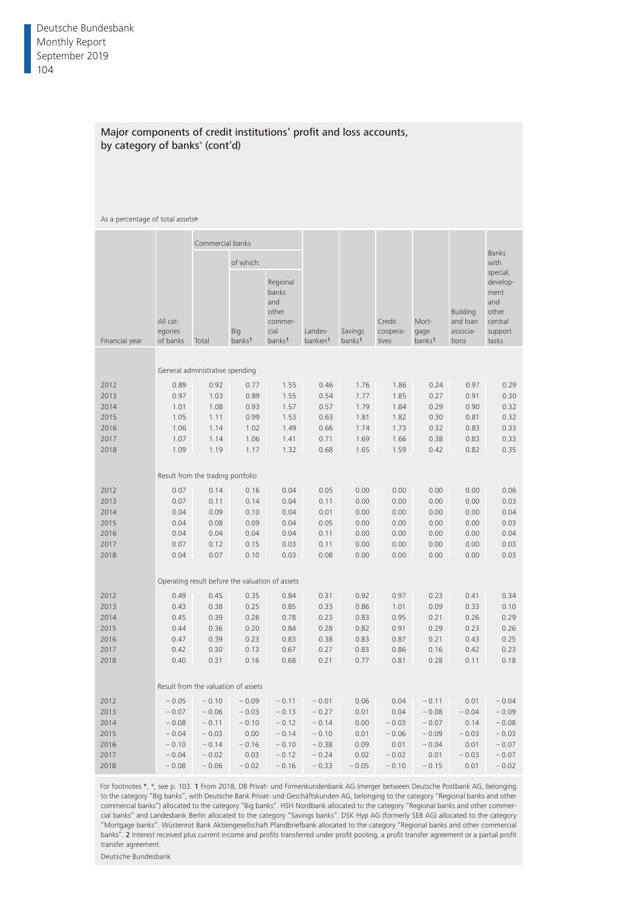### Major components of credit institutions' profit and loss accounts, by category of banks\* (cont'd)

### As a percentage of total assets<sup>o</sup>

|                |                                 | Commercial banks                                |                           |                                                                            |                                |                               |                             |                                     |                                                  |                                                                             |
|----------------|---------------------------------|-------------------------------------------------|---------------------------|----------------------------------------------------------------------------|--------------------------------|-------------------------------|-----------------------------|-------------------------------------|--------------------------------------------------|-----------------------------------------------------------------------------|
|                |                                 |                                                 | of which:                 |                                                                            |                                |                               |                             |                                     |                                                  | <b>Banks</b><br>with                                                        |
| Financial year | All cat-<br>egories<br>of banks | Total                                           | Big<br>banks <sup>1</sup> | Regional<br>banks<br>and<br>other<br>commer-<br>cial<br>banks <sup>1</sup> | Landes-<br>banken <sup>1</sup> | Savings<br>banks <sup>1</sup> | Credit<br>coopera-<br>tives | Mort-<br>gage<br>banks <sup>1</sup> | <b>Building</b><br>and loan<br>associa-<br>tions | special,<br>develop-<br>ment<br>and<br>other<br>central<br>support<br>tasks |
|                |                                 |                                                 |                           |                                                                            |                                |                               |                             |                                     |                                                  |                                                                             |
|                |                                 | General administrative spending                 |                           |                                                                            |                                |                               |                             |                                     |                                                  |                                                                             |
| 2012           | 0.89                            | 0.92                                            | 0.77                      | 1.55                                                                       | 0.46                           | 1.76                          | 1.86                        | 0.24                                | 0.97                                             | 0.29                                                                        |
| 2013           | 0.97                            | 1.03                                            | 0.89                      | 1.55                                                                       | 0.54                           | 1.77                          | 1.85                        | 0.27                                | 0.91                                             | 0.30                                                                        |
| 2014           | 1.01                            | 1.08                                            | 0.93                      | 1.57                                                                       | 0.57                           | 1.79                          | 1.84                        | 0.29                                | 0.90                                             | 0.32                                                                        |
| 2015           | 1.05                            | 1.11                                            | 0.99                      | 1.53                                                                       | 0.63                           | 1.81                          | 1.82                        | 0.30                                | 0.81                                             | 0.32                                                                        |
| 2016           | 1.06                            | 1.14                                            | 1.02                      | 1.49                                                                       | 0.66                           | 1.74                          | 1.73                        | 0.32                                | 0.83                                             | 0.33                                                                        |
| 2017           | 1.07                            | 1.14                                            | 1.06                      | 1.41                                                                       | 0.71                           | 1.69                          | 1.66                        | 0.38                                | 0.83                                             | 0.33                                                                        |
| 2018           | 1.09                            | 1.19                                            | 1.17                      | 1.32                                                                       | 0.68                           | 1.65                          | 1.59                        | 0.42                                | 0.82                                             | 0.35                                                                        |
|                |                                 |                                                 |                           |                                                                            |                                |                               |                             |                                     |                                                  |                                                                             |
|                |                                 | Result from the trading portfolio               |                           |                                                                            |                                |                               |                             |                                     |                                                  |                                                                             |
| 2012           | 0.07                            | 0.14                                            | 0.16                      | 0.04                                                                       | 0.05                           | 0.00                          | 0.00                        | 0.00                                | 0.00                                             | 0.06                                                                        |
| 2013           | 0.07                            | 0.11                                            | 0.14                      | 0.04                                                                       | 0.11                           | 0.00                          | 0.00                        | 0.00                                | 0.00                                             | 0.03                                                                        |
| 2014           | 0.04                            | 0.09                                            | 0.10                      | 0.04                                                                       | 0.01                           | 0.00                          | 0.00                        | 0.00                                | 0.00                                             | 0.04                                                                        |
| 2015           | 0.04                            | 0.08                                            | 0.09                      | 0.04                                                                       | 0.05                           | 0.00                          | 0.00                        | 0.00                                | 0.00                                             | 0.03                                                                        |
| 2016           | 0.04                            | 0.04                                            | 0.04                      | 0.04                                                                       | 0.11                           | 0.00                          | 0.00                        | 0.00                                | 0.00                                             | 0.04                                                                        |
| 2017           | 0.07                            | 0.12                                            | 0.15                      | 0.03                                                                       | 0.11                           | 0.00                          | 0.00                        | 0.00                                | 0.00                                             | 0.03                                                                        |
| 2018           | 0.04                            | 0.07                                            | 0.10                      | 0.03                                                                       | 0.08                           | 0.00                          | 0.00                        | 0.00                                | 0.00                                             | 0.03                                                                        |
|                |                                 |                                                 |                           |                                                                            |                                |                               |                             |                                     |                                                  |                                                                             |
|                |                                 | Operating result before the valuation of assets |                           |                                                                            |                                |                               |                             |                                     |                                                  |                                                                             |
| 2012           | 0.49                            | 0.45                                            | 0.35                      | 0.84                                                                       | 0.31                           | 0.92                          | 0.97                        | 0.23                                | 0.41                                             | 0.34                                                                        |
| 2013           | 0.43                            | 0.38                                            | 0.25                      | 0.85                                                                       | 0.33                           | 0.86                          | 1.01                        | 0.09                                | 0.33                                             | 0.10                                                                        |
| 2014           | 0.45                            | 0.39                                            | 0.26                      | 0.78                                                                       | 0.23                           | 0.83                          | 0.95                        | 0.21                                | 0.26                                             | 0.29                                                                        |
| 2015           | 0.44                            | 0.36                                            | 0.20                      | 0.84                                                                       | 0.28                           | 0.82                          | 0.91                        | 0.29                                | 0.23                                             | 0.26                                                                        |
| 2016           | 0.47                            | 0.39                                            | 0.23                      | 0.83                                                                       | 0.38                           | 0.83                          | 0.87                        | 0.21                                | 0.43                                             | 0.25                                                                        |
| 2017           | 0.42                            | 0.30                                            | 0.13                      | 0.67                                                                       | 0.27                           | 0.83                          | 0.86                        | 0.16                                | 0.42                                             | 0.23                                                                        |
| 2018           | 0.40                            | 0.31                                            | 0.16                      | 0.68                                                                       | 0.21                           | 0.77                          | 0.81                        | 0.28                                | 0.11                                             | 0.18                                                                        |
|                |                                 | Result from the valuation of assets             |                           |                                                                            |                                |                               |                             |                                     |                                                  |                                                                             |
|                |                                 |                                                 |                           |                                                                            |                                |                               |                             |                                     |                                                  |                                                                             |
| 2012           | $-0.05$                         | $-0.10$                                         | $-0.09$                   | $-0.11$                                                                    | $-0.01$                        | 0.06                          | 0.04                        | $-0.11$                             | 0.01                                             | $-0.04$                                                                     |
| 2013           | $-0.07$                         | $-0.06$                                         | $-0.03$                   | $-0.13$                                                                    | $-0.27$                        | 0.01                          | 0.04                        | $-0.08$                             | $-0.04$                                          | $-0.09$                                                                     |
| 2014           | $-0.08$                         | $-0.11$                                         | $-0.10$                   | $-0.12$                                                                    | $-0.14$                        | 0.00                          | $-0.03$                     | $-0.07$                             | 0.14                                             | $-0.08$                                                                     |
| 2015           | $-0.04$                         | $-0.03$                                         | 0.00                      | $-0.14$                                                                    | $-0.10$                        | 0.01                          | $-0.06$                     | $-0.09$                             | $-0.03$                                          | $-0.03$                                                                     |
| 2016           | $-0.10$                         | $-0.14$                                         | $-0.16$                   | $-0.10$                                                                    | $-0.38$                        | 0.09                          | 0.01                        | $-0.04$                             | 0.01                                             | $-0.07$                                                                     |
| 2017           | $-0.04$                         | $-0.02$                                         | 0.03                      | $-0.12$                                                                    | $-0.24$                        | 0.02                          | $-0.02$                     | 0.01                                | $-0.03$                                          | $-0.07$                                                                     |
| 2018           | $-0.08$                         | $-0.06$                                         | $-0.02$                   | $-0.16$                                                                    | $-0.33$                        | $-0.05$                       | $-0.10$                     | $-0.15$                             | 0.01                                             | $-0.02$                                                                     |

For footnotes \*, °, see p. 103. 1 From 2018, DB Privat- und Firmenkundenbank AG (merger between Deutsche Postbank AG, belonging to the category "Big banks", with Deutsche Bank Privat- und Geschäftskunden AG, belonging to the category "Regional banks and other commercial banks") allocated to the category "Big banks". HSH Nordbank allocated to the category "Regional banks and other commercial banks" and Landesbank Berlin allocated to the category "Savings banks". DSK Hyp AG (formerly SEB AG) allocated to the category "Mortgage banks". Wüstenrot Bank Aktiengesellschaft Pfandbriefbank allocated to the category "Regional banks and other commercial banks". 2 Interest received plus current income and profits transferred under profit pooling, a profit transfer agreement or a partial profit transfer agreement.

Deutsche Bundesbank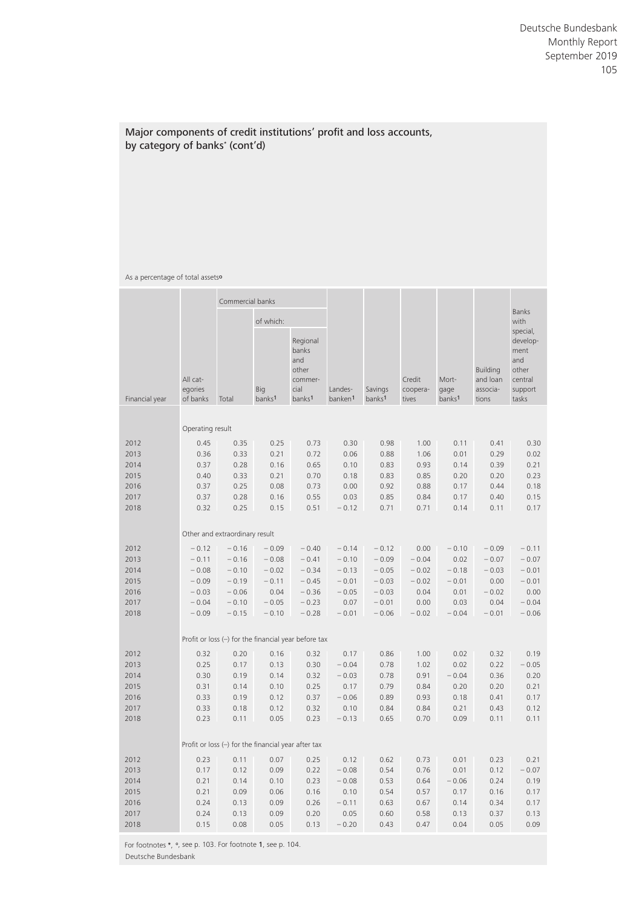## Major components of credit institutions' profit and loss accounts, by category of banks\* (cont'd)

### As a percentage of total assets<sup>o</sup>

|                |                                 | Commercial banks                                      |                                  |                                                                            |                                |                               |                             |                                     |                                                  |                                                                             |
|----------------|---------------------------------|-------------------------------------------------------|----------------------------------|----------------------------------------------------------------------------|--------------------------------|-------------------------------|-----------------------------|-------------------------------------|--------------------------------------------------|-----------------------------------------------------------------------------|
|                |                                 |                                                       | of which:                        |                                                                            |                                |                               |                             |                                     |                                                  | <b>Banks</b><br>with                                                        |
| Financial year | All cat-<br>egories<br>of banks | Total                                                 | <b>Big</b><br>banks <sup>1</sup> | Regional<br>banks<br>and<br>other<br>commer-<br>cial<br>banks <sup>1</sup> | Landes-<br>banken <sup>1</sup> | Savings<br>banks <sup>1</sup> | Credit<br>coopera-<br>tives | Mort-<br>gage<br>banks <sup>1</sup> | <b>Building</b><br>and loan<br>associa-<br>tions | special,<br>develop-<br>ment<br>and<br>other<br>central<br>support<br>tasks |
|                | Operating result                |                                                       |                                  |                                                                            |                                |                               |                             |                                     |                                                  |                                                                             |
|                |                                 |                                                       |                                  |                                                                            |                                |                               |                             |                                     |                                                  |                                                                             |
| 2012           | 0.45                            | 0.35                                                  | 0.25                             | 0.73                                                                       | 0.30                           | 0.98                          | 1.00                        | 0.11                                | 0.41                                             | 0.30                                                                        |
| 2013           | 0.36                            | 0.33                                                  | 0.21                             | 0.72                                                                       | 0.06                           | 0.88                          | 1.06                        | 0.01                                | 0.29                                             | 0.02                                                                        |
| 2014           | 0.37                            | 0.28                                                  | 0.16                             | 0.65                                                                       | 0.10                           | 0.83                          | 0.93                        | 0.14                                | 0.39                                             | 0.21                                                                        |
| 2015           | 0.40                            | 0.33                                                  | 0.21                             | 0.70                                                                       | 0.18                           | 0.83                          | 0.85                        | 0.20                                | 0.20                                             | 0.23                                                                        |
| 2016           | 0.37                            | 0.25                                                  | 0.08                             | 0.73                                                                       | 0.00                           | 0.92                          | 0.88                        | 0.17                                | 0.44                                             | 0.18                                                                        |
| 2017           | 0.37                            | 0.28                                                  | 0.16                             | 0.55                                                                       | 0.03                           | 0.85                          | 0.84                        | 0.17                                | 0.40                                             | 0.15                                                                        |
| 2018           | 0.32                            | 0.25                                                  | 0.15                             | 0.51                                                                       | $-0.12$                        | 0.71                          | 0.71                        | 0.14                                | 0.11                                             | 0.17                                                                        |
|                |                                 | Other and extraordinary result                        |                                  |                                                                            |                                |                               |                             |                                     |                                                  |                                                                             |
| 2012           | $-0.12$                         | $-0.16$                                               | $-0.09$                          | $-0.40$                                                                    | $-0.14$                        | $-0.12$                       | 0.00                        | $-0.10$                             | $-0.09$                                          | $-0.11$                                                                     |
| 2013           | $-0.11$                         | $-0.16$                                               | $-0.08$                          | $-0.41$                                                                    | $-0.10$                        | $-0.09$                       | $-0.04$                     | 0.02                                | $-0.07$                                          | $-0.07$                                                                     |
| 2014           | $-0.08$                         | $-0.10$                                               | $-0.02$                          | $-0.34$                                                                    | $-0.13$                        | $-0.05$                       | $-0.02$                     | $-0.18$                             | $-0.03$                                          | $-0.01$                                                                     |
| 2015           | $-0.09$                         | $-0.19$                                               | $-0.11$                          | $-0.45$                                                                    | $-0.01$                        | $-0.03$                       | $-0.02$                     | $-0.01$                             | 0.00                                             | $-0.01$                                                                     |
| 2016           | $-0.03$                         | $-0.06$                                               | 0.04                             | $-0.36$                                                                    | $-0.05$                        | $-0.03$                       | 0.04                        | 0.01                                | $-0.02$                                          | 0.00                                                                        |
| 2017           | $-0.04$                         | $-0.10$                                               | $-0.05$                          | $-0.23$                                                                    | 0.07                           | $-0.01$                       | 0.00                        | 0.03                                | 0.04                                             | $-0.04$                                                                     |
| 2018           | $-0.09$                         | $-0.15$                                               | $-0.10$                          | $-0.28$                                                                    | $-0.01$                        | $-0.06$                       | $-0.02$                     | $-0.04$                             | $-0.01$                                          | $-0.06$                                                                     |
|                |                                 |                                                       |                                  |                                                                            |                                |                               |                             |                                     |                                                  |                                                                             |
|                |                                 |                                                       |                                  | Profit or loss $(-)$ for the financial year before tax                     |                                |                               |                             |                                     |                                                  |                                                                             |
| 2012           | 0.32                            | 0.20                                                  | 0.16                             | 0.32                                                                       | 0.17                           | 0.86                          | 1.00                        | 0.02                                | 0.32                                             | 0.19                                                                        |
| 2013           | 0.25                            | 0.17                                                  | 0.13                             | 0.30                                                                       | $-0.04$                        | 0.78                          | 1.02                        | 0.02                                | 0.22                                             | $-0.05$                                                                     |
| 2014           | 0.30                            | 0.19                                                  | 0.14                             | 0.32                                                                       | $-0.03$                        | 0.78                          | 0.91                        | $-0.04$                             | 0.36                                             | 0.20                                                                        |
| 2015           | 0.31                            | 0.14                                                  | 0.10                             | 0.25                                                                       | 0.17                           | 0.79                          | 0.84                        | 0.20                                | 0.20                                             | 0.21                                                                        |
| 2016           | 0.33                            | 0.19                                                  | 0.12                             | 0.37                                                                       | $-0.06$                        | 0.89                          | 0.93                        | 0.18                                | 0.41                                             | 0.17                                                                        |
| 2017           | 0.33                            | 0.18                                                  | 0.12                             | 0.32                                                                       | 0.10                           | 0.84                          | 0.84                        | 0.21                                | 0.43                                             | 0.12                                                                        |
| 2018           | 0.23                            | 0.11                                                  | 0.05                             | 0.23                                                                       | $-0.13$                        | 0.65                          | 0.70                        | 0.09                                | 0.11                                             | 0.11                                                                        |
|                |                                 | Profit or loss $(-)$ for the financial year after tax |                                  |                                                                            |                                |                               |                             |                                     |                                                  |                                                                             |
| 2012           | 0.23                            | 0.11                                                  | 0.07                             | 0.25                                                                       | 0.12                           | 0.62                          | 0.73                        | 0.01                                | 0.23                                             | 0.21                                                                        |
| 2013           | 0.17                            | 0.12                                                  | 0.09                             | 0.22                                                                       | $-0.08$                        | 0.54                          | 0.76                        | 0.01                                | 0.12                                             | $-0.07$                                                                     |
| 2014           | 0.21                            | 0.14                                                  | 0.10                             | 0.23                                                                       | $-0.08$                        | 0.53                          | 0.64                        | $-0.06$                             | 0.24                                             | 0.19                                                                        |
| 2015           | 0.21                            | 0.09                                                  | 0.06                             | 0.16                                                                       | 0.10                           | 0.54                          | 0.57                        | 0.17                                | 0.16                                             | 0.17                                                                        |
| 2016           | 0.24                            | 0.13                                                  | 0.09                             | 0.26                                                                       | $-0.11$                        | 0.63                          | 0.67                        | 0.14                                | 0.34                                             | 0.17                                                                        |
| 2017           | 0.24                            | 0.13                                                  | 0.09                             | 0.20                                                                       | 0.05                           | 0.60                          | 0.58                        | 0.13                                | 0.37                                             | 0.13                                                                        |
| 2018           | 0.15                            | 0.08                                                  | 0.05                             | 0.13                                                                       | $-0.20$                        | 0.43                          | 0.47                        | 0.04                                | 0.05                                             | 0.09                                                                        |
|                |                                 |                                                       |                                  |                                                                            |                                |                               |                             |                                     |                                                  |                                                                             |

For footnotes \*, °, see p. 103. For footnote 1, see p. 104. Deutsche Bundesbank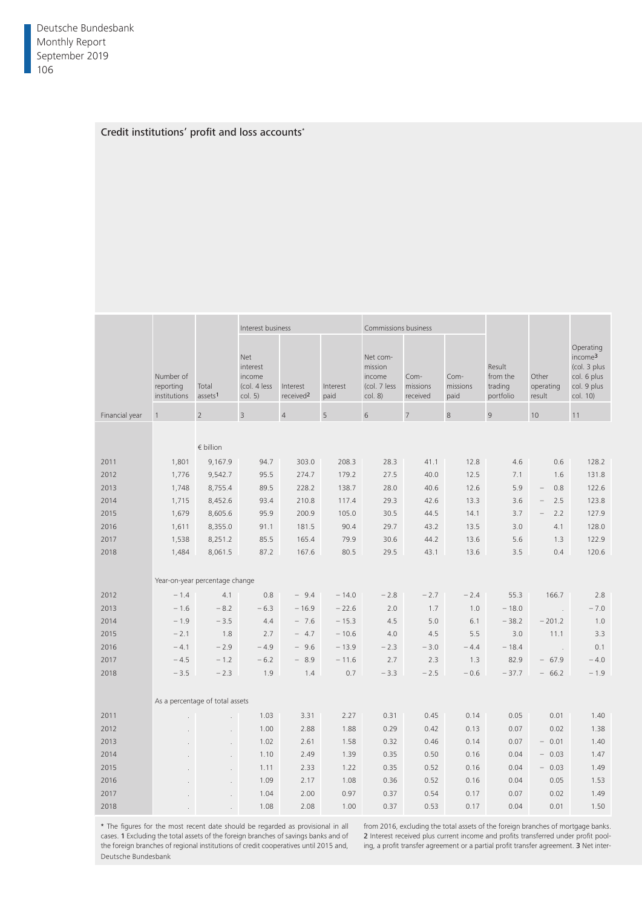### Credit institutions' profit and loss accounts<sup>\*</sup>

|                |                                        |                              | Interest business                                    |                                   |                    | Commissions business                                     |                              |                          |                                            |                                        |                                                                                            |
|----------------|----------------------------------------|------------------------------|------------------------------------------------------|-----------------------------------|--------------------|----------------------------------------------------------|------------------------------|--------------------------|--------------------------------------------|----------------------------------------|--------------------------------------------------------------------------------------------|
|                | Number of<br>reporting<br>institutions | Total<br>assets <sup>1</sup> | Net<br>interest<br>income<br>(col. 4 less<br>col. 5) | Interest<br>received <sup>2</sup> | Interest<br>paid   | Net com-<br>mission<br>income<br>(col. 7 less<br>col. 8) | Com-<br>missions<br>received | Com-<br>missions<br>paid | Result<br>from the<br>trading<br>portfolio | Other<br>operating<br>result           | Operating<br>income <sup>3</sup><br>(col. 3 plus<br>col. 6 plus<br>col. 9 plus<br>col. 10) |
| Financial year |                                        | $\overline{z}$               | $\overline{3}$                                       | $\overline{4}$                    | 5                  | 6                                                        | $\overline{7}$               | 8                        | Q                                          | 10                                     | 11                                                                                         |
|                |                                        |                              |                                                      |                                   |                    |                                                          |                              |                          |                                            |                                        |                                                                                            |
|                |                                        | $\epsilon$ billion           |                                                      |                                   |                    |                                                          |                              |                          |                                            |                                        |                                                                                            |
| 2011           | 1,801                                  | 9,167.9                      | 94.7                                                 | 303.0                             | 208.3              | 28.3                                                     | 41.1                         | 12.8                     | 4.6                                        | 0.6                                    | 128.2                                                                                      |
| 2012           | 1,776                                  | 9,542.7                      | 95.5                                                 | 274.7                             | 179.2              | 27.5                                                     | 40.0                         | 12.5                     | 7.1                                        | 1.6                                    | 131.8                                                                                      |
| 2013           | 1,748                                  | 8,755.4                      | 89.5                                                 | 228.2                             | 138.7              | 28.0                                                     | 40.6                         | 12.6                     | 5.9                                        | 0.8<br>$\hspace{0.1mm}-\hspace{0.1mm}$ | 122.6                                                                                      |
| 2014           | 1,715                                  | 8,452.6                      | 93.4                                                 | 210.8                             | 117.4              | 29.3                                                     | 42.6                         | 13.3                     | 3.6                                        | $-2.5$                                 | 123.8                                                                                      |
| 2015           | 1,679                                  | 8,605.6                      | 95.9                                                 | 200.9                             | 105.0              | 30.5                                                     | 44.5                         | 14.1                     | 3.7                                        | $-2.2$                                 | 127.9                                                                                      |
| 2016           | 1,611                                  | 8,355.0                      | 91.1                                                 | 181.5                             | 90.4               | 29.7                                                     | 43.2                         | 13.5                     | 3.0                                        | 4.1                                    | 128.0                                                                                      |
| 2017           | 1,538                                  | 8,251.2                      | 85.5                                                 | 165.4                             | 79.9               | 30.6                                                     | 44.2                         | 13.6                     | 5.6                                        | 1.3                                    | 122.9                                                                                      |
| 2018           | 1,484                                  | 8,061.5                      | 87.2                                                 | 167.6                             | 80.5               | 29.5                                                     | 43.1                         | 13.6                     | 3.5                                        | 0.4                                    | 120.6                                                                                      |
|                |                                        |                              |                                                      |                                   |                    |                                                          |                              |                          |                                            |                                        |                                                                                            |
|                | Year-on-year percentage change         |                              |                                                      |                                   |                    |                                                          |                              |                          |                                            |                                        |                                                                                            |
| 2012           | $-1.4$                                 | 4.1                          | 0.8                                                  | $-9.4$                            | $-14.0$            | $-2.8$                                                   | $-2.7$                       | $-2.4$                   | 55.3                                       | 166.7                                  | 2.8                                                                                        |
| 2013           | $-1.6$                                 | $-8.2$                       | $-6.3$                                               | $-16.9$                           | $-22.6$            | 2.0                                                      | 1.7                          | 1.0                      | $-18.0$                                    | $\sim 10$                              | $-7.0$                                                                                     |
| 2014<br>2015   | $-1.9$<br>$-2.1$                       | $-3.5$<br>1.8                | 4.4<br>2.7                                           | $-7.6$<br>$-4.7$                  | $-15.3$<br>$-10.6$ | 4.5<br>4.0                                               | 5.0<br>4.5                   | 6.1<br>5.5               | $-38.2$<br>3.0                             | $-201.2$<br>11.1                       | 1.0<br>3.3                                                                                 |
| 2016           | $-4.1$                                 | $-2.9$                       | $-4.9$                                               | $-9.6$                            | $-13.9$            | $-2.3$                                                   | $-3.0$                       | $-4.4$                   | $-18.4$                                    | $\sim 10$                              | 0.1                                                                                        |
| 2017           | $-4.5$                                 | $-1.2$                       | $-6.2$                                               | $-8.9$                            | $-11.6$            | 2.7                                                      | 2.3                          | 1.3                      | 82.9                                       | $-67.9$                                | $-4.0$                                                                                     |
| 2018           | $-3.5$                                 | $-2.3$                       | 1.9                                                  | 1.4                               | 0.7                | $-3.3$                                                   | $-2.5$                       | $-0.6$                   | $-37.7$                                    | $-66.2$                                | $-1.9$                                                                                     |
|                |                                        |                              |                                                      |                                   |                    |                                                          |                              |                          |                                            |                                        |                                                                                            |
|                | As a percentage of total assets        |                              |                                                      |                                   |                    |                                                          |                              |                          |                                            |                                        |                                                                                            |
| 2011           | $\sim$                                 | $\sim$                       | 1.03                                                 | 3.31                              | 2.27               | 0.31                                                     | 0.45                         | 0.14                     | 0.05                                       | 0.01                                   | 1.40                                                                                       |
| 2012           | $\sim 10^{-1}$                         | $\sim 10^{-1}$               | 1.00                                                 | 2.88                              | 1.88               | 0.29                                                     | 0.42                         | 0.13                     | 0.07                                       | 0.02                                   | 1.38                                                                                       |
| 2013           | $\sim 10^{-1}$                         | $\sim 10^{-1}$               | 1.02                                                 | 2.61                              | 1.58               | 0.32                                                     | 0.46                         | 0.14                     | 0.07                                       | $-0.01$                                | 1.40                                                                                       |
| 2014           | $\sim$ $\sim$                          | $\sim$                       | 1.10                                                 | 2.49                              | 1.39               | 0.35                                                     | 0.50                         | 0.16                     | 0.04                                       | $-0.03$                                | 1.47                                                                                       |
| 2015           | $\sim$                                 | $\sim$                       | 1.11                                                 | 2.33                              | 1.22               | 0.35                                                     | 0.52                         | 0.16                     | 0.04                                       | $-0.03$                                | 1.49                                                                                       |
| 2016           | $\sim$                                 | $\sim$                       | 1.09                                                 | 2.17                              | 1.08               | 0.36                                                     | 0.52                         | 0.16                     | 0.04                                       | 0.05                                   | 1.53                                                                                       |
| 2017           | $\sim$                                 | $\sim$                       | 1.04                                                 | 2.00                              | 0.97               | 0.37                                                     | 0.54                         | 0.17                     | 0.07                                       | 0.02                                   | 1.49                                                                                       |
| 2018           | $\sim$                                 |                              | 1.08                                                 | 2.08                              | 1.00               | 0.37                                                     | 0.53                         | 0.17                     | 0.04                                       | 0.01                                   | 1.50                                                                                       |

\* The figures for the most recent date should be regarded as provisional in all cases. 1 Excluding the total assets of the foreign branches of savings banks and of the foreign branches of regional institutions of credit cooperatives until 2015 and, Deutsche Bundesbank

from 2016, excluding the total assets of the foreign branches of mortgage banks. 2 Interest received plus current income and profits transferred under profit pooling, a profit transfer agreement or a partial profit transfer agreement. 3 Net inter-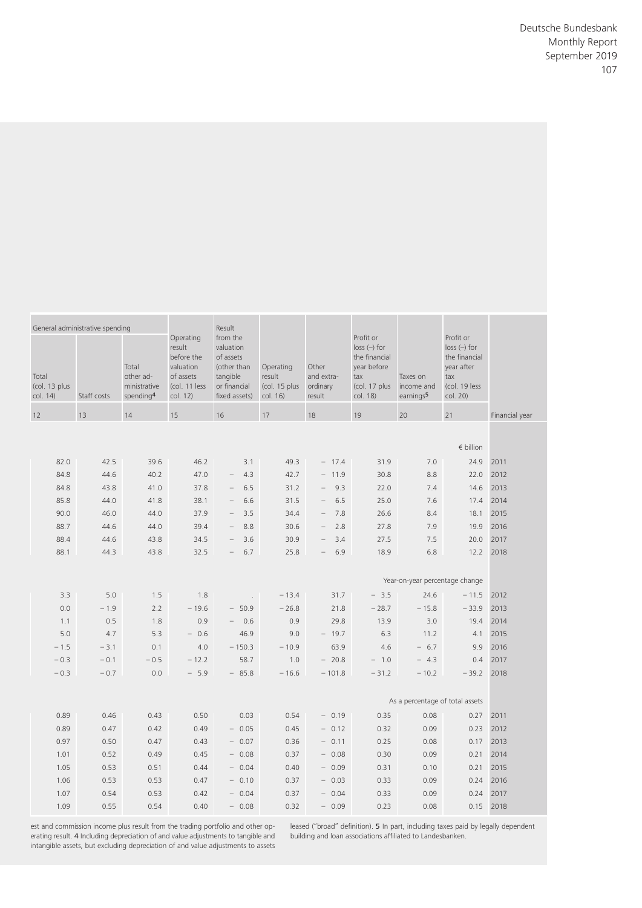|                        | Profit or<br>$loss$ $(-)$ for<br>the financial<br>year after<br>tax<br>(col. 19 less<br>col. 20) | Taxes on<br>earnings <sup>5</sup> | Profit or<br>$loss$ $(-)$ for<br>the financial<br>year before<br>tax<br>(col. 17 plus income and<br>col. 18) | Other<br>and extra-<br>result | Operating<br>result<br>(col. 15 plus ordinary | Result<br>from the<br>valuation<br>of assets<br>(other than<br>tangible<br>or financial<br>fixed assets) col. 16) | Operating<br>result<br>before the<br>valuation<br>of assets<br>(col. 11 less<br>col. 12) | Total<br>other ad-<br>ministrative<br>spending <sup>4</sup> | Staff costs   | General administrative spending<br>Total<br>(col. 13 plus<br>col. 14) |
|------------------------|--------------------------------------------------------------------------------------------------|-----------------------------------|--------------------------------------------------------------------------------------------------------------|-------------------------------|-----------------------------------------------|-------------------------------------------------------------------------------------------------------------------|------------------------------------------------------------------------------------------|-------------------------------------------------------------|---------------|-----------------------------------------------------------------------|
| Financial year         | 21                                                                                               | 20                                | 19                                                                                                           | 18                            | 17                                            | 16                                                                                                                | 15                                                                                       | 14                                                          | 13            | 12                                                                    |
|                        | $\epsilon$ billion                                                                               |                                   |                                                                                                              |                               |                                               |                                                                                                                   |                                                                                          |                                                             |               |                                                                       |
|                        | 24.9 2011                                                                                        | 7.0                               | 31.9                                                                                                         | $-17.4$                       | 49.3                                          | 3.1                                                                                                               | 46.2                                                                                     | 39.6                                                        | 42.5          | 82.0                                                                  |
| 22.0 2012              |                                                                                                  | 8.8                               | 30.8                                                                                                         | $-11.9$                       | 42.7                                          | $-4.3$                                                                                                            | 47.0                                                                                     | 40.2                                                        | 44.6          | 84.8                                                                  |
| 14.6 2013              |                                                                                                  | 7.4                               | 22.0                                                                                                         | $-9.3$                        | 31.2                                          | $-6.5$                                                                                                            | 37.8                                                                                     | 41.0                                                        | 43.8          | 84.8                                                                  |
| 17.4 2014<br>18.1 2015 |                                                                                                  | 7.6<br>8.4                        | 25.0<br>26.6                                                                                                 | $-6.5$<br>$-7.8$              | 31.5<br>34.4                                  | $-6.6$<br>$-3.5$                                                                                                  | 38.1<br>37.9                                                                             | 41.8<br>44.0                                                | 44.0<br>46.0  | 85.8<br>90.0                                                          |
| 19.9 2016              |                                                                                                  | 7.9                               | 27.8                                                                                                         | $-2.8$                        | 30.6                                          | $-8.8$                                                                                                            | 39.4                                                                                     | 44.0                                                        | 44.6          | 88.7                                                                  |
| 20.0 2017              |                                                                                                  | 7.5                               | 27.5                                                                                                         | $-3.4$                        | 30.9                                          | $-3.6$                                                                                                            | 34.5                                                                                     | 43.8                                                        | 44.6          | 88.4                                                                  |
| 12.2 2018              |                                                                                                  | 6.8                               | 18.9                                                                                                         | $-6.9$                        | 25.8                                          | $-6.7$                                                                                                            | 32.5                                                                                     | 43.8                                                        | 44.3          | 88.1                                                                  |
|                        |                                                                                                  | Year-on-year percentage change    |                                                                                                              |                               |                                               |                                                                                                                   |                                                                                          |                                                             |               |                                                                       |
|                        | $-11.5$ 2012                                                                                     | 24.6                              | $-3.5$                                                                                                       | 31.7                          | $-13.4$                                       |                                                                                                                   | 1.8                                                                                      | 1.5                                                         | 5.0           | 3.3                                                                   |
| 19.4 2014              | $-33.9$ 2013                                                                                     | $-15.8$<br>3.0                    | $-28.7$<br>13.9                                                                                              | 21.8<br>29.8                  | $-26.8$<br>0.9                                | $-50.9$<br>$-0.6$                                                                                                 | $-19.6$<br>0.9                                                                           | 2.2<br>1.8                                                  | $-1.9$<br>0.5 | 0.0<br>1.1                                                            |
| 4.1 2015               |                                                                                                  | 11.2                              | 6.3                                                                                                          | $-19.7$                       | 9.0                                           | 46.9                                                                                                              | $-0.6$                                                                                   | 5.3                                                         | 4.7           | 5.0                                                                   |
| 9.9 2016               |                                                                                                  | $-6.7$                            | 4.6                                                                                                          | 63.9                          | $-10.9$                                       | $-150.3$                                                                                                          | 4.0                                                                                      | 0.1                                                         | $-3.1$        | $-1.5$                                                                |
| 0.4 2017               |                                                                                                  | $-4.3$                            | $-1.0$                                                                                                       | $-20.8$                       | 1.0                                           | 58.7                                                                                                              | $-12.2$                                                                                  | $-0.5$                                                      | $-0.1$        | $-0.3$                                                                |
|                        | $-39.2$ 2018                                                                                     | $-10.2$                           | $-31.2$                                                                                                      | $-101.8$                      | $-16.6$                                       | $-85.8$                                                                                                           | $-5.9$                                                                                   | 0.0                                                         | $-0.7$        | $-0.3$                                                                |
|                        |                                                                                                  | As a percentage of total assets   |                                                                                                              |                               |                                               |                                                                                                                   |                                                                                          |                                                             |               |                                                                       |
| $0.27$ 2011            |                                                                                                  | 0.08                              | 0.35                                                                                                         | $-0.19$                       | 0.54                                          | 0.03                                                                                                              | 0.50                                                                                     | 0.43                                                        | 0.46          | 0.89                                                                  |
|                        | $0.23$ 2012                                                                                      | 0.09                              | 0.32                                                                                                         | $-0.12$                       | 0.45                                          | $-0.05$                                                                                                           | 0.49                                                                                     | 0.42                                                        | 0.47          | 0.89                                                                  |
|                        |                                                                                                  | 0.08                              | 0.25                                                                                                         | $-0.11$                       | 0.36                                          | $-0.07$                                                                                                           | 0.43                                                                                     | 0.47                                                        | 0.50          | 0.97                                                                  |
| $0.17$ 2013            |                                                                                                  | 0.09                              | 0.30<br>0.31                                                                                                 | $-0.08$<br>$-0.09$            | 0.37<br>0.40                                  | $-0.08$<br>$-0.04$                                                                                                | 0.45<br>0.44                                                                             | 0.49<br>0.51                                                | 0.52<br>0.53  | 1.01<br>1.05                                                          |
| 0.21 2014              |                                                                                                  |                                   |                                                                                                              |                               |                                               |                                                                                                                   |                                                                                          |                                                             | 0.53          |                                                                       |
| 0.21 2015              |                                                                                                  | 0.10                              |                                                                                                              |                               |                                               |                                                                                                                   |                                                                                          |                                                             |               |                                                                       |
| 0.24 2016<br>0.24 2017 |                                                                                                  | 0.09<br>0.09                      | 0.33<br>0.33                                                                                                 | $-0.03$<br>$-0.04$            | 0.37<br>0.37                                  | $-0.10$<br>$-0.04$                                                                                                | 0.47<br>0.42                                                                             | 0.53<br>0.53                                                | 0.54          | 1.06<br>1.07                                                          |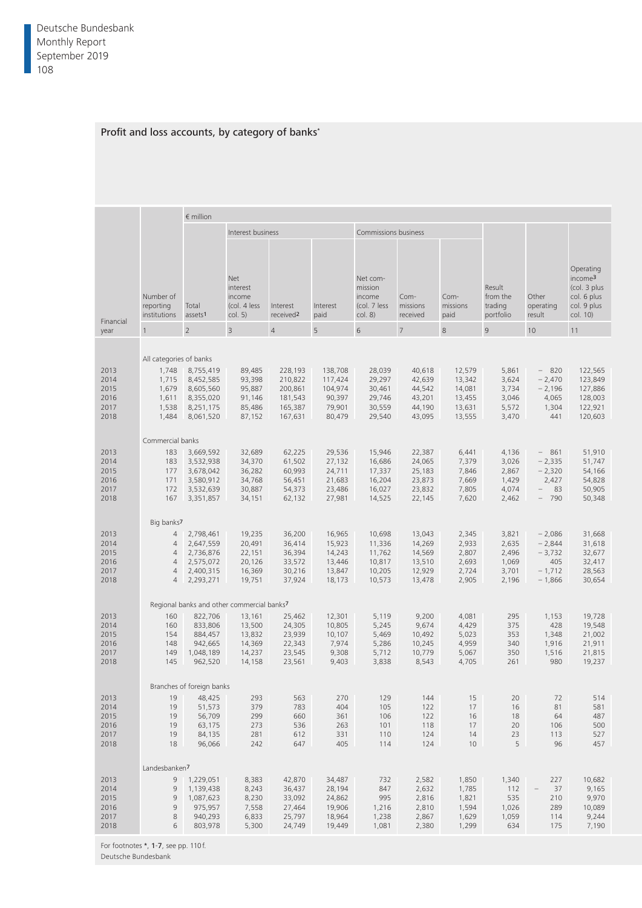# Profit and loss accounts, by category of banks<sup>\*</sup>

|                                              |                                                            | $\epsilon$ million                                                                             |                                                                                                        |                                                                |                                                             |                                                          |                                                          |                                                          |                                                    |                                                                 |                                                                                            |
|----------------------------------------------|------------------------------------------------------------|------------------------------------------------------------------------------------------------|--------------------------------------------------------------------------------------------------------|----------------------------------------------------------------|-------------------------------------------------------------|----------------------------------------------------------|----------------------------------------------------------|----------------------------------------------------------|----------------------------------------------------|-----------------------------------------------------------------|--------------------------------------------------------------------------------------------|
|                                              |                                                            |                                                                                                | Interest business                                                                                      |                                                                |                                                             | Commissions business                                     |                                                          |                                                          |                                                    |                                                                 |                                                                                            |
| Financial                                    | Number of<br>reporting<br>institutions assets <sup>1</sup> | Total                                                                                          | Net<br>interest<br>income<br>(col. 4 less<br>col. 5)                                                   | Interest<br>received <sup>2</sup>                              | Interest<br>paid                                            | Net com-<br>mission<br>income<br>(col. 7 less<br>col. 8) | Com-<br>missions<br>received                             | Com-<br>missions<br>paid                                 | Result<br>from the<br>trading<br>portfolio         | Other<br>operating<br>result                                    | Operating<br>income <sup>3</sup><br>(col. 3 plus<br>col. 6 plus<br>col. 9 plus<br>col. 10) |
| year                                         |                                                            |                                                                                                | $\overline{3}$                                                                                         | $\overline{4}$                                                 |                                                             | 6                                                        |                                                          | 8                                                        | $\mathsf{Q}$                                       | 10                                                              | 11                                                                                         |
|                                              | All categories of banks                                    |                                                                                                |                                                                                                        |                                                                |                                                             |                                                          |                                                          |                                                          |                                                    |                                                                 |                                                                                            |
| 2013<br>2014<br>2015<br>2016<br>2017<br>2018 | 1,715<br>1,679<br>1,611<br>1,538                           | 1,748 8,755,419<br>8,452,585<br>8,605,560<br>8,355,020<br>8,251,175<br>1,484 8,061,520         | 89,485<br>93,398<br>95,887<br>91,146<br>85,486<br>87,152                                               | 228,193<br>210,822<br>200,861<br>181,543<br>165,387<br>167,631 | 138,708<br>117,424<br>104,974<br>90,397<br>79,901<br>80,479 | 28,039<br>29,297<br>30,461<br>29,746<br>30,559<br>29,540 | 40,618<br>42,639<br>44,542<br>43,201<br>44,190<br>43,095 | 12,579<br>13,342<br>14,081<br>13,455<br>13,631<br>13,555 | 5,861<br>3,624<br>3,734<br>3,046<br>5,572<br>3,470 | $-820$<br>$-2,470$<br>$-2,196$<br>4,065<br>1,304<br>441         | 122,565<br>123,849<br>127,886<br>128,003<br>122,921<br>120,603                             |
| 2013<br>2014<br>2015<br>2016<br>2017<br>2018 | Commercial banks<br>183                                    | 183 3,669,592<br>3,532,938<br>177 3,678,042<br>171 3,580,912<br>172 3,532,639<br>167 3,351,857 | 32,689<br>34,370<br>36,282<br>34,768<br>30,887<br>34,151                                               | 62,225<br>61,502<br>60,993<br>56,451<br>54,373<br>62,132       | 29,536<br>27,132<br>24,711<br>21,683<br>23,486<br>27,981    | 15,946<br>16,686<br>17,337<br>16,204<br>16,027<br>14,525 | 22,387<br>24,065<br>25,183<br>23,873<br>23,832<br>22,145 | 6,441<br>7,379<br>7,846<br>7,669<br>7,805<br>7,620       | 4,136<br>3,026<br>2,867<br>1,429<br>4,074<br>2,462 | $-861$<br>$-2,335$<br>$-2,320$<br>2,427<br>$-83$<br>$-790$      | 51,910<br>51,747<br>54,166<br>54,828<br>50,905<br>50,348                                   |
| 2013<br>2014<br>2015<br>2016<br>2017<br>2018 | Big banks7<br>4<br>4<br>$\overline{4}$<br>4                | 4 2,798,461<br>2,647,559<br>2,736,876<br>2,575,072<br>2,400,315<br>4 2,293,271                 | 19,235<br>20,491<br>22,151<br>20,126<br>16,369<br>19,751                                               | 36,200<br>36,414<br>36,394<br>33,572<br>30,216<br>37,924       | 16,965<br>15,923<br>14,243<br>13,446<br>13,847<br>18,173    | 10,698<br>11,336<br>11,762<br>10,817<br>10,205<br>10,573 | 13,043<br>14,269<br>14,569<br>13,510<br>12,929<br>13,478 | 2,345<br>2,933<br>2,807<br>2,693<br>2,724<br>2,905       | 3,821<br>2,635<br>2,496<br>1,069<br>3,701<br>2,196 | $-2,086$<br>$-2,844$<br>$-3,732$<br>405<br>$-1,712$<br>$-1,866$ | 31,668<br>31,618<br>32,677<br>32,417<br>28,563<br>30,654                                   |
| 2013<br>2014<br>2015<br>2016<br>2017<br>2018 | 160<br>160<br>154<br>148<br>149<br>145                     | 822,706<br>833,806<br>884,457<br>942,665<br>1,048,189<br>962,520                               | Regional banks and other commercial banks7<br>13,161<br>13,500<br>13,832<br>14,369<br>14,237<br>14,158 | 25,462<br>24,305<br>23,939<br>22,343<br>23,545<br>23,561       | 12,301<br>10,805<br>10,107<br>7,974<br>9,308<br>9,403       | 5,119<br>5,245<br>5,469<br>5,286<br>5,712<br>3,838       | 9,200<br>9,674<br>10,492<br>10,245<br>10,779<br>8,543    | 4,081<br>4,429<br>5,023<br>4,959<br>5,067<br>4,705       | 295<br>375<br>353<br>340<br>350<br>261             | 1,153<br>428<br>1,348<br>1,916<br>1,516<br>980                  | 19,728<br>19,548<br>21,002<br>21,911<br>21,815<br>19,237                                   |
|                                              |                                                            | Branches of foreign banks                                                                      |                                                                                                        |                                                                |                                                             |                                                          |                                                          |                                                          |                                                    |                                                                 |                                                                                            |
| 2013<br>2014<br>2015<br>2016<br>2017<br>2018 | 19<br>19<br>19<br>19<br>19<br>18                           | 48,425<br>51,573<br>56,709<br>63,175<br>84,135<br>96,066                                       | 293<br>379<br>299<br>273<br>281<br>242                                                                 | 563<br>783<br>660<br>536<br>612<br>647                         | 270<br>404<br>361<br>263<br>331<br>405                      | 129<br>105<br>106<br>101<br>110<br>114                   | 144<br>122<br>122<br>118<br>124<br>124                   | 15<br>17<br>16<br>17<br>14<br>10 <sup>1</sup>            | 20<br>16<br>18<br>20<br>23<br>5                    | 72<br>81<br>64<br>106<br>113<br>96                              | 514<br>581<br>487<br>500<br>527<br>457                                                     |
|                                              | Landesbanken <sup>7</sup>                                  |                                                                                                |                                                                                                        |                                                                |                                                             |                                                          |                                                          |                                                          |                                                    |                                                                 |                                                                                            |
| 2013<br>2014<br>2015<br>2016<br>2017<br>2018 | 9<br>9<br>8<br>$6 \quad$                                   | 9 1,229,051<br>9 1,139,438<br>1,087,623<br>975,957<br>940,293<br>803,978                       | 8,383<br>8,243<br>8,230<br>7,558<br>6,833<br>5,300                                                     | 42,870<br>36,437<br>33,092<br>27,464<br>25,797<br>24,749       | 34,487<br>28,194<br>24,862<br>19,906<br>18,964<br>19,449    | 732<br>847<br>995<br>1,216<br>1,238<br>1,081             | 2,582<br>2,632<br>2,816<br>2,810<br>2,867<br>2,380       | 1,850<br>1,785<br>1,821<br>1,594<br>1,629<br>1,299       | 1,340<br>112<br>535<br>1,026<br>1,059<br>634       | 227<br>37<br>210<br>289<br>114<br>175                           | 10,682<br>9,165<br>9,970<br>10,089<br>9,244<br>7,190                                       |

For footnotes \*, 1-7, see pp. 110 f. Deutsche Bundesbank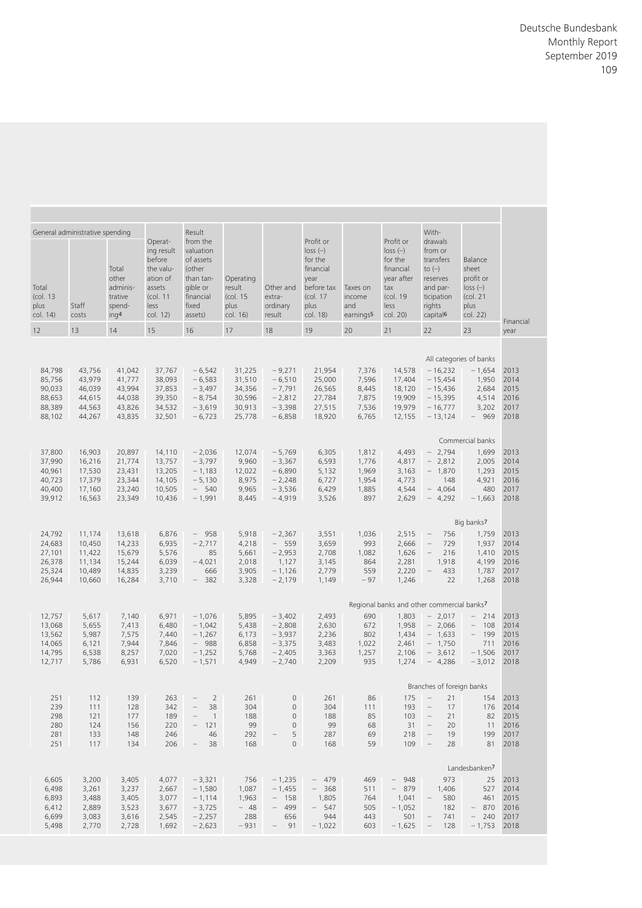| Balance<br>sheet<br>profit or<br>$loss$ $(-)$<br>$1$ (col. 21)<br>plus<br>col. 22)<br>Financial | With-<br>drawals<br>from or<br>transfers<br>to $\left(\rightarrow\right)$<br>reserves<br>and par-<br>ticipation<br>rights<br>capital <sup>6</sup> | Profit or<br>$loss$ $(-)$<br>for the<br>financial<br>year after<br>tax<br>(col. 19<br>less<br>col. 20) | Taxes on<br>income<br>and<br>earnings <sup>5</sup> | Profit or<br>$loss$ $(-)$<br>for the<br>financial<br>year<br>before tax<br>(col. 17<br>plus<br>col. 18) | Other and<br>extra-<br>ordinary<br>result                                                       | Operating<br>result<br>(col. 15)<br>plus<br>col. 16)     | Result<br>from the<br>valuation<br>of assets<br>(other<br>than tan-<br>gible or<br>financial<br>fixed<br>assets) | Operat-<br>ing result<br>before<br>the valu-<br>ation of<br>assets<br>$1$<br>less<br>col. 12) | Total<br>other<br>adminis-<br>trative<br>spend-<br>ing <sup>4</sup> | General administrative spending<br>Staff<br>costs        | Total<br>(col. 13<br>plus<br>col. 14)                    |
|-------------------------------------------------------------------------------------------------|---------------------------------------------------------------------------------------------------------------------------------------------------|--------------------------------------------------------------------------------------------------------|----------------------------------------------------|---------------------------------------------------------------------------------------------------------|-------------------------------------------------------------------------------------------------|----------------------------------------------------------|------------------------------------------------------------------------------------------------------------------|-----------------------------------------------------------------------------------------------|---------------------------------------------------------------------|----------------------------------------------------------|----------------------------------------------------------|
| 23<br>year                                                                                      | 22                                                                                                                                                | 21                                                                                                     | 20                                                 | 19                                                                                                      | 18                                                                                              | 17                                                       | 16                                                                                                               | 15                                                                                            | 14                                                                  | 13                                                       | 12                                                       |
| All categories of banks                                                                         |                                                                                                                                                   |                                                                                                        |                                                    |                                                                                                         |                                                                                                 |                                                          |                                                                                                                  |                                                                                               |                                                                     |                                                          |                                                          |
| $-1,654$ 2013<br>1,950 2014<br>2,684 2015<br>4,514 2016<br>3,202 2017<br>$-969$ 2018            | $14,578 - 16,232$<br>$-15,454$<br>$-15,436$<br>$-15,395$<br>$-16,777$<br>$-13,124$                                                                | 17,404<br>18,120<br>19,909<br>19,979<br>12,155                                                         | 7,376<br>7,596<br>8,445<br>7,875<br>7,536<br>6,765 | 21,954<br>25,000<br>26,565<br>27,784<br>27,515<br>18,920                                                | $-9,271$<br>$-6,510$<br>$-7,791$<br>$-2,812$<br>$-3,398$<br>$-6,858$                            | 31,225<br>31,510<br>34,356<br>30,596<br>30,913<br>25,778 | $-6,542$<br>$-6,583$<br>$-3,497$<br>$-8,754$<br>$-3,619$<br>$-6,723$                                             | 37,767<br>38,093<br>37,853<br>39,350<br>34,532<br>32,501                                      | 41,042<br>41,777<br>43,994<br>44,038<br>43,826<br>43,835            | 43,756<br>43,979<br>46,039<br>44,615<br>44,563<br>44,267 | 84,798<br>85,756<br>90,033<br>88,653<br>88,389<br>88,102 |
| Commercial banks                                                                                |                                                                                                                                                   |                                                                                                        |                                                    |                                                                                                         |                                                                                                 |                                                          |                                                                                                                  |                                                                                               |                                                                     |                                                          |                                                          |
| 1,699 2013<br>2,005 2014<br>1,293 2015<br>4,921 2016<br>480<br>2017<br>$-1,663$ 2018            | $4,493 - 2,794$<br>$-2,812$<br>$-1,870$<br>148<br>$-4,064$<br>$-4,292$                                                                            | 4,817<br>3,163<br>4,773<br>4,544<br>2,629                                                              | 1,812<br>1,776<br>1,969<br>1,954<br>1,885<br>897   | 6,305<br>6,593<br>5,132<br>6,727<br>6,429<br>3,526                                                      | $-5,769$<br>$-3,367$<br>$-6,890$<br>$-2,248$<br>$-3,536$<br>$-4,919$                            | 12,074<br>9,960<br>12,022<br>8,975<br>9,965<br>8,445     | $-2,036$<br>$-3,797$<br>$-1,183$<br>$-5,130$<br>$-540$<br>$-1,991$                                               | 14,110<br>13,757<br>13,205<br>14,105<br>10,505<br>10,436                                      | 20,897<br>21,774<br>23,431<br>23,344<br>23,240<br>23,349            | 16,903<br>16,216<br>17,530<br>17,379<br>17,160<br>16,563 | 37,800<br>37,990<br>40,961<br>40,723<br>40,400<br>39,912 |
| Big banks7                                                                                      |                                                                                                                                                   |                                                                                                        |                                                    |                                                                                                         |                                                                                                 |                                                          |                                                                                                                  |                                                                                               |                                                                     |                                                          |                                                          |
| 1,759 2013                                                                                      | 756<br>$\sim$                                                                                                                                     | 2,515                                                                                                  | 1,036                                              | 3,551                                                                                                   | $-2,367$                                                                                        | 5,918                                                    | $-958$                                                                                                           | 6,876                                                                                         | 13,618                                                              | 11,174                                                   | 24,792                                                   |
| 1,937<br>2014<br>1,410 2015<br>4,199 2016<br>1,787<br>2017<br>22<br>1,268 2018                  | 729<br>$\overline{\phantom{m}}$<br>216<br>$ \,$<br>1,918<br>433<br>$\hspace{0.1mm}-\hspace{0.1mm}$                                                | 2,666<br>1,626<br>2,281<br>2,220<br>1,246                                                              | 993<br>1,082<br>864<br>559<br>$-97$                | 3,659<br>2,708<br>3,145<br>2,779<br>1,149                                                               | $-559$<br>$-2,953$<br>1,127<br>$-1,126$<br>$-2,179$                                             | 4,218<br>5,661<br>2,018<br>3,905<br>3,328                | $-2,717$<br>85<br>$-4,021$<br>666<br>$-382$                                                                      | 6,935<br>5,576<br>6,039<br>3,239<br>3,710                                                     | 14,233<br>15,679<br>15,244<br>14,835<br>16,284                      | 10,450<br>11,422<br>11,134<br>10,489<br>10,660           | 24,683<br>27,101<br>26,378<br>25,324<br>26,944           |
| Regional banks and other commercial banks7                                                      |                                                                                                                                                   |                                                                                                        |                                                    |                                                                                                         |                                                                                                 |                                                          |                                                                                                                  |                                                                                               |                                                                     |                                                          |                                                          |
| $-214$ 2013<br>108 2014<br>$\sim$<br>$- 199$ 2015<br>711 2016<br>$-1,506$ 2017<br>$-3,012$ 2018 | $-2,017$<br>$-2,066$<br>$-1,633$<br>$-1,750$<br>$-3,612$<br>$1,274 - 4,286$                                                                       | 1,803<br>1,958<br>1,434<br>2,461<br>2,106                                                              | 690<br>672<br>802<br>1,022<br>1,257<br>935         | 2,493<br>2,630<br>2,236<br>3,483<br>3,363<br>2,209                                                      | $-3,402$<br>$-2,808$<br>$-3,937$<br>$-3,375$<br>$-2,405$<br>$-2,740$                            | 5,895<br>5,438<br>6,173<br>6,858<br>5,768<br>4,949       | $-1,076$<br>$-1,042$<br>$-1,267$<br>$-988$<br>$-1,252$<br>$-1,571$                                               | 6,971<br>6,480<br>7,440<br>7,846<br>7,020<br>6,520                                            | 7,140<br>7,413<br>7,575<br>7,944<br>8,257<br>6,931                  | 5,617<br>5,655<br>5,987<br>6,121<br>6,538<br>5,786       | 12,757<br>13,068<br>13,562<br>14,065<br>14,795<br>12,717 |
| Branches of foreign banks                                                                       |                                                                                                                                                   |                                                                                                        |                                                    |                                                                                                         |                                                                                                 |                                                          |                                                                                                                  |                                                                                               |                                                                     |                                                          |                                                          |
| 154 2013<br>176 2014<br>82 2015<br>11 2016<br>199 2017<br>81 2018                               | $175 - 21$<br>$\overline{a}$<br>17<br>$\mathcal{C}=\mathcal{C}$<br>21<br>$31 -$<br>20<br>19<br>$\hspace{0.1mm}-\hspace{0.1mm}$<br>$109 -$<br>28   | 193<br>103<br>218                                                                                      | 86<br>111<br>85<br>68<br>69<br>59                  | 261<br>304<br>188<br>99<br>287<br>168                                                                   | $\circ$<br>$\mathbf 0$<br>$\circ$<br>$\circ$<br>5<br>$\hspace{0.1mm}-\hspace{0.1mm}$<br>$\circ$ | 261<br>304<br>188<br>99<br>292<br>168                    | $-2$<br>$\hspace{0.1mm}-\hspace{0.1mm}$<br>38<br>$\sim$<br>$\overline{1}$<br>$-121$<br>46<br>$-38$               | 263<br>342<br>189<br>220<br>246<br>206                                                        | 139<br>128<br>177<br>156<br>148<br>134                              | 112<br>111<br>121<br>124<br>133<br>117                   | 251<br>239<br>298<br>280<br>281<br>251                   |
| Landesbanken7                                                                                   |                                                                                                                                                   |                                                                                                        |                                                    |                                                                                                         |                                                                                                 |                                                          |                                                                                                                  |                                                                                               |                                                                     |                                                          |                                                          |
| 25 2013<br>527 2014<br>461 2015<br>$-870$ 2016<br>$-240$ 2017<br>$-1,753$ 2018                  | 973<br>1,406<br>580<br>$-$<br>182<br>741<br>$\hspace{0.1mm}-\hspace{0.1mm}$<br>128                                                                | - 948<br>$-879$<br>1,041<br>$-1,052$<br>501<br>$-1,625 -$                                              | 469<br>511<br>764<br>505<br>443<br>603             | - 479<br>$-368$<br>1,805<br>$-547$<br>944<br>$-1,022$                                                   | $-1,235$<br>$-1,455$<br>$- 158$<br>$-499$<br>656<br>$-91$                                       | 756<br>1,087<br>1,963<br>$-48$<br>288<br>$-931$          | $-3,321$<br>$-1,580$<br>$-1,114$<br>$-3,725$<br>$-2,257$<br>$-2,623$                                             | 4,077<br>2,667<br>3,077<br>3,677<br>2,545<br>1,692                                            | 3,405<br>3,237<br>3,405<br>3,523<br>3,616<br>2,728                  | 3,200<br>3,261<br>3,488<br>2,889<br>3,083<br>2,770       | 6,605<br>6,498<br>6,893<br>6,412<br>6,699<br>5,498       |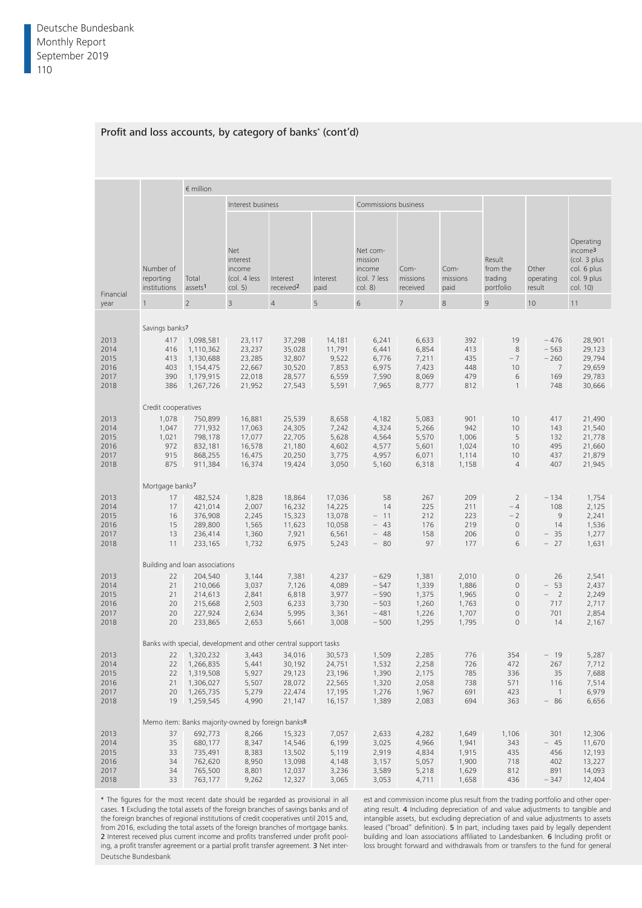|                                              |                                                            | $\epsilon$ million                                                                            |                                                                                |                                                          |                                                          |                                                               |                                                    |                                                    |                                                                                       |                                                            |                                                                                                  |
|----------------------------------------------|------------------------------------------------------------|-----------------------------------------------------------------------------------------------|--------------------------------------------------------------------------------|----------------------------------------------------------|----------------------------------------------------------|---------------------------------------------------------------|----------------------------------------------------|----------------------------------------------------|---------------------------------------------------------------------------------------|------------------------------------------------------------|--------------------------------------------------------------------------------------------------|
|                                              |                                                            |                                                                                               | Interest business                                                              |                                                          |                                                          | Commissions business                                          |                                                    |                                                    |                                                                                       |                                                            |                                                                                                  |
| Financial                                    | Number of<br>reporting<br>institutions assets <sup>1</sup> | Total<br>$\overline{2}$                                                                       | <b>Net</b><br>interest<br>income<br>(col. 4 less)<br>col. 5)<br>$\overline{3}$ | Interest<br>received <sup>2</sup><br>$\overline{4}$      | Interest<br>paid<br>5                                    | Net com-<br>mission<br>income<br>(col. 7 less<br>col. 8)<br>6 | Com-<br>missions<br>received                       | Com-<br>missions<br>paid<br>8                      | Result<br>from the<br>trading<br>portfolio<br>9                                       | Other<br>operating<br>result<br>10                         | Operating<br>income <sup>3</sup><br>(col. 3 plus<br>col. 6 plus<br>col. 9 plus<br>col. 10)<br>11 |
| year                                         |                                                            |                                                                                               |                                                                                |                                                          |                                                          |                                                               |                                                    |                                                    |                                                                                       |                                                            |                                                                                                  |
|                                              | Savings banks7                                             |                                                                                               |                                                                                |                                                          |                                                          |                                                               |                                                    |                                                    |                                                                                       |                                                            |                                                                                                  |
| 2013<br>2014<br>2015<br>2016<br>2017<br>2018 | 416<br>413<br>403<br>390                                   | 417 1,098,581<br>1,110,362<br>1,130,688<br>1,154,475<br>1,179,915<br>386 1,267,726            | 23,117<br>23,237<br>23,285<br>22,667<br>22,018<br>21,952                       | 37,298<br>35,028<br>32,807<br>30,520<br>28,577<br>27,543 | 14,181<br>11,791<br>9,522<br>7,853<br>6,559<br>5,591     | 6,241<br>6,441<br>6,776<br>6,975<br>7,590<br>7,965            | 6,633<br>6,854<br>7,211<br>7,423<br>8,069<br>8,777 | 392<br>413<br>435<br>448<br>479<br>812             | 19<br>8<br>$-7$<br>10 <sup>°</sup><br>6<br>$\overline{1}$                             | $-476$<br>$-563$<br>$-260$<br>$\overline{7}$<br>169<br>748 | 28,901<br>29,123<br>29,794<br>29,659<br>29,783<br>30,666                                         |
|                                              | Credit cooperatives                                        |                                                                                               |                                                                                |                                                          |                                                          |                                                               |                                                    |                                                    |                                                                                       |                                                            |                                                                                                  |
| 2013<br>2014<br>2015<br>2016<br>2017<br>2018 | 1,078<br>1,047<br>1,021<br>972<br>915<br>875               | 750,899<br>771,932<br>798,178<br>832,181<br>868,255<br>911,384                                | 16,881<br>17,063<br>17,077<br>16,578<br>16,475<br>16,374                       | 25,539<br>24,305<br>22,705<br>21,180<br>20,250<br>19,424 | 8,658<br>7,242<br>5,628<br>4,602<br>3,775<br>3,050       | 4,182<br>4,324<br>4,564<br>4,577<br>4,957<br>5,160            | 5,083<br>5,266<br>5,570<br>5,601<br>6,071<br>6,318 | 901<br>942<br>1,006<br>1,024<br>1,114<br>1,158     | 10 <sup>°</sup><br>10 <sup>°</sup><br>5<br>10 <sup>°</sup><br>10<br>$\overline{4}$    | 417<br>143<br>132<br>495<br>437<br>407                     | 21,490<br>21,540<br>21,778<br>21,660<br>21,879<br>21,945                                         |
|                                              | Mortgage banks7                                            |                                                                                               |                                                                                |                                                          |                                                          |                                                               |                                                    |                                                    |                                                                                       |                                                            |                                                                                                  |
| 2013<br>2014<br>2015<br>2016<br>2017<br>2018 | 17<br>17<br>16<br>15<br>13<br>11                           | 482,524<br>421,014<br>376,908<br>289,800<br>236,414<br>233,165                                | 1,828<br>2,007<br>2,245<br>1,565<br>1,360<br>1,732                             | 18,864<br>16,232<br>15,323<br>11,623<br>7,921<br>6,975   | 17,036<br>14,225<br>13,078<br>10,058<br>6,561<br>5,243   | 58<br>14<br>$-11$<br>$-43$<br>$-48$<br>$-80$                  | 267<br>225<br>212<br>176<br>158<br>97              | 209<br>211<br>223<br>219<br>206<br>177             | $\overline{2}$<br>$-4$<br>$-2$<br>$\overline{0}$<br>$\circ$<br>6                      | $-134$<br>108<br>9<br>14<br>$-35$<br>$-27$                 | 1,754<br>2,125<br>2,241<br>1,536<br>1,277<br>1,631                                               |
|                                              | Building and loan associations                             |                                                                                               |                                                                                |                                                          |                                                          |                                                               |                                                    |                                                    |                                                                                       |                                                            |                                                                                                  |
| 2013<br>2014<br>2015<br>2016<br>2017<br>2018 | 22<br>21<br>21<br>20<br>20<br>20                           | 204,540<br>210,066<br>214,613<br>215,668<br>227,924<br>233,865                                | 3,144<br>3,037<br>2,841<br>2,503<br>2,634<br>2,653                             | 7,381<br>7,126<br>6,818<br>6,233<br>5,995<br>5,661       | 4,237<br>4,089<br>3,977<br>3,730<br>3,361<br>3,008       | $-629$<br>$-547$<br>$-590$<br>$-503$<br>$-481$<br>$-500$      | 1,381<br>1,339<br>1,375<br>1,260<br>1,226<br>1,295 | 2,010<br>1,886<br>1,965<br>1,763<br>1,707<br>1,795 | $\Omega$<br>$\overline{0}$<br>$\overline{0}$<br>$\Omega$<br>$\circ$<br>$\overline{0}$ | 26<br>$-53$<br>$-2$<br>717<br>701<br>14                    | 2,541<br>2,437<br>2,249<br>2,717<br>2,854<br>2,167                                               |
|                                              |                                                            |                                                                                               | Banks with special, development and other central support tasks                |                                                          |                                                          |                                                               |                                                    |                                                    |                                                                                       |                                                            |                                                                                                  |
| 2013<br>2014<br>2015<br>2016<br>2017<br>2018 |                                                            | 22 1,320,232<br>22 1,266,835<br>22 1,319,508<br>21 1,306,027<br>20 1,265,735<br>19  1,259,545 | 3,443<br>5,441<br>5,927<br>5,507<br>5,279<br>4,990                             | 34,016<br>30,192<br>29,123<br>28,072<br>22,474<br>21,147 | 30,573<br>24,751<br>23,196<br>22,565<br>17,195<br>16,157 | 1,509<br>1,532<br>1,390<br>1,320<br>1,276<br>1,389            | 2,285<br>2,258<br>2,175<br>2,058<br>1,967<br>2,083 | 776<br>726<br>785<br>738<br>691<br>694             | 354<br>472<br>336<br>571<br>423<br>363                                                | $-19$<br>267<br>35<br>116<br>$\overline{1}$<br>$-86$       | 5,287<br>7,712<br>7,688<br>7,514<br>6,979<br>6,656                                               |
|                                              |                                                            |                                                                                               | Memo item: Banks majority-owned by foreign banks <sup>8</sup>                  |                                                          |                                                          |                                                               |                                                    |                                                    |                                                                                       |                                                            |                                                                                                  |
| 2013<br>2014<br>2015<br>2016<br>2017<br>2018 | 37<br>35<br>33<br>34<br>34                                 | 692,773<br>680,177<br>735,491<br>762,620<br>765,500<br>33 763,177                             | 8,266<br>8,347<br>8,383<br>8,950<br>8,801<br>9,262                             | 15,323<br>14,546<br>13,502<br>13,098<br>12,037<br>12,327 | 7,057<br>6,199<br>5,119<br>4,148<br>3,236<br>3,065       | 2,633<br>3,025<br>2,919<br>3,157<br>3,589<br>3,053            | 4,282<br>4,966<br>4,834<br>5,057<br>5,218<br>4,711 | 1,649<br>1,941<br>1,915<br>1,900<br>1,629<br>1,658 | 1,106<br>343<br>435<br>718<br>812<br>436                                              | 301<br>$-45$<br>456<br>402<br>891<br>$-347$                | 12,306<br>11,670<br>12,193<br>13,227<br>14,093<br>12,404                                         |

### Profit and loss accounts, by category of banks\* (cont'd)

\* The figures for the most recent date should be regarded as provisional in all cases. 1 Excluding the total assets of the foreign branches of savings banks and of the foreign branches of regional institutions of credit cooperatives until 2015 and, from 2016, excluding the total assets of the foreign branches of mortgage banks. 2 Interest received plus current income and profits transferred under profit pooling, a profit transfer agreement or a partial profit transfer agreement. 3 Net inter-Deutsche Bundesbank

est and commission income plus result from the trading portfolio and other operating result. 4 Including depreciation of and value adjustments to tangible and intangible assets, but excluding depreciation of and value adjustments to assets leased ("broad" definition). 5 In part, including taxes paid by legally dependent building and loan associations affiliated to Landesbanken. 6 Including profit or loss brought forward and withdrawals from or transfers to the fund for general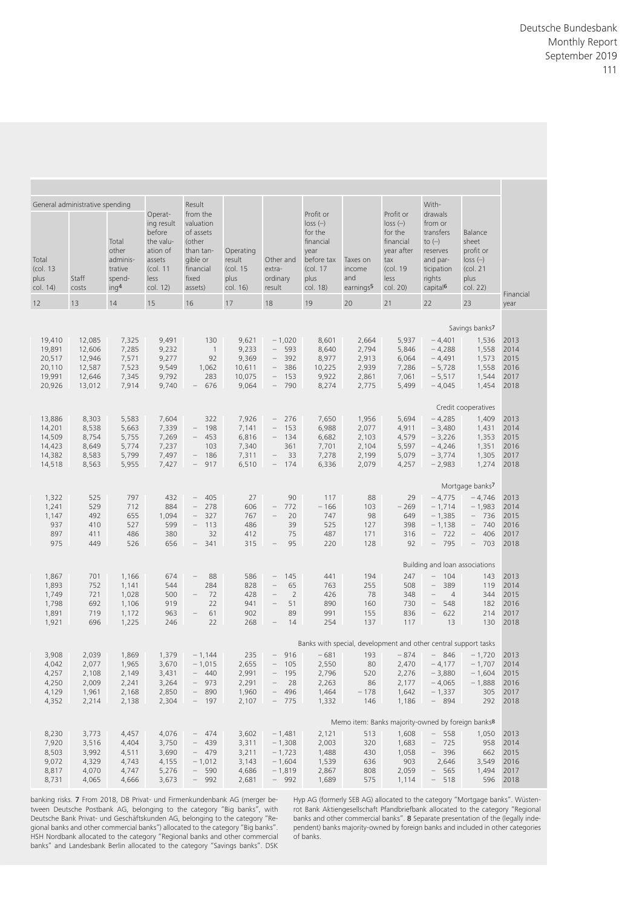|                            | With-                                                                                                                                                                                                                     |                                                                                                        |                                                    |                                                                                                         |                                           |                                                     |                                                                                                                  |                                                                                                            |                                                                     |                                                   |                                       |
|----------------------------|---------------------------------------------------------------------------------------------------------------------------------------------------------------------------------------------------------------------------|--------------------------------------------------------------------------------------------------------|----------------------------------------------------|---------------------------------------------------------------------------------------------------------|-------------------------------------------|-----------------------------------------------------|------------------------------------------------------------------------------------------------------------------|------------------------------------------------------------------------------------------------------------|---------------------------------------------------------------------|---------------------------------------------------|---------------------------------------|
|                            | drawals<br>from or<br>transfers<br>Balance<br>to $\left(\rightarrow\right)$<br>sheet<br>profit or<br>reserves<br>$loss$ $(-)$<br>and par-<br>(col. 21<br>ticipation<br>rights<br>plus<br>col. 22)<br>capital <sup>6</sup> | Profit or<br>$loss$ $(-)$<br>for the<br>financial<br>year after<br>tax<br>(col. 19<br>less<br>col. 20) | Taxes on<br>income<br>and<br>earnings <sup>5</sup> | Profit or<br>$loss$ $(-)$<br>for the<br>financial<br>year<br>before tax<br>(col. 17<br>plus<br>col. 18) | Other and<br>extra-<br>ordinary<br>result | Operating<br>result<br>(col. 15<br>plus<br>col. 16) | Result<br>from the<br>valuation<br>of assets<br>(other<br>than tan-<br>gible or<br>financial<br>fixed<br>assets) | Operat-<br>ing result<br>before<br>the valu-<br>ation of<br>assets<br>$\left($ col. 11<br>less<br>col. 12) | Total<br>other<br>adminis-<br>trative<br>spend-<br>ing <sup>4</sup> | General administrative spending<br>Staff<br>costs | Total<br>(col. 13<br>plus<br>col. 14) |
| Financial<br>year          | 22<br>23                                                                                                                                                                                                                  | 21                                                                                                     | 20                                                 | 19                                                                                                      | 18                                        | 17                                                  | 16                                                                                                               | 15                                                                                                         | 14                                                                  | 13                                                | 12                                    |
|                            |                                                                                                                                                                                                                           |                                                                                                        |                                                    |                                                                                                         |                                           |                                                     |                                                                                                                  |                                                                                                            |                                                                     |                                                   |                                       |
|                            | Savings banks7                                                                                                                                                                                                            |                                                                                                        |                                                    |                                                                                                         |                                           |                                                     |                                                                                                                  |                                                                                                            |                                                                     |                                                   |                                       |
| 1,536 2013                 | $-4,401$                                                                                                                                                                                                                  | 5,937                                                                                                  | 2,664                                              | 8,601                                                                                                   | $-1,020$                                  | 9,621                                               | 130                                                                                                              | 9,491                                                                                                      | 7,325                                                               | 12,085                                            | 19,410                                |
| 2014<br>1,573 2015         | $-4,288$<br>1,558<br>$-4,491$                                                                                                                                                                                             | 5,846<br>6,064                                                                                         | 2,794<br>2,913                                     | 8,640<br>8,977                                                                                          | $-593$<br>$-392$                          | 9,233<br>9,369                                      | $\overline{1}$<br>92                                                                                             | 9,232<br>9,277                                                                                             | 7,285<br>7,571                                                      | 12,606<br>12,946                                  | 19,891<br>20,517                      |
| 2016                       | 1,558<br>$-5,728$                                                                                                                                                                                                         | 7,286                                                                                                  | 2,939                                              | 10,225                                                                                                  | $-386$                                    | 10,611                                              | 1,062                                                                                                            | 9,549                                                                                                      | 7,523                                                               | 12,587                                            | 20,110                                |
| 2017                       | $-5,517$<br>1,544                                                                                                                                                                                                         | 7,061                                                                                                  | 2,861                                              | 9,922                                                                                                   | $-153$                                    | 10,075                                              | 283                                                                                                              | 9,792                                                                                                      | 7,345                                                               | 12,646                                            | 19,991                                |
| 1,454 2018                 | $-4,045$                                                                                                                                                                                                                  | 5,499                                                                                                  | 2,775                                              | 8,274                                                                                                   | - 790                                     | 9,064                                               | $-676$                                                                                                           | 9,740                                                                                                      | 7,914                                                               | 13,012                                            | 20,926                                |
|                            | Credit cooperatives                                                                                                                                                                                                       |                                                                                                        |                                                    |                                                                                                         |                                           |                                                     |                                                                                                                  |                                                                                                            |                                                                     |                                                   |                                       |
| 1,409 2013                 | $-4,285$                                                                                                                                                                                                                  | 5,694                                                                                                  | 1,956                                              | 7,650                                                                                                   | $-276$                                    | 7,926                                               | 322                                                                                                              | 7,604                                                                                                      | 5,583                                                               | 8,303                                             | 13,886                                |
| 2014                       | $-3,480$<br>1,431                                                                                                                                                                                                         | 4,911                                                                                                  | 2,077                                              | 6,988                                                                                                   | $-153$                                    | 7,141                                               | $-198$                                                                                                           | 7,339                                                                                                      | 5,663                                                               | 8,538                                             | 14,201                                |
| 1,353 2015                 | $-3,226$                                                                                                                                                                                                                  | 4,579                                                                                                  | 2,103                                              | 6,682                                                                                                   | $-134$<br>361                             | 6,816                                               | $-453$<br>103                                                                                                    | 7,269                                                                                                      | 5,755<br>5,774                                                      | 8,754                                             | 14,509<br>14,423                      |
| 2016<br>1,305 2017         | $-4,246$<br>1,351<br>$-3,774$                                                                                                                                                                                             | 5,597<br>5,079                                                                                         | 2,104<br>2,199                                     | 7,701<br>7,278                                                                                          | $-33$                                     | 7,340<br>7,311                                      | $-186$                                                                                                           | 7,237<br>7,497                                                                                             | 5,799                                                               | 8,649<br>8,583                                    | 14,382                                |
| 1,274 2018                 | $-2,983$                                                                                                                                                                                                                  | 4,257                                                                                                  | 2,079                                              | 6,336                                                                                                   | $-174$                                    | 6,510                                               | $-917$                                                                                                           | 7,427                                                                                                      | 5,955                                                               | 8,563                                             | 14,518                                |
|                            | Mortgage banks7                                                                                                                                                                                                           |                                                                                                        |                                                    |                                                                                                         |                                           |                                                     |                                                                                                                  |                                                                                                            |                                                                     |                                                   |                                       |
| $-4,746$ 2013              | $-4,775$                                                                                                                                                                                                                  | 29                                                                                                     | 88                                                 | 117                                                                                                     | 90                                        | 27                                                  | $-405$                                                                                                           | 432                                                                                                        | 797                                                                 | 525                                               | 1,322                                 |
| $-1,983$ 2014              | $-1,714$                                                                                                                                                                                                                  | $-269$                                                                                                 | 103                                                | $-166$                                                                                                  | 772<br>$-$                                | 606                                                 | $-278$                                                                                                           | 884                                                                                                        | 712                                                                 | 529                                               | 1,241                                 |
| $-736$ 2015                | $-1,385$                                                                                                                                                                                                                  | 649                                                                                                    | 98                                                 | 747                                                                                                     | 20<br>$ \,$                               | 767                                                 | $-327$                                                                                                           | 1,094                                                                                                      | 655                                                                 | 492                                               | 1,147                                 |
| $-740$ 2016<br>$-406$ 2017 | $-1,138$<br>$-722$                                                                                                                                                                                                        | 398<br>316                                                                                             | 127<br>171                                         | 525<br>487                                                                                              | 39<br>75                                  | 486<br>412                                          | $-113$<br>32                                                                                                     | 599<br>380                                                                                                 | 527<br>486                                                          | 410<br>411                                        | 937<br>897                            |
| $-703$ 2018                | - 795                                                                                                                                                                                                                     | 92                                                                                                     | 128                                                | 220                                                                                                     | 95<br>$-$                                 | 315                                                 | $-341$                                                                                                           | 656                                                                                                        | 526                                                                 | 449                                               | 975                                   |
|                            |                                                                                                                                                                                                                           |                                                                                                        |                                                    |                                                                                                         |                                           |                                                     |                                                                                                                  |                                                                                                            |                                                                     |                                                   |                                       |
|                            | Building and loan associations                                                                                                                                                                                            |                                                                                                        |                                                    |                                                                                                         |                                           |                                                     |                                                                                                                  |                                                                                                            |                                                                     |                                                   |                                       |
| 143 2013<br>119 2014       | $-104$<br>$-389$                                                                                                                                                                                                          | 247<br>508                                                                                             | 194<br>255                                         | 441<br>763                                                                                              | $-145$<br>65<br>$ \,$                     | 586<br>828                                          | 88<br>$-$<br>284                                                                                                 | 674<br>544                                                                                                 | 1,166<br>1,141                                                      | 701<br>752                                        | 1,867<br>1,893                        |
| 2015                       | 344<br>$-4$                                                                                                                                                                                                               | 348                                                                                                    | 78                                                 | 426                                                                                                     | <sup>2</sup><br>$ \,$                     | 428                                                 | 72<br>$ \,$                                                                                                      | 500                                                                                                        | 1,028                                                               | 721                                               | 1,749                                 |
| 182 2016                   | - 548                                                                                                                                                                                                                     | 730                                                                                                    | 160                                                | 890                                                                                                     | $-51$                                     | 941                                                 | 22                                                                                                               | 919                                                                                                        | 1,106                                                               | 692                                               | 1,798                                 |
| 214 2017<br>130 2018       | $-622$<br>13                                                                                                                                                                                                              | 836<br>117                                                                                             | 155<br>137                                         | 991<br>254                                                                                              | 89<br>14<br>$\overline{\phantom{0}}$      | 902<br>268                                          | 61<br>$ \,$<br>22                                                                                                | 963<br>246                                                                                                 | 1,172<br>1,225                                                      | 719<br>696                                        | 1,891<br>1,921                        |
|                            |                                                                                                                                                                                                                           |                                                                                                        |                                                    |                                                                                                         |                                           |                                                     |                                                                                                                  |                                                                                                            |                                                                     |                                                   |                                       |
|                            | Banks with special, development and other central support tasks                                                                                                                                                           |                                                                                                        |                                                    |                                                                                                         |                                           |                                                     |                                                                                                                  |                                                                                                            |                                                                     |                                                   |                                       |
| $-1,720$ 2013              | $-846$                                                                                                                                                                                                                    | $-874$                                                                                                 | 193                                                | $-681$                                                                                                  | - 916                                     | 235                                                 | $-1,144$                                                                                                         | 1,379                                                                                                      | 1,869                                                               | 2,039                                             | 3,908                                 |
|                            | $-4,177 -1,707$ 2014<br>$-3,880 -1,604$ 2015                                                                                                                                                                              | 2,470<br>2,276                                                                                         | 80<br>520                                          | 2,550<br>2,796                                                                                          | $- 105$<br>195<br>$-$                     | 2,655<br>2,991                                      | $-1,015$<br>$-440$                                                                                               | 3,670<br>3,431                                                                                             | 1,965<br>2,149                                                      | 2,077<br>2,108                                    | 4,042<br>4,257                        |
| $-1,888$ 2016              | $-4,065$                                                                                                                                                                                                                  | 2,177                                                                                                  | 86                                                 | 2,263                                                                                                   | $- 28$                                    | 2,291                                               | - 973                                                                                                            | 3,264                                                                                                      | 2,241                                                               | 2,009                                             | 4,250                                 |
| 305 2017                   | $-1,337$                                                                                                                                                                                                                  | 1,642                                                                                                  | $-178$                                             | 1,464                                                                                                   | $-496$                                    | 1,960                                               | $-890$                                                                                                           | 2,850                                                                                                      | 2,168                                                               | 1,961                                             | 4,129<br>4,352                        |
| 292 2018                   | - 894                                                                                                                                                                                                                     | 1,186                                                                                                  | 146                                                | 1,332                                                                                                   | $-775$                                    | 2,107                                               | $- 197$                                                                                                          | 2,304                                                                                                      | 2,138                                                               | 2,214                                             |                                       |
|                            | Memo item: Banks majority-owned by foreign banks <sup>8</sup>                                                                                                                                                             |                                                                                                        |                                                    |                                                                                                         |                                           |                                                     |                                                                                                                  |                                                                                                            |                                                                     |                                                   |                                       |
| 1,050 2013                 | $1,608 - 558$                                                                                                                                                                                                             |                                                                                                        | 513                                                | 2,121                                                                                                   | $-1,481$                                  | 3,602                                               | - 474                                                                                                            | 4,076                                                                                                      | 4,457                                                               | 3,773                                             | 8,230                                 |
| 958 2014                   | $-725$                                                                                                                                                                                                                    | 1,683                                                                                                  | 320                                                | 2,003                                                                                                   | $-1,308$                                  | 3,311                                               | - 439                                                                                                            | 3,750                                                                                                      | 4,404                                                               | 3,516                                             | 7,920                                 |
| 662 2015<br>3,549 2016     | $-396$<br>2,646                                                                                                                                                                                                           | 1,058<br>903                                                                                           | 430<br>636                                         | 1,488<br>1,539                                                                                          | $-1,723$<br>$-1,604$                      | 3,211<br>3,143                                      | - 479<br>$-1,012$                                                                                                | 3,690<br>4,155                                                                                             | 4,511<br>4,743                                                      | 3,992<br>4,329                                    | 8,503<br>9,072                        |
| 1,494 2017                 | $-565$                                                                                                                                                                                                                    | 2,059                                                                                                  | 808                                                | 2,867                                                                                                   | $-1,819$                                  | 4,686                                               | $-590$                                                                                                           | 5,276                                                                                                      | 4,747                                                               | 4,070                                             | 8,817                                 |
| 596 2018                   | $1,114 - 518$                                                                                                                                                                                                             |                                                                                                        | 575                                                | 1,689                                                                                                   | $-992$                                    | 2,681                                               | $-992$                                                                                                           | 3,673                                                                                                      | 4,666                                                               | 4,065                                             | 8,731                                 |
|                            |                                                                                                                                                                                                                           |                                                                                                        |                                                    |                                                                                                         |                                           |                                                     |                                                                                                                  |                                                                                                            |                                                                     |                                                   |                                       |

banking risks. 7 From 2018, DB Privat- und Firmenkundenbank AG (merger between Deutsche Postbank AG, belonging to the category "Big banks", with Deutsche Bank Privat- und Geschäftskunden AG, belonging to the category "Regional banks and other commercial banks") allocated to the category "Big banks". HSH Nordbank allocated to the category "Regional banks and other commercial banking risks. 7 From 2018, DB Privat- und Firmenkundenbank AG (merger be-<br>tween Deutsche Postbank AG, belonging to the category "Big banks", with rot Bank Aktiengesellschaft Pfandbriefbank allocated to the category "Regio

Hyp AG (formerly SEB AG) allocated to the category "Mortgage banks". Wüstenrot Bank Aktiengesellschaft Pfandbriefbank allocated to the category "Regional banks and other commercial banks". 8 Separate presentation of the (legally independent) banks majority- owned by foreign banks and included in other categories of banks.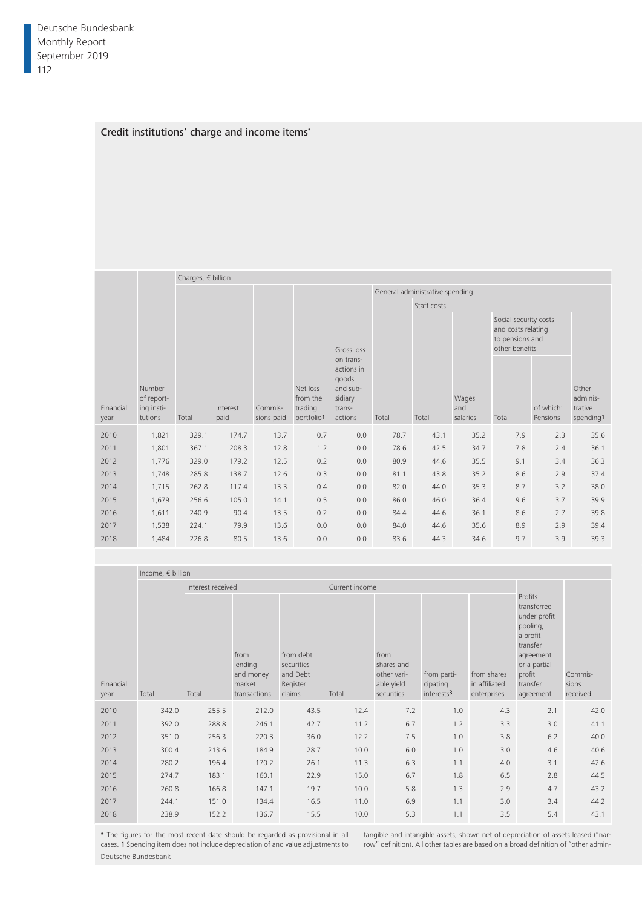# Credit institutions' charge and income items\*

|                   |                                               | Charges, $\epsilon$ billion |                  |                       |                                               |                                                                              |                                 |             |                          |                                                                                  |                       |                                           |  |
|-------------------|-----------------------------------------------|-----------------------------|------------------|-----------------------|-----------------------------------------------|------------------------------------------------------------------------------|---------------------------------|-------------|--------------------------|----------------------------------------------------------------------------------|-----------------------|-------------------------------------------|--|
|                   |                                               |                             |                  |                       |                                               |                                                                              | General administrative spending |             |                          |                                                                                  |                       |                                           |  |
|                   |                                               |                             |                  |                       |                                               |                                                                              |                                 | Staff costs |                          |                                                                                  |                       |                                           |  |
|                   |                                               |                             |                  |                       |                                               | Gross loss                                                                   |                                 |             |                          | Social security costs<br>and costs relating<br>to pensions and<br>other benefits |                       |                                           |  |
| Financial<br>year | Number<br>of report-<br>ing insti-<br>tutions | Total                       | Interest<br>paid | Commis-<br>sions paid | Net loss<br>from the<br>trading<br>portfolio1 | on trans-<br>actions in<br>goods<br>and sub-<br>sidiary<br>trans-<br>actions | Total                           | Total       | Wages<br>and<br>salaries | Total                                                                            | of which:<br>Pensions | Other<br>adminis-<br>trative<br>spending1 |  |
| 2010              | 1,821                                         | 329.7                       | 174.7            | 13.7                  | 0.7                                           | 0.0                                                                          | 78.7                            | 43.1        | 35.2                     | 7.9                                                                              | 2.3                   | 35.6                                      |  |
| 2011              | 1,801                                         | 367.1                       | 208.3            | 12.8                  | 1.2                                           | 0.0                                                                          | 78.6                            | 42.5        | 34.7                     | 7.8                                                                              | 2.4                   | 36.1                                      |  |
| 2012              | 1,776                                         | 329.0                       | 179.2            | 12.5                  | 0.2                                           | 0.0                                                                          | 80.9                            | 44.6        | 35.5                     | 9.1                                                                              | 3.4                   | 36.3                                      |  |
| 2013              | 1,748                                         | 285.8                       | 138.7            | 12.6                  | 0.3                                           | 0.0                                                                          | 81.1                            | 43.8        | 35.2                     | 8.6                                                                              | 2.9                   | 37.4                                      |  |
| 2014              | 1,715                                         | 262.8                       | 117.4            | 13.3                  | 0.4                                           | 0.0                                                                          | 82.0                            | 44.0        | 35.3                     | 8.7                                                                              | 3.2                   | 38.0                                      |  |
| 2015              | 1,679                                         | 256.6                       | 105.0            | 14.1                  | 0.5                                           | 0.0                                                                          | 86.0                            | 46.0        | 36.4                     | 9.6                                                                              | 3.7                   | 39.9                                      |  |
| 2016              | 1,611                                         | 240.9                       | 90.4             | 13.5                  | 0.2                                           | 0.0                                                                          | 84.4                            | 44.6        | 36.1                     | 8.6                                                                              | 2.7                   | 39.8                                      |  |
| 2017              | 1,538                                         | 224.1                       | 79.9             | 13.6                  | 0.0                                           | 0.0                                                                          | 84.0                            | 44.6        | 35.6                     | 8.9                                                                              | 2.9                   | 39.4                                      |  |
| 2018              | 1,484                                         | 226.8                       | 80.5             | 13.6                  | 0.0                                           | 0.0                                                                          | 83.6                            | 44.3        | 34.6                     | 9.7                                                                              | 3.9                   | 39.3                                      |  |

|                   | Income, $\epsilon$ billion |                   |                                                        |                                                           |                |                                                               |                                                   |                                             |                                                                                                                                            |                              |
|-------------------|----------------------------|-------------------|--------------------------------------------------------|-----------------------------------------------------------|----------------|---------------------------------------------------------------|---------------------------------------------------|---------------------------------------------|--------------------------------------------------------------------------------------------------------------------------------------------|------------------------------|
|                   |                            | Interest received |                                                        |                                                           | Current income |                                                               |                                                   |                                             |                                                                                                                                            |                              |
| Financial<br>year | Total                      | Total             | from<br>lending<br>and money<br>market<br>transactions | from debt<br>securities<br>and Debt<br>Register<br>claims | Total          | from<br>shares and<br>other vari-<br>able yield<br>securities | from parti-<br>cipating<br>interests <sup>3</sup> | from shares<br>in affiliated<br>enterprises | Profits<br>transferred<br>under profit<br>pooling,<br>a profit<br>transfer<br>agreement<br>or a partial<br>profit<br>transfer<br>agreement | Commis-<br>sions<br>received |
| 2010              | 342.0                      | 255.5             | 212.0                                                  | 43.5                                                      | 12.4           | 7.2                                                           | 1.0                                               | 4.3                                         | 2.1                                                                                                                                        | 42.0                         |
|                   |                            |                   |                                                        |                                                           |                |                                                               |                                                   |                                             |                                                                                                                                            |                              |
| 2011              | 392.0                      | 288.8             | 246.1                                                  | 42.7                                                      | 11.2           | 6.7                                                           | 1.2                                               | 3.3                                         | 3.0                                                                                                                                        | 41.1                         |
| 2012              | 351.0                      | 256.3             | 220.3                                                  | 36.0                                                      | 12.2           | 7.5                                                           | 1.0                                               | 3.8                                         | 6.2                                                                                                                                        | 40.0                         |
| 2013              | 300.4                      | 213.6             | 184.9                                                  | 28.7                                                      | 10.0           | 6.0                                                           | 1.0                                               | 3.0                                         | 4.6                                                                                                                                        | 40.6                         |
| 2014              | 280.2                      | 196.4             | 170.2                                                  | 26.1                                                      | 11.3           | 6.3                                                           | 1.1                                               | 4.0                                         | 3.1                                                                                                                                        | 42.6                         |
| 2015              | 274.7                      | 183.1             | 160.1                                                  | 22.9                                                      | 15.0           | 6.7                                                           | 1.8                                               | 6.5                                         | 2.8                                                                                                                                        | 44.5                         |
| 2016              | 260.8                      | 166.8             | 147.1                                                  | 19.7                                                      | 10.0           | 5.8                                                           | 1.3                                               | 2.9                                         | 4.7                                                                                                                                        | 43.2                         |
| 2017              | 244.1                      | 151.0             | 134.4                                                  | 16.5                                                      | 11.0           | 6.9                                                           | 1.1                                               | 3.0                                         | 3.4                                                                                                                                        | 44.2                         |
| 2018              | 238.9                      | 152.2             | 136.7                                                  | 15.5                                                      | 10.0           | 5.3                                                           | 1.1                                               | 3.5                                         | 5.4                                                                                                                                        | 43.1                         |

\* The figures for the most recent date should be regarded as provisional in all cases. 1 Spending item does not include depreciation of and value adjustments to Deutsche Bundesbank

tangible and intangible assets, shown net of depreciation of assets leased ("narrow" definition). All other tables are based on a broad definition of "other admin-